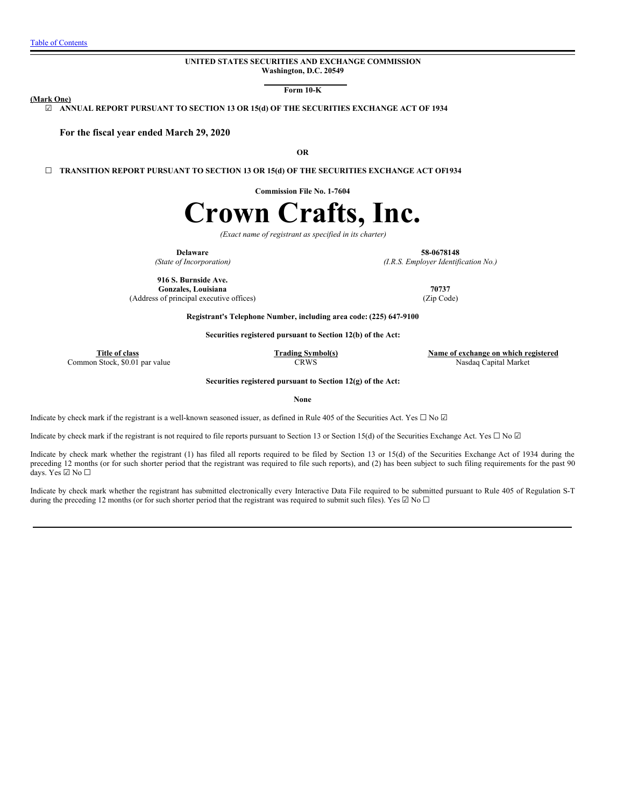### **UNITED STATES SECURITIES AND EXCHANGE COMMISSION Washington, D.C. 20549**

**Form 10-K**

**(Mark One)**

**☑ ANNUAL REPORT PURSUANT TO SECTION 13 OR 15(d) OF THE SECURITIES EXCHANGE ACT OF 1934**

**For the fiscal year ended March 29, 2020**

**OR**

**☐ TRANSITION REPORT PURSUANT TO SECTION 13 OR 15(d) OF THE SECURITIES EXCHANGE ACT OF1934**

**Commission File No. 1-7604**



*(Exact name of registrant as specified in its charter)*

**Delaware 58-0678148** *(State of Incorporation) (I.R.S. Employer Identification No.)*

**916 S. Burnside Ave. Gonzales, Louisiana 70737**

(Address of principal executive offices) (Zip Code)

**Registrant's Telephone Number, including area code: (225) 647-9100**

**Securities registered pursuant to Section 12(b) of the Act:**

Common Stock, \$0.01 par value

**Trading Symbol(s) Name of exchange on which registered**<br> **Name of exchange on which registered**<br> **CRWS Name of exchange on which registered**<br>
Nasdaq Capital Market

**Securities registered pursuant to Section 12(g) of the Act:**

**None**

Indicate by check mark if the registrant is a well-known seasoned issuer, as defined in Rule 405 of the Securities Act. Yes  $\Box$  No  $\Box$ 

Indicate by check mark if the registrant is not required to file reports pursuant to Section 13 or Section 15(d) of the Securities Exchange Act. Yes □ No ☑

Indicate by check mark whether the registrant (1) has filed all reports required to be filed by Section 13 or 15(d) of the Securities Exchange Act of 1934 during the preceding 12 months (or for such shorter period that the registrant was required to file such reports), and (2) has been subject to such filing requirements for the past 90 days. Yes ☑ No ☐

Indicate by check mark whether the registrant has submitted electronically every Interactive Data File required to be submitted pursuant to Rule 405 of Regulation S-T during the preceding 12 months (or for such shorter period that the registrant was required to submit such files). Yes  $\Box$  No  $\Box$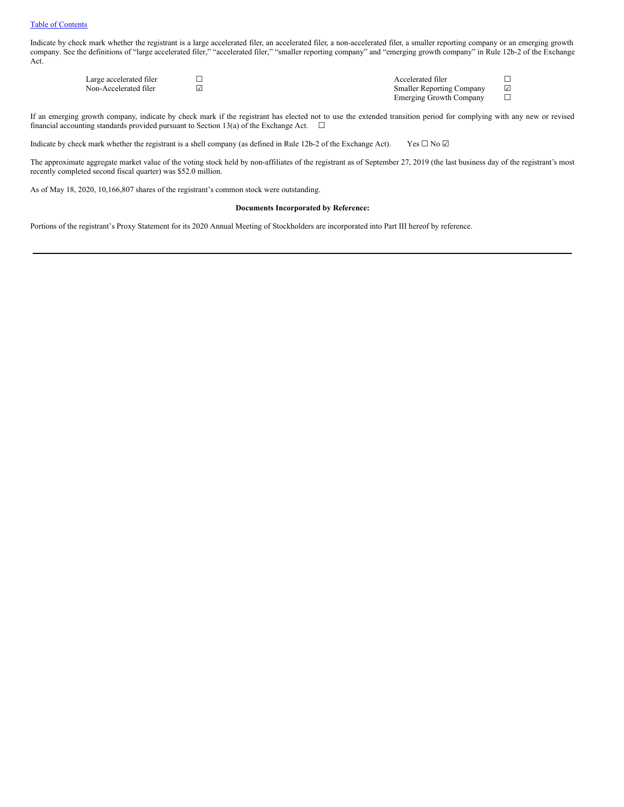Indicate by check mark whether the registrant is a large accelerated filer, an accelerated filer, a non-accelerated filer, a smaller reporting company or an emerging growth company. See the definitions of "large accelerated filer," "accelerated filer," "smaller reporting company" and "emerging growth company" in Rule 12b-2 of the Exchange Act.

| Large accelerated filer | Accelerated filer                |  |
|-------------------------|----------------------------------|--|
| Non-Accelerated filer   | <b>Smaller Reporting Company</b> |  |
|                         | Emerging Growth Company          |  |

If an emerging growth company, indicate by check mark if the registrant has elected not to use the extended transition period for complying with any new or revised financial accounting standards provided pursuant to Section 13(a) of the Exchange Act.  $\Box$ 

Indicate by check mark whether the registrant is a shell company (as defined in Rule 12b-2 of the Exchange Act). Yes  $\Box$  No  $\Box$ 

The approximate aggregate market value of the voting stock held by non-affiliates of the registrant as of September 27, 2019 (the last business day of the registrant's most recently completed second fiscal quarter) was \$52.0 million.

As of May 18, 2020, 10,166,807 shares of the registrant's common stock were outstanding.

#### **Documents Incorporated by Reference:**

Portions of the registrant's Proxy Statement for its 2020 Annual Meeting of Stockholders are incorporated into Part III hereof by reference.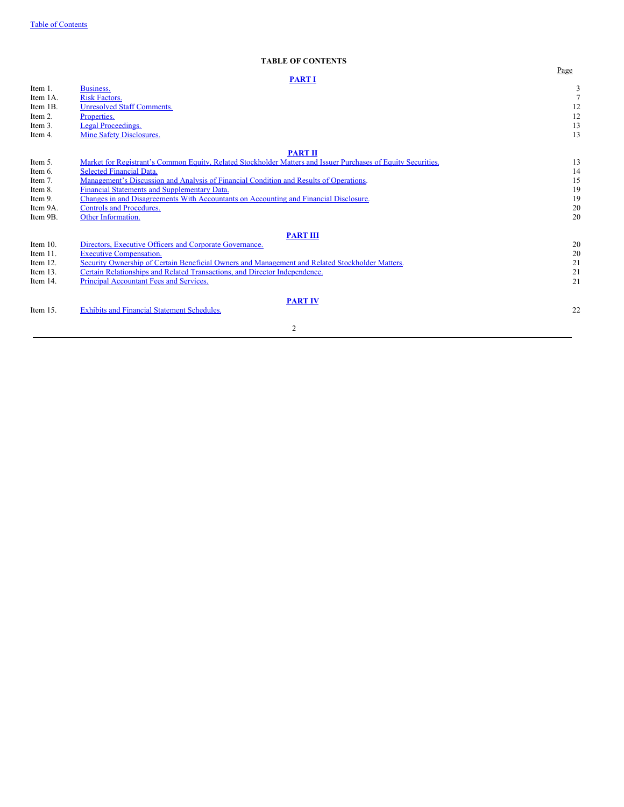# <span id="page-2-0"></span>**TABLE OF CONTENTS**

|                                                                                                               | Page           |
|---------------------------------------------------------------------------------------------------------------|----------------|
| <b>PART I</b>                                                                                                 |                |
| Business.                                                                                                     |                |
| <b>Risk Factors.</b>                                                                                          |                |
| <b>Unresolved Staff Comments.</b>                                                                             | 12             |
| Properties.                                                                                                   | 12             |
| Legal Proceedings.                                                                                            | 13             |
| Mine Safety Disclosures.                                                                                      | 13             |
| <b>PART II</b>                                                                                                |                |
| Market for Registrant's Common Equity, Related Stockholder Matters and Issuer Purchases of Equity Securities. | 13             |
| <b>Selected Financial Data.</b>                                                                               | 14             |
| Management's Discussion and Analysis of Financial Condition and Results of Operations.                        | 15             |
| Financial Statements and Supplementary Data.                                                                  | 19             |
| Changes in and Disagreements With Accountants on Accounting and Financial Disclosure.                         | 19             |
| <b>Controls and Procedures.</b>                                                                               | 20             |
| Other Information.                                                                                            | 20             |
| <b>PART III</b>                                                                                               |                |
| Directors, Executive Officers and Corporate Governance.                                                       | 20             |
| <b>Executive Compensation.</b>                                                                                | 20             |
| Security Ownership of Certain Beneficial Owners and Management and Related Stockholder Matters.               | 21             |
| Certain Relationships and Related Transactions, and Director Independence.                                    | 21             |
| Principal Accountant Fees and Services.                                                                       | 21             |
|                                                                                                               |                |
| <b>Exhibits and Financial Statement Schedules.</b>                                                            | 22             |
| 2                                                                                                             |                |
|                                                                                                               | <b>PART IV</b> |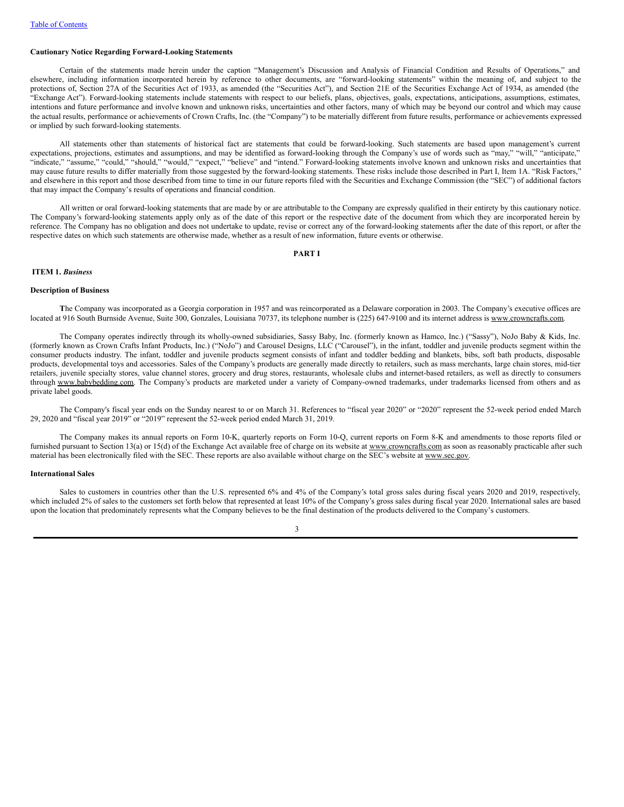### **Cautionary Notice Regarding Forward-Looking Statements**

Certain of the statements made herein under the caption "Management's Discussion and Analysis of Financial Condition and Results of Operations," and elsewhere, including information incorporated herein by reference to other documents, are "forward-looking statements" within the meaning of, and subject to the protections of, Section 27A of the Securities Act of 1933, as amended (the "Securities Act"), and Section 21E of the Securities Exchange Act of 1934, as amended (the "Exchange Act"). Forward-looking statements include statements with respect to our beliefs, plans, objectives, goals, expectations, anticipations, assumptions, estimates, intentions and future performance and involve known and unknown risks, uncertainties and other factors, many of which may be beyond our control and which may cause the actual results, performance or achievements of Crown Crafts, Inc. (the "Company") to be materially different from future results, performance or achievements expressed or implied by such forward-looking statements.

All statements other than statements of historical fact are statements that could be forward-looking. Such statements are based upon management's current expectations, projections, estimates and assumptions, and may be identified as forward-looking through the Company's use of words such as "may," "will," "anticipate," "indicate," "assume," "could," "should," "would," "expect," "believe" and "intend." Forward-looking statements involve known and unknown risks and uncertainties that may cause future results to differ materially from those suggested by the forward-looking statements. These risks include those described in Part I, Item 1A. "Risk Factors," and elsewhere in this report and those described from time to time in our future reports filed with the Securities and Exchange Commission (the "SEC") of additional factors that may impact the Company's results of operations and financial condition.

All written or oral forward-looking statements that are made by or are attributable to the Company are expressly qualified in their entirety by this cautionary notice. The Company's forward-looking statements apply only as of the date of this report or the respective date of the document from which they are incorporated herein by reference. The Company has no obligation and does not undertake to update, revise or correct any of the forward-looking statements after the date of this report, or after the respective dates on which such statements are otherwise made, whether as a result of new information, future events or otherwise.

### <span id="page-3-0"></span>**PART I**

## <span id="page-3-1"></span>**ITEM 1.** *Business*

## **Description of Business**

**T**he Company was incorporated as a Georgia corporation in 1957 and was reincorporated as a Delaware corporation in 2003. The Company's executive offices are located at 916 South Burnside Avenue, Suite 300, Gonzales, Louisiana 70737, its telephone number is (225) 647-9100 and its internet address is www.crowncrafts.com.

The Company operates indirectly through its wholly-owned subsidiaries, Sassy Baby, Inc. (formerly known as Hamco, Inc.) ("Sassy"), NoJo Baby & Kids, Inc. (formerly known as Crown Crafts Infant Products, Inc.) ("NoJo") and Carousel Designs, LLC ("Carousel"), in the infant, toddler and juvenile products segment within the consumer products industry. The infant, toddler and juvenile products segment consists of infant and toddler bedding and blankets, bibs, soft bath products, disposable products, developmental toys and accessories. Sales of the Company's products are generally made directly to retailers, such as mass merchants, large chain stores, mid-tier retailers, juvenile specialty stores, value channel stores, grocery and drug stores, restaurants, wholesale clubs and internet-based retailers, as well as directly to consumers through www.babybedding.com. The Company's products are marketed under a variety of Company-owned trademarks, under trademarks licensed from others and as private label goods.

The Company's fiscal year ends on the Sunday nearest to or on March 31. References to "fiscal year 2020" or "2020" represent the 52-week period ended March 29, 2020 and "fiscal year 2019" or "2019" represent the 52-week period ended March 31, 2019.

The Company makes its annual reports on Form 10-K, quarterly reports on Form 10-Q, current reports on Form 8-K and amendments to those reports filed or furnished pursuant to Section 13(a) or 15(d) of the Exchange Act available free of charge on its website at www.crowncrafts.com as soon as reasonably practicable after such material has been electronically filed with the SEC. These reports are also available without charge on the SEC's website at www.sec.gov.

#### **International Sales**

Sales to customers in countries other than the U.S. represented 6% and 4% of the Company's total gross sales during fiscal years 2020 and 2019, respectively, which included 2% of sales to the customers set forth below that represented at least 10% of the Company's gross sales during fiscal year 2020. International sales are based upon the location that predominately represents what the Company believes to be the final destination of the products delivered to the Company's customers.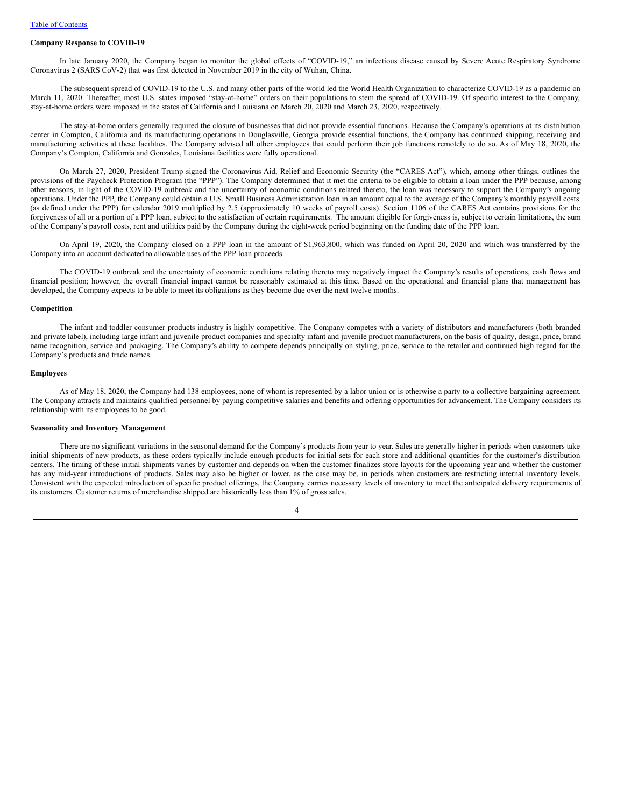### **Company Response to COVID-19**

In late January 2020, the Company began to monitor the global effects of "COVID-19," an infectious disease caused by Severe Acute Respiratory Syndrome Coronavirus 2 (SARS CoV-2) that was first detected in November 2019 in the city of Wuhan, China.

The subsequent spread of COVID-19 to the U.S. and many other parts of the world led the World Health Organization to characterize COVID-19 as a pandemic on March 11, 2020. Thereafter, most U.S. states imposed "stay-at-home" orders on their populations to stem the spread of COVID-19. Of specific interest to the Company, stay-at-home orders were imposed in the states of California and Louisiana on March 20, 2020 and March 23, 2020, respectively.

The stay-at-home orders generally required the closure of businesses that did not provide essential functions. Because the Company's operations at its distribution center in Compton, California and its manufacturing operations in Douglasville, Georgia provide essential functions, the Company has continued shipping, receiving and manufacturing activities at these facilities. The Company advised all other employees that could perform their job functions remotely to do so. As of May 18, 2020, the Company's Compton, California and Gonzales, Louisiana facilities were fully operational.

On March 27, 2020, President Trump signed the Coronavirus Aid, Relief and Economic Security (the "CARES Act"), which, among other things, outlines the provisions of the Paycheck Protection Program (the "PPP"). The Company determined that it met the criteria to be eligible to obtain a loan under the PPP because, among other reasons, in light of the COVID-19 outbreak and the uncertainty of economic conditions related thereto, the loan was necessary to support the Company's ongoing operations. Under the PPP, the Company could obtain a U.S. Small Business Administration loan in an amount equal to the average of the Company's monthly payroll costs (as defined under the PPP) for calendar 2019 multiplied by 2.5 (approximately 10 weeks of payroll costs). Section 1106 of the CARES Act contains provisions for the forgiveness of all or a portion of a PPP loan, subject to the satisfaction of certain requirements. The amount eligible for forgiveness is, subject to certain limitations, the sum of the Company's payroll costs, rent and utilities paid by the Company during the eight-week period beginning on the funding date of the PPP loan.

On April 19, 2020, the Company closed on a PPP loan in the amount of \$1,963,800, which was funded on April 20, 2020 and which was transferred by the Company into an account dedicated to allowable uses of the PPP loan proceeds.

The COVID-19 outbreak and the uncertainty of economic conditions relating thereto may negatively impact the Company's results of operations, cash flows and financial position; however, the overall financial impact cannot be reasonably estimated at this time. Based on the operational and financial plans that management has developed, the Company expects to be able to meet its obligations as they become due over the next twelve months.

### **Competition**

The infant and toddler consumer products industry is highly competitive. The Company competes with a variety of distributors and manufacturers (both branded and private label), including large infant and juvenile product companies and specialty infant and juvenile product manufacturers, on the basis of quality, design, price, brand name recognition, service and packaging. The Company's ability to compete depends principally on styling, price, service to the retailer and continued high regard for the Company's products and trade names.

#### **Employees**

As of May 18, 2020, the Company had 138 employees, none of whom is represented by a labor union or is otherwise a party to a collective bargaining agreement. The Company attracts and maintains qualified personnel by paying competitive salaries and benefits and offering opportunities for advancement. The Company considers its relationship with its employees to be good.

### **Seasonality and Inventory Management**

There are no significant variations in the seasonal demand for the Company's products from year to year. Sales are generally higher in periods when customers take initial shipments of new products, as these orders typically include enough products for initial sets for each store and additional quantities for the customer's distribution centers. The timing of these initial shipments varies by customer and depends on when the customer finalizes store layouts for the upcoming year and whether the customer has any mid-year introductions of products. Sales may also be higher or lower, as the case may be, in periods when customers are restricting internal inventory levels. Consistent with the expected introduction of specific product offerings, the Company carries necessary levels of inventory to meet the anticipated delivery requirements of its customers. Customer returns of merchandise shipped are historically less than 1% of gross sales.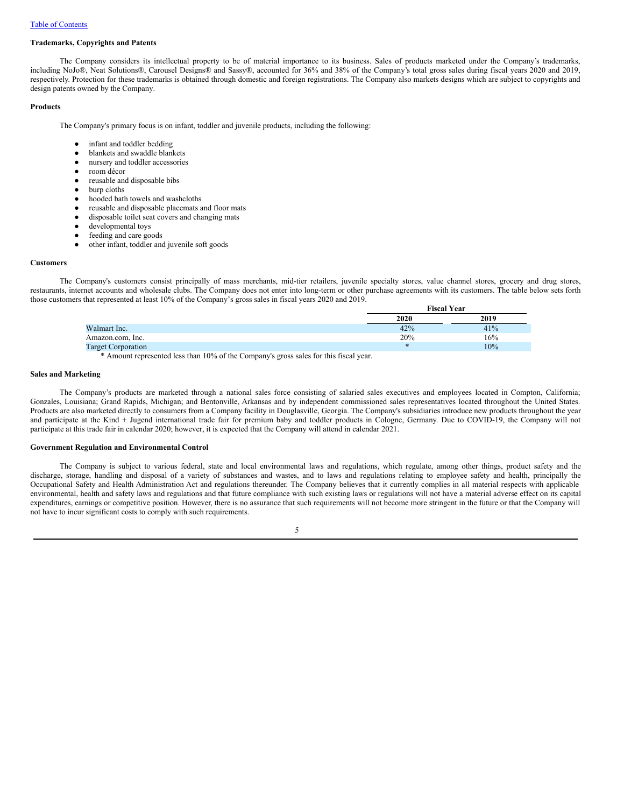## **Trademarks, Copyrights and Patents**

The Company considers its intellectual property to be of material importance to its business. Sales of products marketed under the Company's trademarks, including NoJo®, Neat Solutions®, Carousel Designs® and Sassy®, accounted for 36% and 38% of the Company's total gross sales during fiscal years 2020 and 2019, respectively. Protection for these trademarks is obtained through domestic and foreign registrations. The Company also markets designs which are subject to copyrights and design patents owned by the Company.

#### **Products**

The Company's primary focus is on infant, toddler and juvenile products, including the following:

- infant and toddler bedding
- blankets and swaddle blankets
- nursery and toddler accessories
- room décor
- reusable and disposable bibs
- burp cloths
- hooded bath towels and washcloths
- reusable and disposable placemats and floor mats
- disposable toilet seat covers and changing mats
- developmental toys
- feeding and care goods
- other infant, toddler and juvenile soft goods

## **Customers**

The Company's customers consist principally of mass merchants, mid-tier retailers, juvenile specialty stores, value channel stores, grocery and drug stores, restaurants, internet accounts and wholesale clubs. The Company does not enter into long-term or other purchase agreements with its customers. The table below sets forth those customers that represented at least 10% of the Company's gross sales in fiscal years 2020 and 2019. **Fiscal Year**

|                           | PISCAL L'EGL |      |
|---------------------------|--------------|------|
|                           | 2020         | 2019 |
| Walmart Inc.              | 42%          | 41%  |
| Amazon.com, Inc.          | 20%          | 16%  |
| <b>Target Corporation</b> | $*$          | 10%  |

\* Amount represented less than 10% of the Company's gross sales for this fiscal year.

## **Sales and Marketing**

The Company's products are marketed through a national sales force consisting of salaried sales executives and employees located in Compton, California; Gonzales, Louisiana; Grand Rapids, Michigan; and Bentonville, Arkansas and by independent commissioned sales representatives located throughout the United States. Products are also marketed directly to consumers from a Company facility in Douglasville, Georgia. The Company's subsidiaries introduce new products throughout the year and participate at the Kind + Jugend international trade fair for premium baby and toddler products in Cologne, Germany. Due to COVID-19, the Company will not participate at this trade fair in calendar 2020; however, it is expected that the Company will attend in calendar 2021.

### **Government Regulation and Environmental Control**

The Company is subject to various federal, state and local environmental laws and regulations, which regulate, among other things, product safety and the discharge, storage, handling and disposal of a variety of substances and wastes, and to laws and regulations relating to employee safety and health, principally the Occupational Safety and Health Administration Act and regulations thereunder. The Company believes that it currently complies in all material respects with applicable environmental, health and safety laws and regulations and that future compliance with such existing laws or regulations will not have a material adverse effect on its capital expenditures, earnings or competitive position. However, there is no assurance that such requirements will not become more stringent in the future or that the Company will not have to incur significant costs to comply with such requirements.

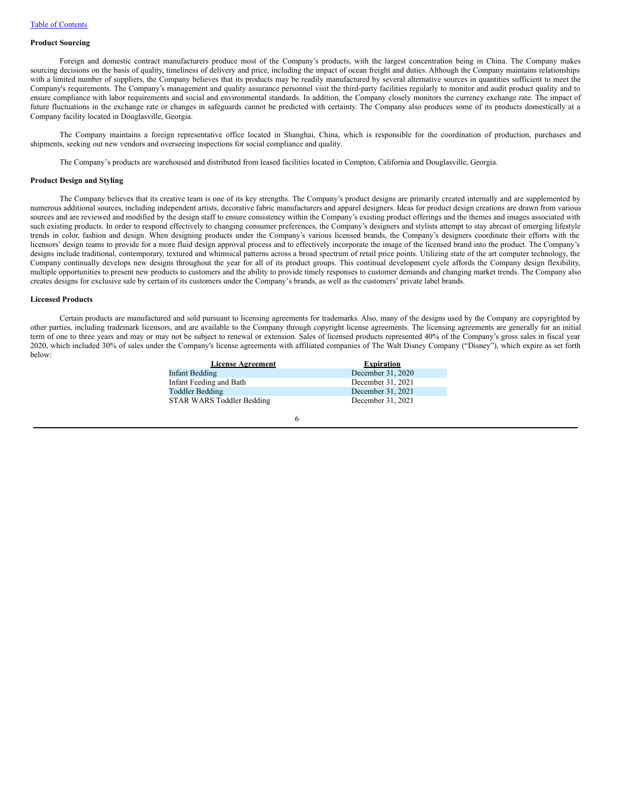## **Product Sourcing**

Foreign and domestic contract manufacturers produce most of the Company's products, with the largest concentration being in China. The Company makes sourcing decisions on the basis of quality, timeliness of delivery and price, including the impact of ocean freight and duties. Although the Company maintains relationships with a limited number of suppliers, the Company believes that its products may be readily manufactured by several alternative sources in quantities sufficient to meet the Company's requirements. The Company's management and quality assurance personnel visit the third-party facilities regularly to monitor and audit product quality and to ensure compliance with labor requirements and social and environmental standards. In addition, the Company closely monitors the currency exchange rate. The impact of future fluctuations in the exchange rate or changes in safeguards cannot be predicted with certainty. The Company also produces some of its products domestically at a Company facility located in Douglasville, Georgia.

The Company maintains a foreign representative office located in Shanghai, China, which is responsible for the coordination of production, purchases and shipments, seeking out new vendors and overseeing inspections for social compliance and quality.

The Company's products are warehoused and distributed from leased facilities located in Compton, California and Douglasville, Georgia.

#### **Product Design and Styling**

The Company believes that its creative team is one of its key strengths. The Company's product designs are primarily created internally and are supplemented by numerous additional sources, including independent artists, decorative fabric manufacturers and apparel designers. Ideas for product design creations are drawn from various sources and are reviewed and modified by the design staff to ensure consistency within the Company's existing product offerings and the themes and images associated with such existing products. In order to respond effectively to changing consumer preferences, the Company's designers and stylists attempt to stay abreast of emerging lifestyle trends in color, fashion and design. When designing products under the Company's various licensed brands, the Company's designers coordinate their efforts with the licensors' design teams to provide for a more fluid design approval process and to effectively incorporate the image of the licensed brand into the product. The Company's designs include traditional, contemporary, textured and whimsical patterns across a broad spectrum of retail price points. Utilizing state of the art computer technology, the Company continually develops new designs throughout the year for all of its product groups. This continual development cycle affords the Company design flexibility, multiple opportunities to present new products to customers and the ability to provide timely responses to customer demands and changing market trends. The Company also creates designs for exclusive sale by certain of its customers under the Company's brands, as well as the customers' private label brands.

#### **Licensed Products**

Certain products are manufactured and sold pursuant to licensing agreements for trademarks. Also, many of the designs used by the Company are copyrighted by other parties, including trademark licensors, and are available to the Company through copyright license agreements. The licensing agreements are generally for an initial term of one to three years and may or may not be subject to renewal or extension. Sales of licensed products represented 40% of the Company's gross sales in fiscal year 2020, which included 30% of sales under the Company's license agreements with affiliated companies of The Walt Disney Company ("Disney"), which expire as set forth below:

| <b>License Agreement</b>  | <b>Expiration</b> |
|---------------------------|-------------------|
| Infant Bedding            | December 31, 2020 |
| Infant Feeding and Bath   | December 31, 2021 |
| <b>Toddler Bedding</b>    | December 31, 2021 |
| STAR WARS Toddler Bedding | December 31, 2021 |

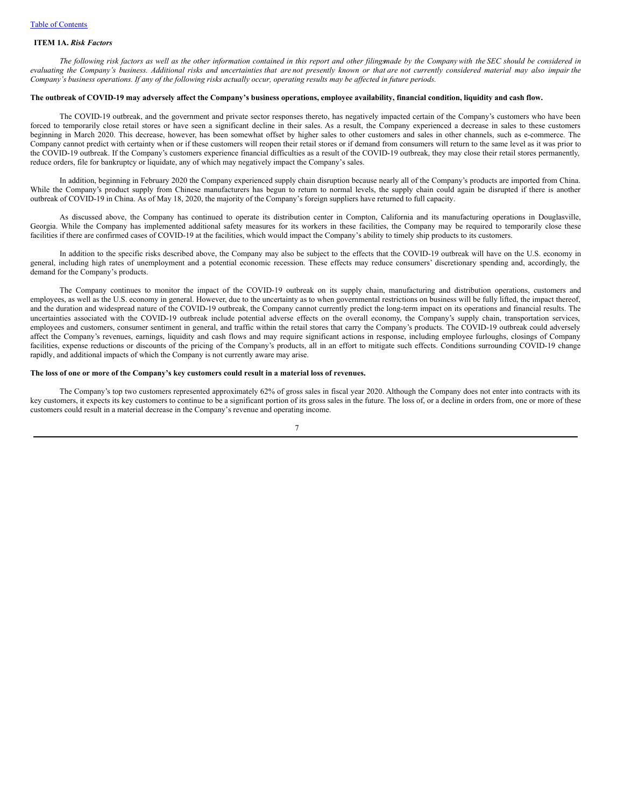### <span id="page-7-0"></span>**ITEM 1A.** *Risk Factors*

The following risk factors as well as the other information contained in this report and other filingsmade by the Company with the SEC should be considered in evaluating the Company's business. Additional risks and uncertainties that are not presently known or that are not currently considered material may also impair the Company's business operations. If any of the following risks actually occur, operating results may be affected in future periods.

### The outbreak of COVID-19 may adversely affect the Company's business operations, employee availability, financial condition, liquidity and cash flow.

The COVID-19 outbreak, and the government and private sector responses thereto, has negatively impacted certain of the Company's customers who have been forced to temporarily close retail stores or have seen a significant decline in their sales. As a result, the Company experienced a decrease in sales to these customers beginning in March 2020. This decrease, however, has been somewhat offset by higher sales to other customers and sales in other channels, such as e-commerce. The Company cannot predict with certainty when or if these customers will reopen their retail stores or if demand from consumers will return to the same level as it was prior to the COVID-19 outbreak. If the Company's customers experience financial difficulties as a result of the COVID-19 outbreak, they may close their retail stores permanently, reduce orders, file for bankruptcy or liquidate, any of which may negatively impact the Company's sales.

In addition, beginning in February 2020 the Company experienced supply chain disruption because nearly all of the Company's products are imported from China. While the Company's product supply from Chinese manufacturers has begun to return to normal levels, the supply chain could again be disrupted if there is another outbreak of COVID-19 in China. As of May 18, 2020, the majority of the Company's foreign suppliers have returned to full capacity.

As discussed above, the Company has continued to operate its distribution center in Compton, California and its manufacturing operations in Douglasville, Georgia. While the Company has implemented additional safety measures for its workers in these facilities, the Company may be required to temporarily close these facilities if there are confirmed cases of COVID-19 at the facilities, which would impact the Company's ability to timely ship products to its customers.

In addition to the specific risks described above, the Company may also be subject to the effects that the COVID-19 outbreak will have on the U.S. economy in general, including high rates of unemployment and a potential economic recession. These effects may reduce consumers' discretionary spending and, accordingly, the demand for the Company's products.

The Company continues to monitor the impact of the COVID-19 outbreak on its supply chain, manufacturing and distribution operations, customers and employees, as well as the U.S. economy in general. However, due to the uncertainty as to when governmental restrictions on business will be fully lifted, the impact thereof, and the duration and widespread nature of the COVID-19 outbreak, the Company cannot currently predict the long-term impact on its operations and financial results. The uncertainties associated with the COVID-19 outbreak include potential adverse effects on the overall economy, the Company's supply chain, transportation services, employees and customers, consumer sentiment in general, and traffic within the retail stores that carry the Company's products. The COVID-19 outbreak could adversely affect the Company's revenues, earnings, liquidity and cash flows and may require significant actions in response, including employee furloughs, closings of Company facilities, expense reductions or discounts of the pricing of the Company's products, all in an effort to mitigate such effects. Conditions surrounding COVID-19 change rapidly, and additional impacts of which the Company is not currently aware may arise.

#### The loss of one or more of the Company's key customers could result in a material loss of revenues.

The Company's top two customers represented approximately 62% of gross sales in fiscal year 2020. Although the Company does not enter into contracts with its key customers, it expects its key customers to continue to be a significant portion of its gross sales in the future. The loss of, or a decline in orders from, one or more of these customers could result in a material decrease in the Company's revenue and operating income.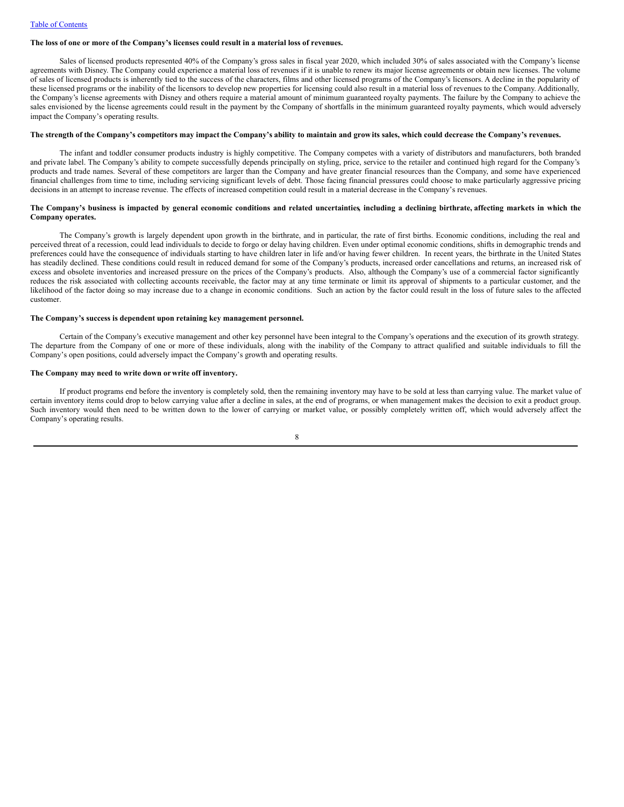### **The loss of one or more of the Company's licenses could result in a material loss of revenues.**

Sales of licensed products represented 40% of the Company's gross sales in fiscal year 2020, which included 30% of sales associated with the Company's license agreements with Disney. The Company could experience a material loss of revenues if it is unable to renew its major license agreements or obtain new licenses. The volume of sales of licensed products is inherently tied to the success of the characters, films and other licensed programs of the Company's licensors. A decline in the popularity of these licensed programs or the inability of the licensors to develop new properties for licensing could also result in a material loss of revenues to the Company. Additionally, the Company's license agreements with Disney and others require a material amount of minimum guaranteed royalty payments. The failure by the Company to achieve the sales envisioned by the license agreements could result in the payment by the Company of shortfalls in the minimum guaranteed royalty payments, which would adversely impact the Company's operating results.

## The strength of the Company's competitors may impact the Company's ability to maintain and grow its sales, which could decrease the Company's revenues.

The infant and toddler consumer products industry is highly competitive. The Company competes with a variety of distributors and manufacturers, both branded and private label. The Company's ability to compete successfully depends principally on styling, price, service to the retailer and continued high regard for the Company's products and trade names. Several of these competitors are larger than the Company and have greater financial resources than the Company, and some have experienced financial challenges from time to time, including servicing significant levels of debt. Those facing financial pressures could choose to make particularly aggressive pricing decisions in an attempt to increase revenue. The effects of increased competition could result in a material decrease in the Company's revenues.

### The Company's business is impacted by general economic conditions and related uncertainties, including a declining birthrate, affecting markets in which the **Company operates.**

The Company's growth is largely dependent upon growth in the birthrate, and in particular, the rate of first births. Economic conditions, including the real and perceived threat of a recession, could lead individuals to decide to forgo or delay having children. Even under optimal economic conditions, shifts in demographic trends and preferences could have the consequence of individuals starting to have children later in life and/or having fewer children. In recent years, the birthrate in the United States has steadily declined. These conditions could result in reduced demand for some of the Company's products, increased order cancellations and returns, an increased risk of excess and obsolete inventories and increased pressure on the prices of the Company's products. Also, although the Company's use of a commercial factor significantly reduces the risk associated with collecting accounts receivable, the factor may at any time terminate or limit its approval of shipments to a particular customer, and the likelihood of the factor doing so may increase due to a change in economic conditions. Such an action by the factor could result in the loss of future sales to the affected customer.

## **The Company's success is dependent upon retaining key management personnel.**

Certain of the Company's executive management and other key personnel have been integral to the Company's operations and the execution of its growth strategy. The departure from the Company of one or more of these individuals, along with the inability of the Company to attract qualified and suitable individuals to fill the Company's open positions, could adversely impact the Company's growth and operating results.

#### **The Company may need to write down orwrite off inventory.**

If product programs end before the inventory is completely sold, then the remaining inventory may have to be sold at less than carrying value. The market value of certain inventory items could drop to below carrying value after a decline in sales, at the end of programs, or when management makes the decision to exit a product group. Such inventory would then need to be written down to the lower of carrying or market value, or possibly completely written off, which would adversely affect the Company's operating results.

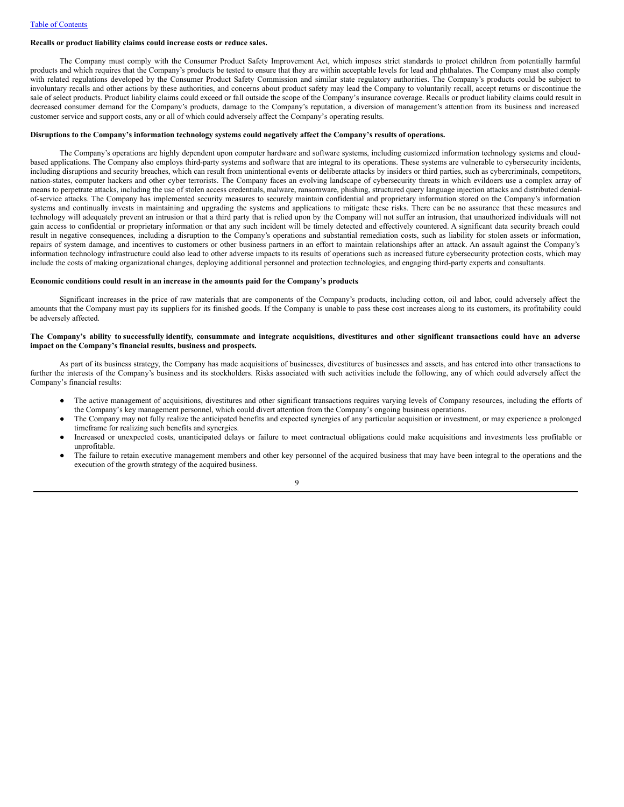## **Recalls or product liability claims could increase costs or reduce sales.**

The Company must comply with the Consumer Product Safety Improvement Act, which imposes strict standards to protect children from potentially harmful products and which requires that the Company's products be tested to ensure that they are within acceptable levels for lead and phthalates. The Company must also comply with related regulations developed by the Consumer Product Safety Commission and similar state regulatory authorities. The Company's products could be subject to involuntary recalls and other actions by these authorities, and concerns about product safety may lead the Company to voluntarily recall, accept returns or discontinue the sale of select products. Product liability claims could exceed or fall outside the scope of the Company's insurance coverage. Recalls or product liability claims could result in decreased consumer demand for the Company's products, damage to the Company's reputation, a diversion of management's attention from its business and increased customer service and support costs, any or all of which could adversely affect the Company's operating results.

### Disruptions to the Company's information technology systems could negatively affect the Company's results of operations.

The Company's operations are highly dependent upon computer hardware and software systems, including customized information technology systems and cloudbased applications. The Company also employs third-party systems and software that are integral to its operations. These systems are vulnerable to cybersecurity incidents, including disruptions and security breaches, which can result from unintentional events or deliberate attacks by insiders or third parties, such as cybercriminals, competitors, nation-states, computer hackers and other cyber terrorists. The Company faces an evolving landscape of cybersecurity threats in which evildoers use a complex array of means to perpetrate attacks, including the use of stolen access credentials, malware, ransomware, phishing, structured query language injection attacks and distributed denialof-service attacks. The Company has implemented security measures to securely maintain confidential and proprietary information stored on the Company's information systems and continually invests in maintaining and upgrading the systems and applications to mitigate these risks. There can be no assurance that these measures and technology will adequately prevent an intrusion or that a third party that is relied upon by the Company will not suffer an intrusion, that unauthorized individuals will not gain access to confidential or proprietary information or that any such incident will be timely detected and effectively countered. A significant data security breach could result in negative consequences, including a disruption to the Company's operations and substantial remediation costs, such as liability for stolen assets or information, repairs of system damage, and incentives to customers or other business partners in an effort to maintain relationships after an attack. An assault against the Company's information technology infrastructure could also lead to other adverse impacts to its results of operations such as increased future cybersecurity protection costs, which may include the costs of making organizational changes, deploying additional personnel and protection technologies, and engaging third-party experts and consultants.

#### **Economic conditions could result in an increase in the amounts paid for the Company's products.**

Significant increases in the price of raw materials that are components of the Company's products, including cotton, oil and labor, could adversely affect the amounts that the Company must pay its suppliers for its finished goods. If the Company is unable to pass these cost increases along to its customers, its profitability could be adversely affected.

### The Company's ability to successfully identify, consummate and integrate acquisitions, divestitures and other significant transactions could have an adverse **impact on the Company's financial results, business and prospects.**

As part of its business strategy, the Company has made acquisitions of businesses, divestitures of businesses and assets, and has entered into other transactions to further the interests of the Company's business and its stockholders. Risks associated with such activities include the following, any of which could adversely affect the Company's financial results:

- The active management of acquisitions, divestitures and other significant transactions requires varying levels of Company resources, including the efforts of the Company's key management personnel, which could divert attention from the Company's ongoing business operations.
- The Company may not fully realize the anticipated benefits and expected synergies of any particular acquisition or investment, or may experience a prolonged timeframe for realizing such benefits and synergies.
- Increased or unexpected costs, unanticipated delays or failure to meet contractual obligations could make acquisitions and investments less profitable or unprofitable.
- The failure to retain executive management members and other key personnel of the acquired business that may have been integral to the operations and the execution of the growth strategy of the acquired business.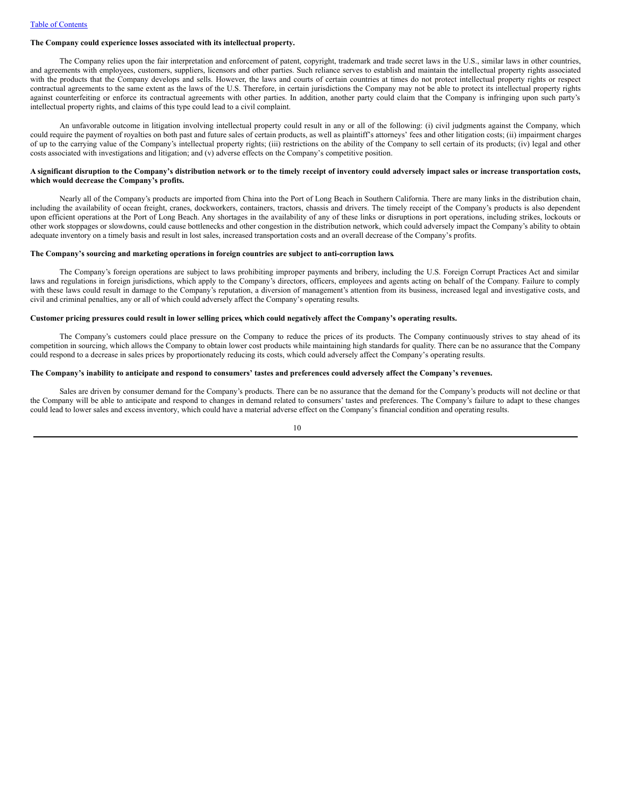## **The Company could experience losses associated with its intellectual property.**

The Company relies upon the fair interpretation and enforcement of patent, copyright, trademark and trade secret laws in the U.S., similar laws in other countries, and agreements with employees, customers, suppliers, licensors and other parties. Such reliance serves to establish and maintain the intellectual property rights associated with the products that the Company develops and sells. However, the laws and courts of certain countries at times do not protect intellectual property rights or respect contractual agreements to the same extent as the laws of the U.S. Therefore, in certain jurisdictions the Company may not be able to protect its intellectual property rights against counterfeiting or enforce its contractual agreements with other parties. In addition, another party could claim that the Company is infringing upon such party's intellectual property rights, and claims of this type could lead to a civil complaint.

An unfavorable outcome in litigation involving intellectual property could result in any or all of the following: (i) civil judgments against the Company, which could require the payment of royalties on both past and future sales of certain products, as well as plaintiff's attorneys' fees and other litigation costs; (ii) impairment charges of up to the carrying value of the Company's intellectual property rights; (iii) restrictions on the ability of the Company to sell certain of its products; (iv) legal and other costs associated with investigations and litigation; and (v) adverse effects on the Company's competitive position.

#### A significant disruption to the Company's distribution network or to the timely receipt of inventory could adversely impact sales or increase transportation costs, **which would decrease the Company's profits.**

Nearly all of the Company's products are imported from China into the Port of Long Beach in Southern California. There are many links in the distribution chain, including the availability of ocean freight, cranes, dockworkers, containers, tractors, chassis and drivers. The timely receipt of the Company's products is also dependent upon efficient operations at the Port of Long Beach. Any shortages in the availability of any of these links or disruptions in port operations, including strikes, lockouts or other work stoppages or slowdowns, could cause bottlenecks and other congestion in the distribution network, which could adversely impact the Company's ability to obtain adequate inventory on a timely basis and result in lost sales, increased transportation costs and an overall decrease of the Company's profits.

### **The Company's sourcing and marketing operations in foreign countries are subject to anti-corruption laws.**

The Company's foreign operations are subject to laws prohibiting improper payments and bribery, including the U.S. Foreign Corrupt Practices Act and similar laws and regulations in foreign jurisdictions, which apply to the Company's directors, officers, employees and agents acting on behalf of the Company. Failure to comply with these laws could result in damage to the Company's reputation, a diversion of management's attention from its business, increased legal and investigative costs, and civil and criminal penalties, any or all of which could adversely affect the Company's operating results.

## Customer pricing pressures could result in lower selling prices, which could negatively affect the Company's operating results.

The Company's customers could place pressure on the Company to reduce the prices of its products. The Company continuously strives to stay ahead of its competition in sourcing, which allows the Company to obtain lower cost products while maintaining high standards for quality. There can be no assurance that the Company could respond to a decrease in sales prices by proportionately reducing its costs, which could adversely affect the Company's operating results.

### The Company's inability to anticipate and respond to consumers' tastes and preferences could adversely affect the Company's revenues.

Sales are driven by consumer demand for the Company's products. There can be no assurance that the demand for the Company's products will not decline or that the Company will be able to anticipate and respond to changes in demand related to consumers' tastes and preferences. The Company's failure to adapt to these changes could lead to lower sales and excess inventory, which could have a material adverse effect on the Company's financial condition and operating results.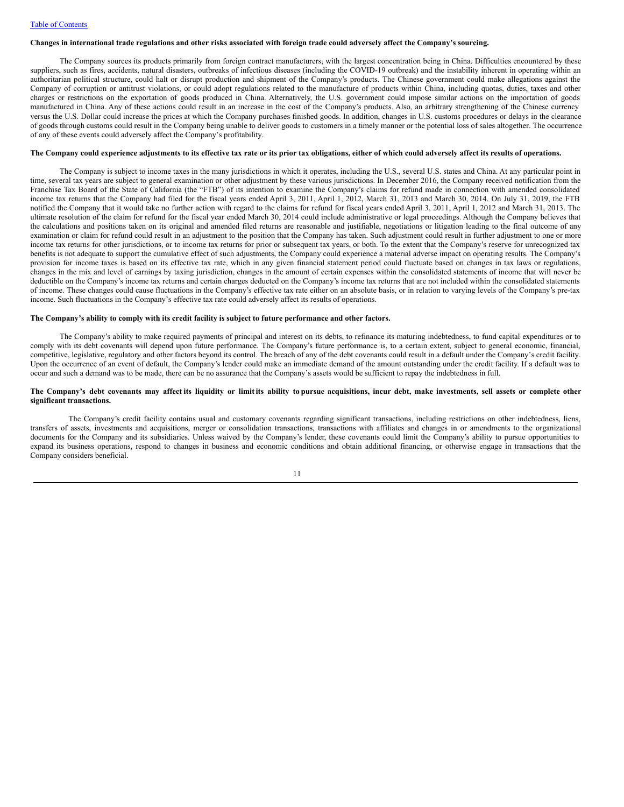### Changes in international trade regulations and other risks associated with foreign trade could adversely affect the Company's sourcing.

The Company sources its products primarily from foreign contract manufacturers, with the largest concentration being in China. Difficulties encountered by these suppliers, such as fires, accidents, natural disasters, outbreaks of infectious diseases (including the COVID-19 outbreak) and the instability inherent in operating within an authoritarian political structure, could halt or disrupt production and shipment of the Company's products. The Chinese government could make allegations against the Company of corruption or antitrust violations, or could adopt regulations related to the manufacture of products within China, including quotas, duties, taxes and other charges or restrictions on the exportation of goods produced in China. Alternatively, the U.S. government could impose similar actions on the importation of goods manufactured in China. Any of these actions could result in an increase in the cost of the Company's products. Also, an arbitrary strengthening of the Chinese currency versus the U.S. Dollar could increase the prices at which the Company purchases finished goods. In addition, changes in U.S. customs procedures or delays in the clearance of goods through customs could result in the Company being unable to deliver goods to customers in a timely manner or the potential loss of sales altogether. The occurrence of any of these events could adversely affect the Company's profitability.

### The Company could experience adjustments to its effective tax rate or its prior tax obligations, either of which could adversely affect its results of operations.

The Company is subject to income taxes in the many jurisdictions in which it operates, including the U.S., several U.S. states and China. At any particular point in time, several tax years are subject to general examination or other adjustment by these various jurisdictions. In December 2016, the Company received notification from the Franchise Tax Board of the State of California (the "FTB") of its intention to examine the Company's claims for refund made in connection with amended consolidated income tax returns that the Company had filed for the fiscal years ended April 3, 2011, April 1, 2012, March 31, 2013 and March 30, 2014. On July 31, 2019, the FTB notified the Company that it would take no further action with regard to the claims for refund for fiscal years ended April 3, 2011, April 1, 2012 and March 31, 2013. The ultimate resolution of the claim for refund for the fiscal year ended March 30, 2014 could include administrative or legal proceedings. Although the Company believes that the calculations and positions taken on its original and amended filed returns are reasonable and justifiable, negotiations or litigation leading to the final outcome of any examination or claim for refund could result in an adjustment to the position that the Company has taken. Such adjustment could result in further adjustment to one or more income tax returns for other jurisdictions, or to income tax returns for prior or subsequent tax years, or both. To the extent that the Company's reserve for unrecognized tax benefits is not adequate to support the cumulative effect of such adjustments, the Company could experience a material adverse impact on operating results. The Company's provision for income taxes is based on its effective tax rate, which in any given financial statement period could fluctuate based on changes in tax laws or regulations, changes in the mix and level of earnings by taxing jurisdiction, changes in the amount of certain expenses within the consolidated statements of income that will never be deductible on the Company's income tax returns and certain charges deducted on the Company's income tax returns that are not included within the consolidated statements of income. These changes could cause fluctuations in the Company's effective tax rate either on an absolute basis, or in relation to varying levels of the Company's pre-tax income. Such fluctuations in the Company's effective tax rate could adversely affect its results of operations.

## The Company's ability to comply with its credit facility is subject to future performance and other factors.

The Company's ability to make required payments of principal and interest on its debts, to refinance its maturing indebtedness, to fund capital expenditures or to comply with its debt covenants will depend upon future performance. The Company's future performance is, to a certain extent, subject to general economic, financial, competitive, legislative, regulatory and other factors beyond its control. The breach of any of the debt covenants could result in a default under the Company's credit facility. Upon the occurrence of an event of default, the Company's lender could make an immediate demand of the amount outstanding under the credit facility. If a default was to occur and such a demand was to be made, there can be no assurance that the Company's assets would be sufficient to repay the indebtedness in full.

### The Company's debt covenants may affectits liquidity or limitits ability to pursue acquisitions, incur debt, make investments, sell assets or complete other **significant transactions.**

The Company's credit facility contains usual and customary covenants regarding significant transactions, including restrictions on other indebtedness, liens, transfers of assets, investments and acquisitions, merger or consolidation transactions, transactions with affiliates and changes in or amendments to the organizational documents for the Company and its subsidiaries. Unless waived by the Company's lender, these covenants could limit the Company's ability to pursue opportunities to expand its business operations, respond to changes in business and economic conditions and obtain additional financing, or otherwise engage in transactions that the Company considers beneficial.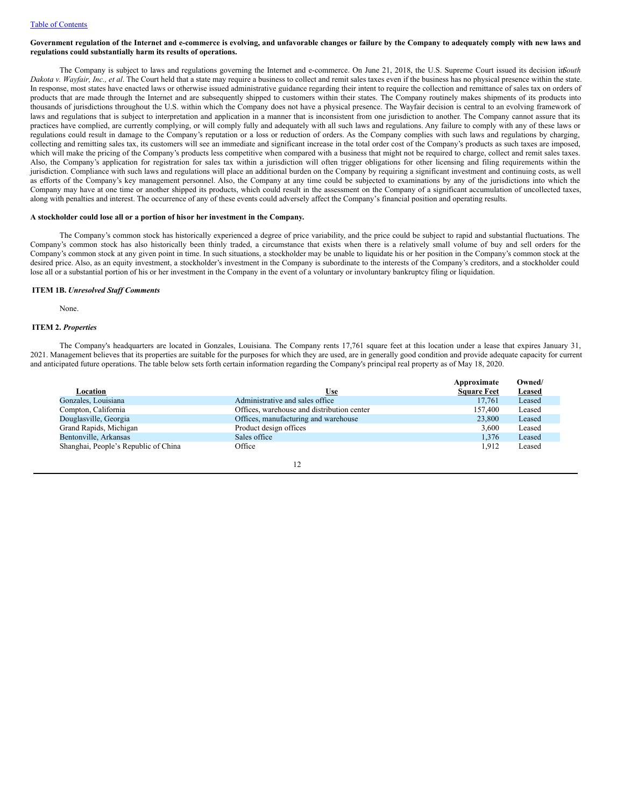### Government regulation of the Internet and e-commerce is evolving, and unfavorable changes or failure by the Company to adequately comply with new laws and **regulations could substantially harm its results of operations.**

The Company is subject to laws and regulations governing the Internet and e-commerce. On June 21, 2018, the U.S. Supreme Court issued its decision in*South Dakota v. Wayfair, Inc., et al*. The Court held that a state may require a business to collect and remit sales taxes even if the business has no physical presence within the state. In response, most states have enacted laws or otherwise issued administrative guidance regarding their intent to require the collection and remittance of sales tax on orders of products that are made through the Internet and are subsequently shipped to customers within their states. The Company routinely makes shipments of its products into thousands of jurisdictions throughout the U.S. within which the Company does not have a physical presence. The Wayfair decision is central to an evolving framework of laws and regulations that is subject to interpretation and application in a manner that is inconsistent from one jurisdiction to another. The Company cannot assure that its practices have complied, are currently complying, or will comply fully and adequately with all such laws and regulations. Any failure to comply with any of these laws or regulations could result in damage to the Company's reputation or a loss or reduction of orders. As the Company complies with such laws and regulations by charging, collecting and remitting sales tax, its customers will see an immediate and significant increase in the total order cost of the Company's products as such taxes are imposed, which will make the pricing of the Company's products less competitive when compared with a business that might not be required to charge, collect and remit sales taxes. Also, the Company's application for registration for sales tax within a jurisdiction will often trigger obligations for other licensing and filing requirements within the jurisdiction. Compliance with such laws and regulations will place an additional burden on the Company by requiring a significant investment and continuing costs, as well as efforts of the Company's key management personnel. Also, the Company at any time could be subjected to examinations by any of the jurisdictions into which the Company may have at one time or another shipped its products, which could result in the assessment on the Company of a significant accumulation of uncollected taxes, along with penalties and interest. The occurrence of any of these events could adversely affect the Company's financial position and operating results.

## **A stockholder could lose all or a portion of hisor her investment in the Company.**

The Company's common stock has historically experienced a degree of price variability, and the price could be subject to rapid and substantial fluctuations. The Company's common stock has also historically been thinly traded, a circumstance that exists when there is a relatively small volume of buy and sell orders for the Company's common stock at any given point in time. In such situations, a stockholder may be unable to liquidate his or her position in the Company's common stock at the desired price. Also, as an equity investment, a stockholder's investment in the Company is subordinate to the interests of the Company's creditors, and a stockholder could lose all or a substantial portion of his or her investment in the Company in the event of a voluntary or involuntary bankruptcy filing or liquidation.

#### <span id="page-12-0"></span>**ITEM 1B.** *Unresolved Staf Comments*

None.

#### <span id="page-12-1"></span>**ITEM 2.** *Properties*

The Company's headquarters are located in Gonzales, Louisiana. The Company rents 17,761 square feet at this location under a lease that expires January 31, 2021. Management believes that its properties are suitable for the purposes for which they are used, are in generally good condition and provide adequate capacity for current and anticipated future operations. The table below sets forth certain information regarding the Company's principal real property as of May 18, 2020.

|                                      |                                            | Approximate        | Owned/        |
|--------------------------------------|--------------------------------------------|--------------------|---------------|
| Location                             | <b>Use</b>                                 | <b>Square Feet</b> | <b>Leased</b> |
| Gonzales, Louisiana                  | Administrative and sales office            | 17.761             | Leased        |
| Compton, California                  | Offices, warehouse and distribution center | 157,400            | Leased        |
| Douglasville, Georgia                | Offices, manufacturing and warehouse       | 23,800             | Leased        |
| Grand Rapids, Michigan               | Product design offices                     | 3.600              | Leased        |
| Bentonville, Arkansas                | Sales office                               | 1.376              | Leased        |
| Shanghai, People's Republic of China | Office                                     | 1.912              | Leased        |
|                                      |                                            |                    |               |

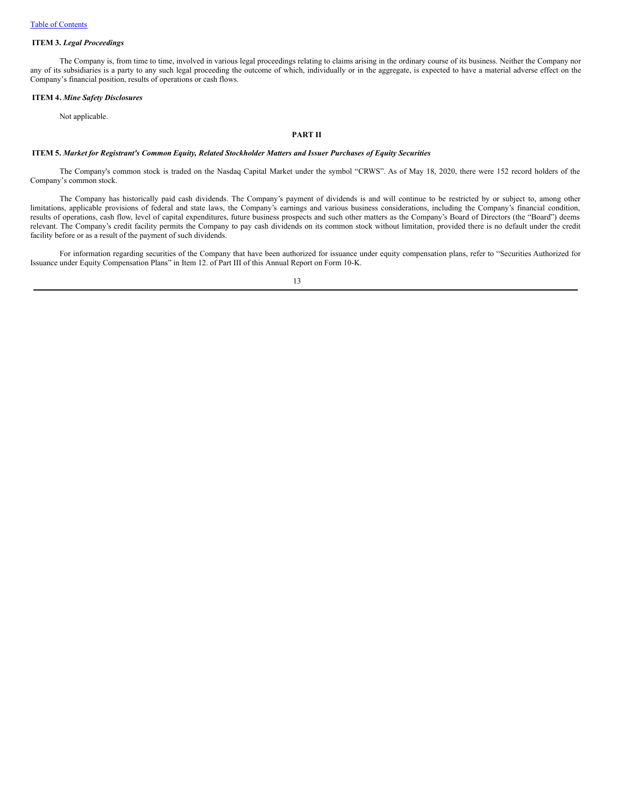## <span id="page-13-0"></span>**ITEM 3.** *Legal Proceedings*

The Company is, from time to time, involved in various legal proceedings relating to claims arising in the ordinary course of its business. Neither the Company nor any of its subsidiaries is a party to any such legal proceeding the outcome of which, individually or in the aggregate, is expected to have a material adverse effect on the Company's financial position, results of operations or cash flows.

### <span id="page-13-1"></span>**ITEM 4.** *Mine Safety Disclosures*

Not applicable.

## <span id="page-13-2"></span>**PART II**

### <span id="page-13-3"></span>ITEM 5. Market for Registrant's Common Equity, Related Stockholder Matters and Issuer Purchases of Equity Securities

The Company's common stock is traded on the Nasdaq Capital Market under the symbol "CRWS". As of May 18, 2020, there were 152 record holders of the Company's common stock.

The Company has historically paid cash dividends. The Company's payment of dividends is and will continue to be restricted by or subject to, among other limitations, applicable provisions of federal and state laws, the Company's earnings and various business considerations, including the Company's financial condition, results of operations, cash flow, level of capital expenditures, future business prospects and such other matters as the Company's Board of Directors (the "Board") deems relevant. The Company's credit facility permits the Company to pay cash dividends on its common stock without limitation, provided there is no default under the credit facility before or as a result of the payment of such dividends.

For information regarding securities of the Company that have been authorized for issuance under equity compensation plans, refer to "Securities Authorized for Issuance under Equity Compensation Plans" in Item 12. of Part III of this Annual Report on Form 10-K.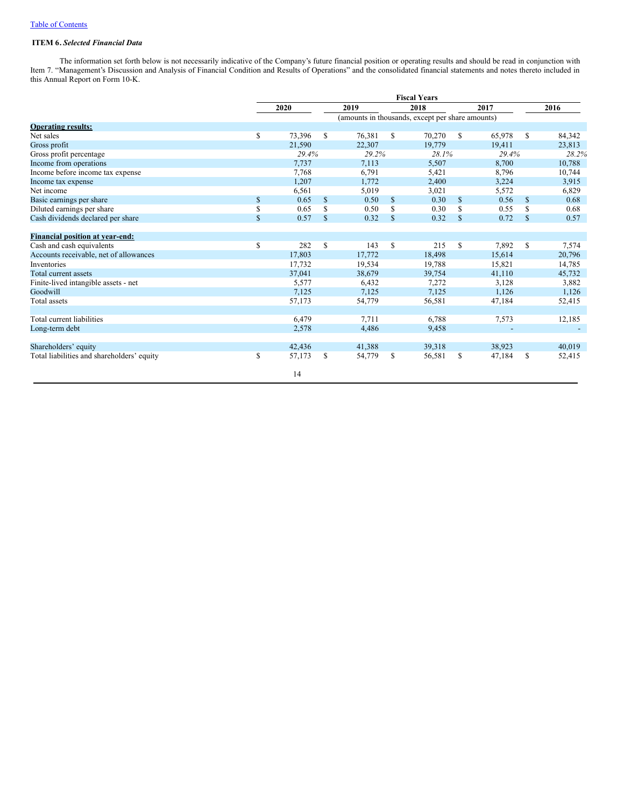## <span id="page-14-0"></span>**ITEM 6.** *Selected Financial Data*

The information set forth below is not necessarily indicative of the Company's future financial position or operating results and should be read in conjunction with Item 7. "Management's Discussion and Analysis of Financial Condition and Results of Operations" and the consolidated financial statements and notes thereto included in this Annual Report on Form 10-K.

|                                            |              | <b>Fiscal Years</b> |              |        |              |                                                  |               |        |              |        |
|--------------------------------------------|--------------|---------------------|--------------|--------|--------------|--------------------------------------------------|---------------|--------|--------------|--------|
|                                            |              | 2020                |              | 2019   |              | 2018                                             |               | 2017   |              | 2016   |
|                                            |              |                     |              |        |              | (amounts in thousands, except per share amounts) |               |        |              |        |
| <b>Operating results:</b>                  |              |                     |              |        |              |                                                  |               |        |              |        |
| Net sales                                  | $\mathbb{S}$ | 73,396              | S            | 76,381 | \$           | 70,270                                           | \$            | 65,978 | S            | 84,342 |
| Gross profit                               |              | 21.590              |              | 22,307 |              | 19.779                                           |               | 19.411 |              | 23,813 |
| Gross profit percentage                    |              | 29.4%               |              | 29.2%  |              | 28.1%                                            |               | 29.4%  |              | 28.2%  |
| Income from operations                     |              | 7,737               |              | 7,113  |              | 5,507                                            |               | 8,700  |              | 10,788 |
| Income before income tax expense           |              | 7,768               |              | 6,791  |              | 5,421                                            |               | 8,796  |              | 10,744 |
| Income tax expense                         |              | 1,207               |              | 1,772  |              | 2,400                                            |               | 3,224  |              | 3,915  |
| Net income                                 |              | 6,561               |              | 5,019  |              | 3,021                                            |               | 5,572  |              | 6,829  |
| Basic earnings per share                   | $\mathbb{S}$ | 0.65                | $\mathbb{S}$ | 0.50   | \$           | 0.30                                             | \$            | 0.56   | $\mathbb{S}$ | 0.68   |
| Diluted earnings per share                 | $\mathbb S$  | 0.65                | S            | 0.50   | S            | 0.30                                             | S             | 0.55   | S            | 0.68   |
| Cash dividends declared per share          | $\mathbf S$  | 0.57                | $\mathbb{S}$ | 0.32   | $\mathbb{S}$ | 0.32                                             | <sup>\$</sup> | 0.72   | $\mathbb{S}$ | 0.57   |
| <b>Financial position at year-end:</b>     |              |                     |              |        |              |                                                  |               |        |              |        |
| Cash and cash equivalents                  | \$           | 282                 | S            | 143    | \$           | 215                                              | \$            | 7,892  | \$           | 7,574  |
| Accounts receivable, net of allowances     |              | 17,803              |              | 17,772 |              | 18,498                                           |               | 15,614 |              | 20,796 |
| Inventories                                |              | 17,732              |              | 19,534 |              | 19,788                                           |               | 15,821 |              | 14,785 |
| Total current assets                       |              | 37,041              |              | 38,679 |              | 39,754                                           |               | 41,110 |              | 45,732 |
| Finite-lived intangible assets - net       |              | 5,577               |              | 6,432  |              | 7,272                                            |               | 3,128  |              | 3,882  |
| Goodwill                                   |              | 7,125               |              | 7,125  |              | 7,125                                            |               | 1,126  |              | 1,126  |
| Total assets                               |              | 57,173              |              | 54,779 |              | 56,581                                           |               | 47,184 |              | 52,415 |
| Total current liabilities                  |              | 6,479               |              | 7,711  |              | 6,788                                            |               | 7,573  |              | 12,185 |
| Long-term debt                             |              | 2,578               |              | 4,486  |              | 9,458                                            |               |        |              |        |
|                                            |              |                     |              |        |              |                                                  |               |        |              |        |
| Shareholders' equity                       |              | 42,436              |              | 41,388 |              | 39,318                                           |               | 38,923 |              | 40,019 |
| Total liabilities and shareholders' equity | $\mathbb{S}$ | 57,173              | S            | 54,779 | S            | 56,581                                           | \$            | 47,184 | S            | 52,415 |
|                                            |              | 14                  |              |        |              |                                                  |               |        |              |        |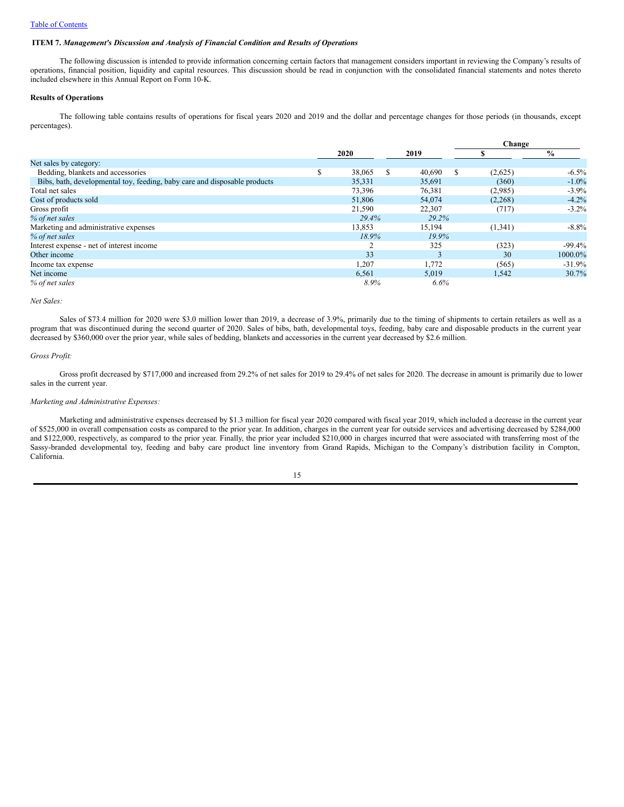## <span id="page-15-0"></span>**ITEM 7.** *Management's Discussion and Analysis of Financial Condition and Results of Operations*

The following discussion is intended to provide information concerning certain factors that management considers important in reviewing the Company's results of operations, financial position, liquidity and capital resources. This discussion should be read in conjunction with the consolidated financial statements and notes thereto included elsewhere in this Annual Report on Form 10-K.

### **Results of Operations**

The following table contains results of operations for fiscal years 2020 and 2019 and the dollar and percentage changes for those periods (in thousands, except percentages).

|                                                                           |     |          |               |          |    | Change  |               |
|---------------------------------------------------------------------------|-----|----------|---------------|----------|----|---------|---------------|
|                                                                           |     | 2020     |               | 2019     |    |         | $\frac{0}{0}$ |
| Net sales by category:                                                    |     |          |               |          |    |         |               |
| Bedding, blankets and accessories                                         | \$. | 38,065   | <sup>\$</sup> | 40,690   | -S | (2,625) | $-6.5\%$      |
| Bibs, bath, developmental toy, feeding, baby care and disposable products |     | 35,331   |               | 35,691   |    | (360)   | $-1.0\%$      |
| Total net sales                                                           |     | 73,396   |               | 76,381   |    | (2,985) | $-3.9%$       |
| Cost of products sold                                                     |     | 51,806   |               | 54,074   |    | (2,268) | $-4.2%$       |
| Gross profit                                                              |     | 21,590   |               | 22,307   |    | (717)   | $-3.2\%$      |
| % of net sales                                                            |     | 29.4%    |               | 29.2%    |    |         |               |
| Marketing and administrative expenses                                     |     | 13,853   |               | 15.194   |    | (1,341) | $-8.8\%$      |
| % of net sales                                                            |     | $18.9\%$ |               | $19.9\%$ |    |         |               |
| Interest expense - net of interest income                                 |     |          |               | 325      |    | (323)   | $-99.4\%$     |
| Other income                                                              |     | 33       |               | -3       |    | 30      | 1000.0%       |
| Income tax expense                                                        |     | 1,207    |               | 1,772    |    | (565)   | $-31.9%$      |
| Net income                                                                |     | 6,561    |               | 5,019    |    | 1,542   | 30.7%         |
| % of net sales                                                            |     | 8.9%     |               | 6.6%     |    |         |               |

### *Net Sales:*

Sales of \$73.4 million for 2020 were \$3.0 million lower than 2019, a decrease of 3.9%, primarily due to the timing of shipments to certain retailers as well as a program that was discontinued during the second quarter of 2020. Sales of bibs, bath, developmental toys, feeding, baby care and disposable products in the current year decreased by \$360,000 over the prior year, while sales of bedding, blankets and accessories in the current year decreased by \$2.6 million.

## *Gross Profit:*

Gross profit decreased by \$717,000 and increased from 29.2% of net sales for 2019 to 29.4% of net sales for 2020. The decrease in amount is primarily due to lower sales in the current year.

### *Marketing and Administrative Expenses:*

Marketing and administrative expenses decreased by \$1.3 million for fiscal year 2020 compared with fiscal year 2019, which included a decrease in the current year of \$525,000 in overall compensation costs as compared to the prior year. In addition, charges in the current year for outside services and advertising decreased by \$284,000 and \$122,000, respectively, as compared to the prior year. Finally, the prior year included \$210,000 in charges incurred that were associated with transferring most of the Sassy-branded developmental toy, feeding and baby care product line inventory from Grand Rapids, Michigan to the Company's distribution facility in Compton, California.

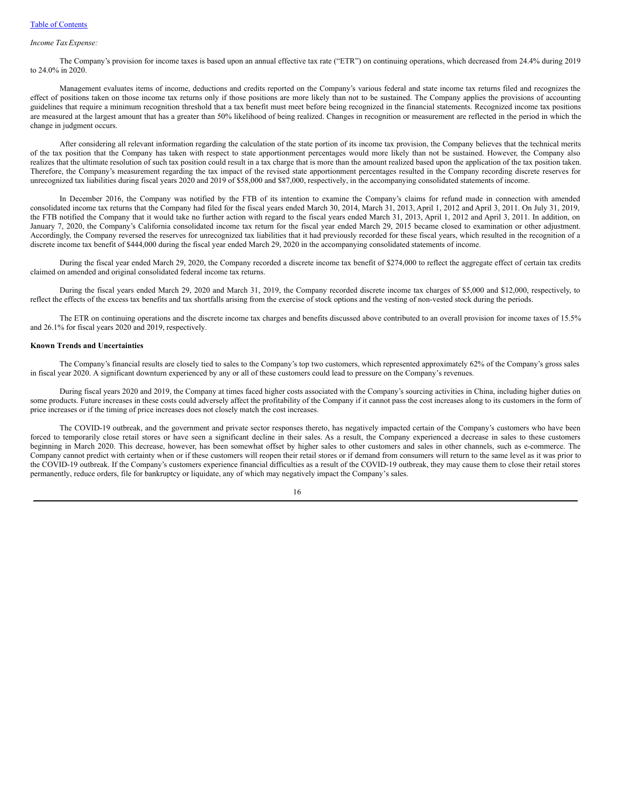## *Income TaxExpense:*

The Company's provision for income taxes is based upon an annual effective tax rate ("ETR") on continuing operations, which decreased from 24.4% during 2019 to 24.0% in 2020.

Management evaluates items of income, deductions and credits reported on the Company's various federal and state income tax returns filed and recognizes the effect of positions taken on those income tax returns only if those positions are more likely than not to be sustained. The Company applies the provisions of accounting guidelines that require a minimum recognition threshold that a tax benefit must meet before being recognized in the financial statements. Recognized income tax positions are measured at the largest amount that has a greater than 50% likelihood of being realized. Changes in recognition or measurement are reflected in the period in which the change in judgment occurs.

After considering all relevant information regarding the calculation of the state portion of its income tax provision, the Company believes that the technical merits of the tax position that the Company has taken with respect to state apportionment percentages would more likely than not be sustained. However, the Company also realizes that the ultimate resolution of such tax position could result in a tax charge that is more than the amount realized based upon the application of the tax position taken. Therefore, the Company's measurement regarding the tax impact of the revised state apportionment percentages resulted in the Company recording discrete reserves for unrecognized tax liabilities during fiscal years 2020 and 2019 of \$58,000 and \$87,000, respectively, in the accompanying consolidated statements of income.

In December 2016, the Company was notified by the FTB of its intention to examine the Company's claims for refund made in connection with amended consolidated income tax returns that the Company had filed for the fiscal years ended March 30, 2014, March 31, 2013, April 1, 2012 and April 3, 2011. On July 31, 2019, the FTB notified the Company that it would take no further action with regard to the fiscal years ended March 31, 2013, April 1, 2012 and April 3, 2011. In addition, on January 7, 2020, the Company's California consolidated income tax return for the fiscal year ended March 29, 2015 became closed to examination or other adjustment. Accordingly, the Company reversed the reserves for unrecognized tax liabilities that it had previously recorded for these fiscal years, which resulted in the recognition of a discrete income tax benefit of \$444,000 during the fiscal year ended March 29, 2020 in the accompanying consolidated statements of income.

During the fiscal year ended March 29, 2020, the Company recorded a discrete income tax benefit of \$274,000 to reflect the aggregate effect of certain tax credits claimed on amended and original consolidated federal income tax returns.

During the fiscal years ended March 29, 2020 and March 31, 2019, the Company recorded discrete income tax charges of \$5,000 and \$12,000, respectively, to reflect the effects of the excess tax benefits and tax shortfalls arising from the exercise of stock options and the vesting of non-vested stock during the periods.

The ETR on continuing operations and the discrete income tax charges and benefits discussed above contributed to an overall provision for income taxes of 15.5% and 26.1% for fiscal years 2020 and 2019, respectively.

#### **Known Trends and Uncertainties**

The Company's financial results are closely tied to sales to the Company's top two customers, which represented approximately 62% of the Company's gross sales in fiscal year 2020. A significant downturn experienced by any or all of these customers could lead to pressure on the Company's revenues.

During fiscal years 2020 and 2019, the Company at times faced higher costs associated with the Company's sourcing activities in China, including higher duties on some products. Future increases in these costs could adversely affect the profitability of the Company if it cannot pass the cost increases along to its customers in the form of price increases or if the timing of price increases does not closely match the cost increases.

The COVID-19 outbreak, and the government and private sector responses thereto, has negatively impacted certain of the Company's customers who have been forced to temporarily close retail stores or have seen a significant decline in their sales. As a result, the Company experienced a decrease in sales to these customers beginning in March 2020. This decrease, however, has been somewhat offset by higher sales to other customers and sales in other channels, such as e-commerce. The Company cannot predict with certainty when or if these customers will reopen their retail stores or if demand from consumers will return to the same level as it was prior to the COVID-19 outbreak. If the Company's customers experience financial difficulties as a result of the COVID-19 outbreak, they may cause them to close their retail stores permanently, reduce orders, file for bankruptcy or liquidate, any of which may negatively impact the Company's sales.

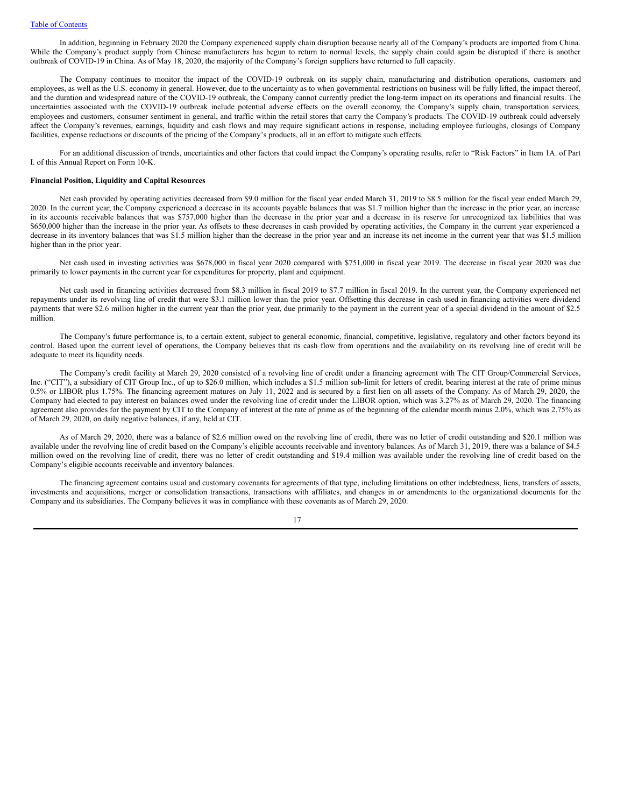In addition, beginning in February 2020 the Company experienced supply chain disruption because nearly all of the Company's products are imported from China. While the Company's product supply from Chinese manufacturers has begun to return to normal levels, the supply chain could again be disrupted if there is another outbreak of COVID-19 in China. As of May 18, 2020, the majority of the Company's foreign suppliers have returned to full capacity.

The Company continues to monitor the impact of the COVID-19 outbreak on its supply chain, manufacturing and distribution operations, customers and employees, as well as the U.S. economy in general. However, due to the uncertainty as to when governmental restrictions on business will be fully lifted, the impact thereof, and the duration and widespread nature of the COVID-19 outbreak, the Company cannot currently predict the long-term impact on its operations and financial results. The uncertainties associated with the COVID-19 outbreak include potential adverse effects on the overall economy, the Company's supply chain, transportation services, employees and customers, consumer sentiment in general, and traffic within the retail stores that carry the Company's products. The COVID-19 outbreak could adversely affect the Company's revenues, earnings, liquidity and cash flows and may require significant actions in response, including employee furloughs, closings of Company facilities, expense reductions or discounts of the pricing of the Company's products, all in an effort to mitigate such effects.

For an additional discussion of trends, uncertainties and other factors that could impact the Company's operating results, refer to "Risk Factors" in Item 1A. of Part I. of this Annual Report on Form 10-K.

### **Financial Position, Liquidity and Capital Resources**

Net cash provided by operating activities decreased from \$9.0 million for the fiscal year ended March 31, 2019 to \$8.5 million for the fiscal year ended March 29, 2020. In the current year, the Company experienced a decrease in its accounts payable balances that was \$1.7 million higher than the increase in the prior year, an increase in its accounts receivable balances that was \$757,000 higher than the decrease in the prior year and a decrease in its reserve for unrecognized tax liabilities that was \$650,000 higher than the increase in the prior year. As offsets to these decreases in cash provided by operating activities, the Company in the current year experienced a decrease in its inventory balances that was \$1.5 million higher than the decrease in the prior year and an increase its net income in the current year that was \$1.5 million higher than in the prior year.

Net cash used in investing activities was \$678,000 in fiscal year 2020 compared with \$751,000 in fiscal year 2019. The decrease in fiscal year 2020 was due primarily to lower payments in the current year for expenditures for property, plant and equipment.

Net cash used in financing activities decreased from \$8.3 million in fiscal 2019 to \$7.7 million in fiscal 2019. In the current year, the Company experienced net repayments under its revolving line of credit that were \$3.1 million lower than the prior year. Offsetting this decrease in cash used in financing activities were dividend payments that were \$2.6 million higher in the current year than the prior year, due primarily to the payment in the current year of a special dividend in the amount of \$2.5 million.

The Company's future performance is, to a certain extent, subject to general economic, financial, competitive, legislative, regulatory and other factors beyond its control. Based upon the current level of operations, the Company believes that its cash flow from operations and the availability on its revolving line of credit will be adequate to meet its liquidity needs.

The Company's credit facility at March 29, 2020 consisted of a revolving line of credit under a financing agreement with The CIT Group/Commercial Services, Inc. ("CIT"), a subsidiary of CIT Group Inc., of up to \$26.0 million, which includes a \$1.5 million sub-limit for letters of credit, bearing interest at the rate of prime minus 0.5% or LIBOR plus 1.75%. The financing agreement matures on July 11, 2022 and is secured by a first lien on all assets of the Company. As of March 29, 2020, the Company had elected to pay interest on balances owed under the revolving line of credit under the LIBOR option, which was 3.27% as of March 29, 2020. The financing agreement also provides for the payment by CIT to the Company of interest at the rate of prime as of the beginning of the calendar month minus 2.0%, which was 2.75% as of March 29, 2020, on daily negative balances, if any, held at CIT.

As of March 29, 2020, there was a balance of \$2.6 million owed on the revolving line of credit, there was no letter of credit outstanding and \$20.1 million was available under the revolving line of credit based on the Company's eligible accounts receivable and inventory balances. As of March 31, 2019, there was a balance of \$4.5 million owed on the revolving line of credit, there was no letter of credit outstanding and \$19.4 million was available under the revolving line of credit based on the Company's eligible accounts receivable and inventory balances.

The financing agreement contains usual and customary covenants for agreements of that type, including limitations on other indebtedness, liens, transfers of assets, investments and acquisitions, merger or consolidation transactions, transactions with affiliates, and changes in or amendments to the organizational documents for the Company and its subsidiaries. The Company believes it was in compliance with these covenants as of March 29, 2020.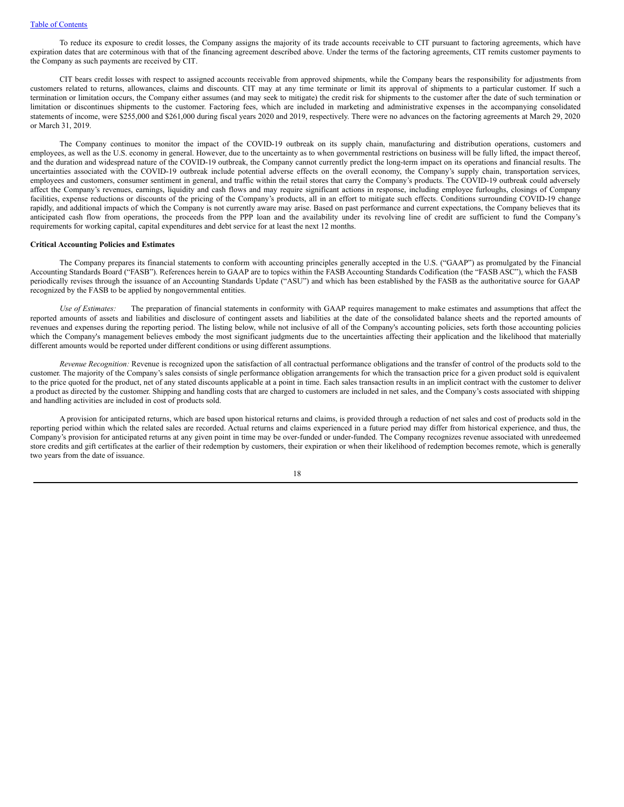To reduce its exposure to credit losses, the Company assigns the majority of its trade accounts receivable to CIT pursuant to factoring agreements, which have expiration dates that are coterminous with that of the financing agreement described above. Under the terms of the factoring agreements, CIT remits customer payments to the Company as such payments are received by CIT.

CIT bears credit losses with respect to assigned accounts receivable from approved shipments, while the Company bears the responsibility for adjustments from customers related to returns, allowances, claims and discounts. CIT may at any time terminate or limit its approval of shipments to a particular customer. If such a termination or limitation occurs, the Company either assumes (and may seek to mitigate) the credit risk for shipments to the customer after the date of such termination or limitation or discontinues shipments to the customer. Factoring fees, which are included in marketing and administrative expenses in the accompanying consolidated statements of income, were \$255,000 and \$261,000 during fiscal years 2020 and 2019, respectively. There were no advances on the factoring agreements at March 29, 2020 or March 31, 2019.

The Company continues to monitor the impact of the COVID-19 outbreak on its supply chain, manufacturing and distribution operations, customers and employees, as well as the U.S. economy in general. However, due to the uncertainty as to when governmental restrictions on business will be fully lifted, the impact thereof, and the duration and widespread nature of the COVID-19 outbreak, the Company cannot currently predict the long-term impact on its operations and financial results. The uncertainties associated with the COVID-19 outbreak include potential adverse effects on the overall economy, the Company's supply chain, transportation services, employees and customers, consumer sentiment in general, and traffic within the retail stores that carry the Company's products. The COVID-19 outbreak could adversely affect the Company's revenues, earnings, liquidity and cash flows and may require significant actions in response, including employee furloughs, closings of Company facilities, expense reductions or discounts of the pricing of the Company's products, all in an effort to mitigate such effects. Conditions surrounding COVID-19 change rapidly, and additional impacts of which the Company is not currently aware may arise. Based on past performance and current expectations, the Company believes that its anticipated cash flow from operations, the proceeds from the PPP loan and the availability under its revolving line of credit are sufficient to fund the Company's requirements for working capital, capital expenditures and debt service for at least the next 12 months.

### **Critical Accounting Policies and Estimates**

The Company prepares its financial statements to conform with accounting principles generally accepted in the U.S. ("GAAP") as promulgated by the Financial Accounting Standards Board ("FASB"). References herein to GAAP are to topics within the FASB Accounting Standards Codification (the "FASB ASC"), which the FASB periodically revises through the issuance of an Accounting Standards Update ("ASU") and which has been established by the FASB as the authoritative source for GAAP recognized by the FASB to be applied by nongovernmental entities.

*Use of Estimates:* The preparation of financial statements in conformity with GAAP requires management to make estimates and assumptions that affect the reported amounts of assets and liabilities and disclosure of contingent assets and liabilities at the date of the consolidated balance sheets and the reported amounts of revenues and expenses during the reporting period. The listing below, while not inclusive of all of the Company's accounting policies, sets forth those accounting policies which the Company's management believes embody the most significant judgments due to the uncertainties affecting their application and the likelihood that materially different amounts would be reported under different conditions or using different assumptions.

*Revenue Recognition:* Revenue is recognized upon the satisfaction of all contractual performance obligations and the transfer of control of the products sold to the customer. The majority of the Company's sales consists of single performance obligation arrangements for which the transaction price for a given product sold is equivalent to the price quoted for the product, net of any stated discounts applicable at a point in time. Each sales transaction results in an implicit contract with the customer to deliver a product as directed by the customer. Shipping and handling costs that are charged to customers are included in net sales, and the Company's costs associated with shipping and handling activities are included in cost of products sold.

A provision for anticipated returns, which are based upon historical returns and claims, is provided through a reduction of net sales and cost of products sold in the reporting period within which the related sales are recorded. Actual returns and claims experienced in a future period may differ from historical experience, and thus, the Company's provision for anticipated returns at any given point in time may be over-funded or under-funded. The Company recognizes revenue associated with unredeemed store credits and gift certificates at the earlier of their redemption by customers, their expiration or when their likelihood of redemption becomes remote, which is generally two years from the date of issuance.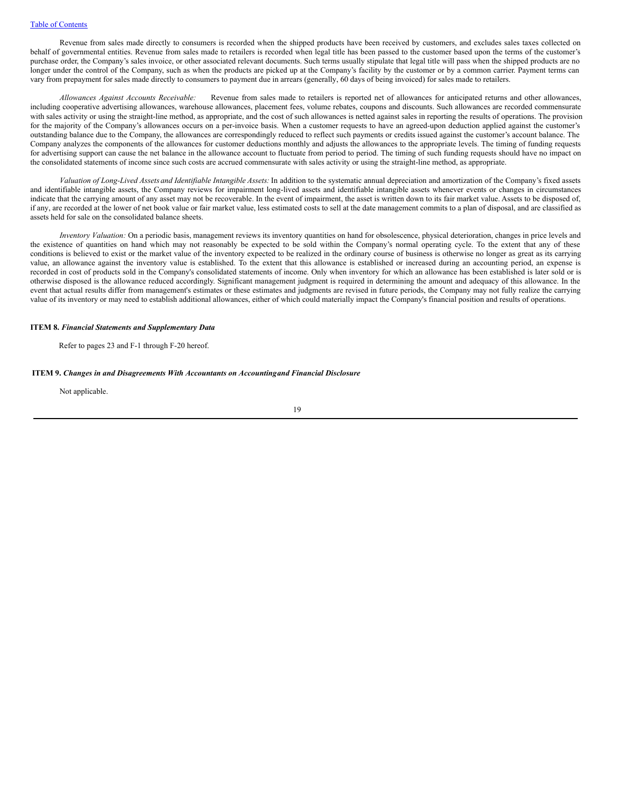Revenue from sales made directly to consumers is recorded when the shipped products have been received by customers, and excludes sales taxes collected on behalf of governmental entities. Revenue from sales made to retailers is recorded when legal title has been passed to the customer based upon the terms of the customer's purchase order, the Company's sales invoice, or other associated relevant documents. Such terms usually stipulate that legal title will pass when the shipped products are no longer under the control of the Company, such as when the products are picked up at the Company's facility by the customer or by a common carrier. Payment terms can vary from prepayment for sales made directly to consumers to payment due in arrears (generally, 60 days of being invoiced) for sales made to retailers.

*Allowances Against Accounts Receivable:* Revenue from sales made to retailers is reported net of allowances for anticipated returns and other allowances, including cooperative advertising allowances, warehouse allowances, placement fees, volume rebates, coupons and discounts. Such allowances are recorded commensurate with sales activity or using the straight-line method, as appropriate, and the cost of such allowances is netted against sales in reporting the results of operations. The provision for the majority of the Company's allowances occurs on a per-invoice basis. When a customer requests to have an agreed-upon deduction applied against the customer's outstanding balance due to the Company, the allowances are correspondingly reduced to reflect such payments or credits issued against the customer's account balance. The Company analyzes the components of the allowances for customer deductions monthly and adjusts the allowances to the appropriate levels. The timing of funding requests for advertising support can cause the net balance in the allowance account to fluctuate from period to period. The timing of such funding requests should have no impact on the consolidated statements of income since such costs are accrued commensurate with sales activity or using the straight-line method, as appropriate.

*Valuation of Long-Lived Assets and Identifiable Intangible Assets:* In addition to the systematic annual depreciation and amortization of the Company's fixed assets and identifiable intangible assets, the Company reviews for impairment long-lived assets and identifiable intangible assets whenever events or changes in circumstances indicate that the carrying amount of any asset may not be recoverable. In the event of impairment, the asset is written down to its fair market value. Assets to be disposed of, if any, are recorded at the lower of net book value or fair market value, less estimated costs to sell at the date management commits to a plan of disposal, and are classified as assets held for sale on the consolidated balance sheets.

*Inventory Valuation:* On a periodic basis, management reviews its inventory quantities on hand for obsolescence, physical deterioration, changes in price levels and the existence of quantities on hand which may not reasonably be expected to be sold within the Company's normal operating cycle. To the extent that any of these conditions is believed to exist or the market value of the inventory expected to be realized in the ordinary course of business is otherwise no longer as great as its carrying value, an allowance against the inventory value is established. To the extent that this allowance is established or increased during an accounting period, an expense is recorded in cost of products sold in the Company's consolidated statements of income. Only when inventory for which an allowance has been established is later sold or is otherwise disposed is the allowance reduced accordingly. Significant management judgment is required in determining the amount and adequacy of this allowance. In the event that actual results differ from management's estimates or these estimates and judgments are revised in future periods, the Company may not fully realize the carrying value of its inventory or may need to establish additional allowances, either of which could materially impact the Company's financial position and results of operations.

#### **ITEM 8.** *Financial Statements and Supplementary Data*

Refer to pages 23 and F-1 through F-20 hereof.

#### <span id="page-19-0"></span>**ITEM 9.** *Changes in and Disagreements With Accountants on Accountingand Financial Disclosure*

Not applicable.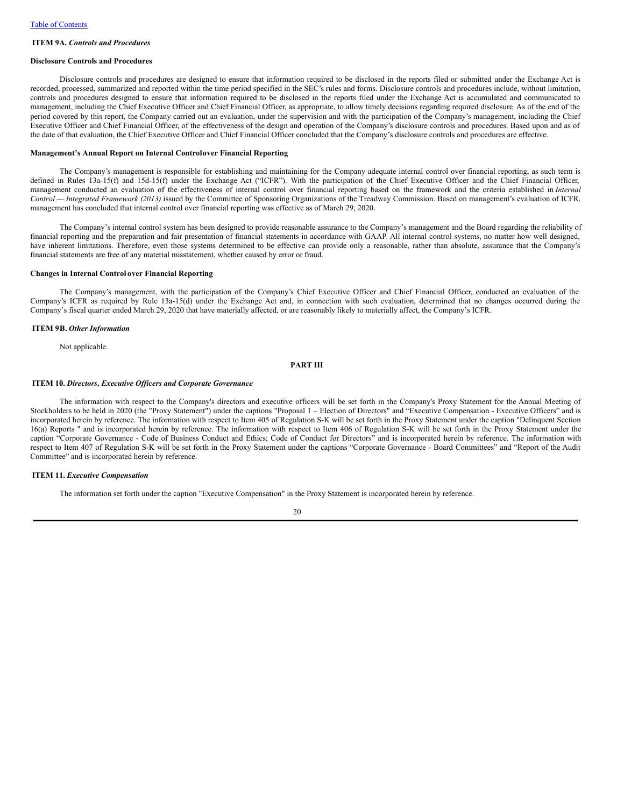## <span id="page-20-0"></span>**ITEM 9A.** *Controls and Procedures*

## **Disclosure Controls and Procedures**

Disclosure controls and procedures are designed to ensure that information required to be disclosed in the reports filed or submitted under the Exchange Act is recorded, processed, summarized and reported within the time period specified in the SEC's rules and forms. Disclosure controls and procedures include, without limitation, controls and procedures designed to ensure that information required to be disclosed in the reports filed under the Exchange Act is accumulated and communicated to management, including the Chief Executive Officer and Chief Financial Officer, as appropriate, to allow timely decisions regarding required disclosure. As of the end of the period covered by this report, the Company carried out an evaluation, under the supervision and with the participation of the Company's management, including the Chief Executive Officer and Chief Financial Officer, of the effectiveness of the design and operation of the Company's disclosure controls and procedures. Based upon and as of the date of that evaluation, the Chief Executive Officer and Chief Financial Officer concluded that the Company's disclosure controls and procedures are effective.

## **Management's Annual Report on Internal Controlover Financial Reporting**

The Company's management is responsible for establishing and maintaining for the Company adequate internal control over financial reporting, as such term is defined in Rules 13a-15(f) and 15d-15(f) under the Exchange Act ("ICFR"). With the participation of the Chief Executive Officer and the Chief Financial Officer, management conducted an evaluation of the effectiveness of internal control over financial reporting based on the framework and the criteria established in *Internal Control — Integrated Framework (2013)* issued by the Committee of Sponsoring Organizations of the Treadway Commission. Based on management's evaluation of ICFR, management has concluded that internal control over financial reporting was effective as of March 29, 2020.

The Company's internal control system has been designed to provide reasonable assurance to the Company's management and the Board regarding the reliability of financial reporting and the preparation and fair presentation of financial statements in accordance with GAAP. All internal control systems, no matter how well designed, have inherent limitations. Therefore, even those systems determined to be effective can provide only a reasonable, rather than absolute, assurance that the Company's financial statements are free of any material misstatement, whether caused by error or fraud.

## **Changes in Internal Control over Financial Reporting**

The Company's management, with the participation of the Company's Chief Executive Officer and Chief Financial Officer, conducted an evaluation of the Company's ICFR as required by Rule 13a-15(d) under the Exchange Act and, in connection with such evaluation, determined that no changes occurred during the Company's fiscal quarter ended March 29, 2020 that have materially affected, or are reasonably likely to materially affect, the Company's ICFR.

### <span id="page-20-1"></span>**ITEM 9B.** *Other Information*

Not applicable.

### <span id="page-20-2"></span>**PART III**

#### <span id="page-20-3"></span>**ITEM 10.** *Directors, Executive Of icers and Corporate Governance*

The information with respect to the Company's directors and executive officers will be set forth in the Company's Proxy Statement for the Annual Meeting of Stockholders to be held in 2020 (the "Proxy Statement") under the captions "Proposal 1 – Election of Directors" and "Executive Compensation - Executive Officers" and is incorporated herein by reference. The information with respect to Item 405 of Regulation S-K will be set forth in the Proxy Statement under the caption "Delinquent Section 16(a) Reports " and is incorporated herein by reference. The information with respect to Item 406 of Regulation S-K will be set forth in the Proxy Statement under the caption "Corporate Governance - Code of Business Conduct and Ethics; Code of Conduct for Directors" and is incorporated herein by reference. The information with respect to Item 407 of Regulation S-K will be set forth in the Proxy Statement under the captions "Corporate Governance - Board Committees" and "Report of the Audit Committee" and is incorporated herein by reference.

#### <span id="page-20-4"></span>**ITEM 11.** *Executive Compensation*

The information set forth under the caption "Executive Compensation" in the Proxy Statement is incorporated herein by reference.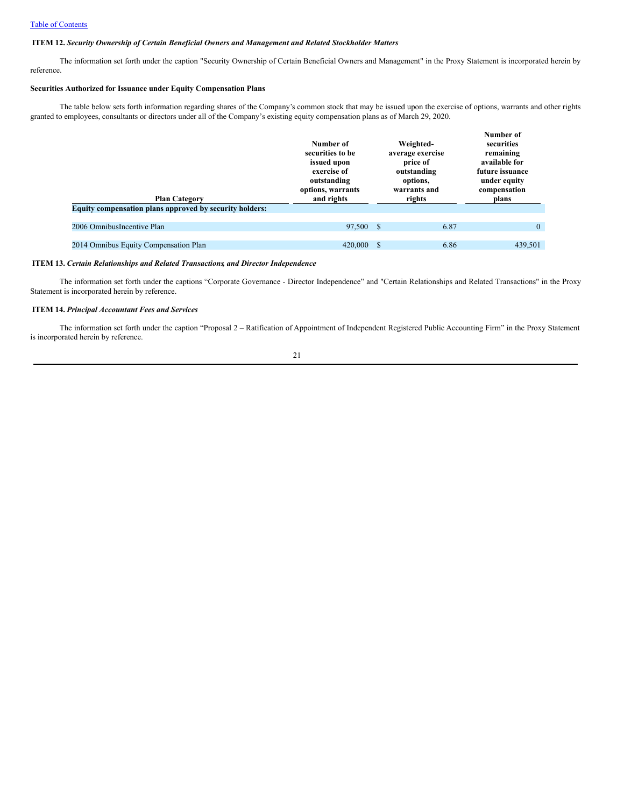### <span id="page-21-0"></span>**ITEM 12.** *Security Ownership of Certain Beneficial Owners and Management and Related Stockholder Matters*

The information set forth under the caption "Security Ownership of Certain Beneficial Owners and Management" in the Proxy Statement is incorporated herein by reference.

## **Securities Authorized for Issuance under Equity Compensation Plans**

The table below sets forth information regarding shares of the Company's common stock that may be issued upon the exercise of options, warrants and other rights granted to employees, consultants or directors under all of the Company's existing equity compensation plans as of March 29, 2020.

| <b>Plan Category</b>                                    | Number of<br>securities to be<br>issued upon<br>exercise of<br>outstanding<br>options, warrants<br>and rights | Weighted-<br>average exercise<br>price of<br>outstanding<br>options,<br>warrants and<br>rights | Number of<br>securities<br>remaining<br>available for<br>future issuance<br>under equity<br>compensation<br>plans |
|---------------------------------------------------------|---------------------------------------------------------------------------------------------------------------|------------------------------------------------------------------------------------------------|-------------------------------------------------------------------------------------------------------------------|
| Equity compensation plans approved by security holders: |                                                                                                               |                                                                                                |                                                                                                                   |
| 2006 OmnibusIncentive Plan                              | 97,500 \$                                                                                                     | 6.87                                                                                           | $\theta$                                                                                                          |
| 2014 Omnibus Equity Compensation Plan                   | 420,000                                                                                                       | 6.86                                                                                           | 439.501                                                                                                           |

### <span id="page-21-1"></span>**ITEM 13.** *Certain Relationships and Related Transactions, and Director Independence*

The information set forth under the captions "Corporate Governance - Director Independence" and "Certain Relationships and Related Transactions" in the Proxy Statement is incorporated herein by reference.

## <span id="page-21-2"></span>**ITEM 14.** *Principal Accountant Fees and Services*

The information set forth under the caption "Proposal 2 – Ratification of Appointment of Independent Registered Public Accounting Firm" in the Proxy Statement is incorporated herein by reference.

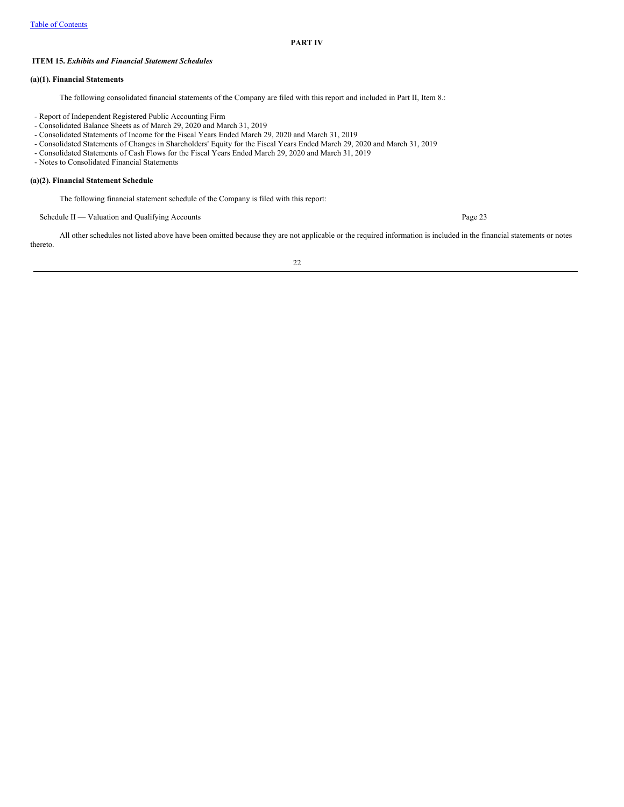<span id="page-22-0"></span>**PART IV**

## <span id="page-22-1"></span>**ITEM 15.** *Exhibits and Financial Statement Schedules*

### **(a)(1). Financial Statements**

The following consolidated financial statements of the Company are filed with this report and included in Part II, Item 8.:

- Report of Independent Registered Public Accounting Firm

- Consolidated Balance Sheets as of March 29, 2020 and March 31, 2019

- Consolidated Statements of Income for the Fiscal Years Ended March 29, 2020 and March 31, 2019

- Consolidated Statements of Changes in Shareholders' Equity for the Fiscal Years Ended March 29, 2020 and March 31, 2019

- Consolidated Statements of Cash Flows for the Fiscal Years Ended March 29, 2020 and March 31, 2019

- Notes to Consolidated Financial Statements

### **(a)(2). Financial Statement Schedule**

The following financial statement schedule of the Company is filed with this report:

Schedule II — Valuation and Qualifying Accounts Page 23

All other schedules not listed above have been omitted because they are not applicable or the required information is included in the financial statements or notes thereto.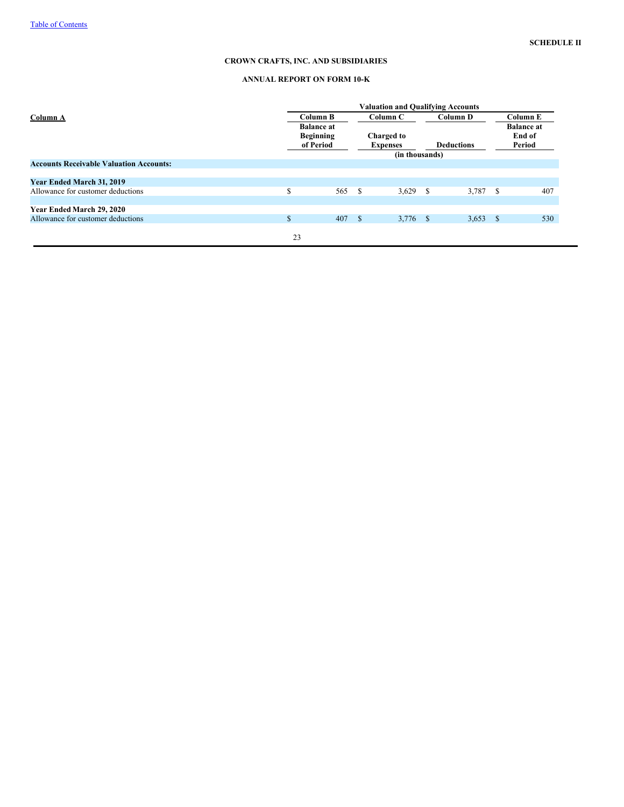# **CROWN CRAFTS, INC. AND SUBSIDIARIES**

# **ANNUAL REPORT ON FORM 10-K**

| <b>Valuation and Qualifying Accounts</b>       |               |                   |              |                   |      |                   |      |                   |  |
|------------------------------------------------|---------------|-------------------|--------------|-------------------|------|-------------------|------|-------------------|--|
| Column A                                       |               | <b>Column B</b>   |              | Column C          |      | Column D          |      | Column E          |  |
|                                                |               | <b>Balance at</b> |              |                   |      |                   |      | <b>Balance</b> at |  |
|                                                |               | <b>Beginning</b>  |              | <b>Charged to</b> |      |                   |      | End of            |  |
|                                                |               | of Period         |              | <b>Expenses</b>   |      | <b>Deductions</b> |      | Period            |  |
|                                                |               |                   |              | (in thousands)    |      |                   |      |                   |  |
| <b>Accounts Receivable Valuation Accounts:</b> |               |                   |              |                   |      |                   |      |                   |  |
|                                                |               |                   |              |                   |      |                   |      |                   |  |
| Year Ended March 31, 2019                      |               |                   |              |                   |      |                   |      |                   |  |
| Allowance for customer deductions              | S             | 565               | <sup>S</sup> | 3,629             | -S   | 3,787 \$          |      | 407               |  |
|                                                |               |                   |              |                   |      |                   |      |                   |  |
| Year Ended March 29, 2020                      |               |                   |              |                   |      |                   |      |                   |  |
| Allowance for customer deductions              | $\mathcal{S}$ | 407               | $^{\circ}$   | 3,776             | - \$ | 3,653             | - \$ | 530               |  |
|                                                |               |                   |              |                   |      |                   |      |                   |  |
|                                                | 23            |                   |              |                   |      |                   |      |                   |  |
|                                                |               |                   |              |                   |      |                   |      |                   |  |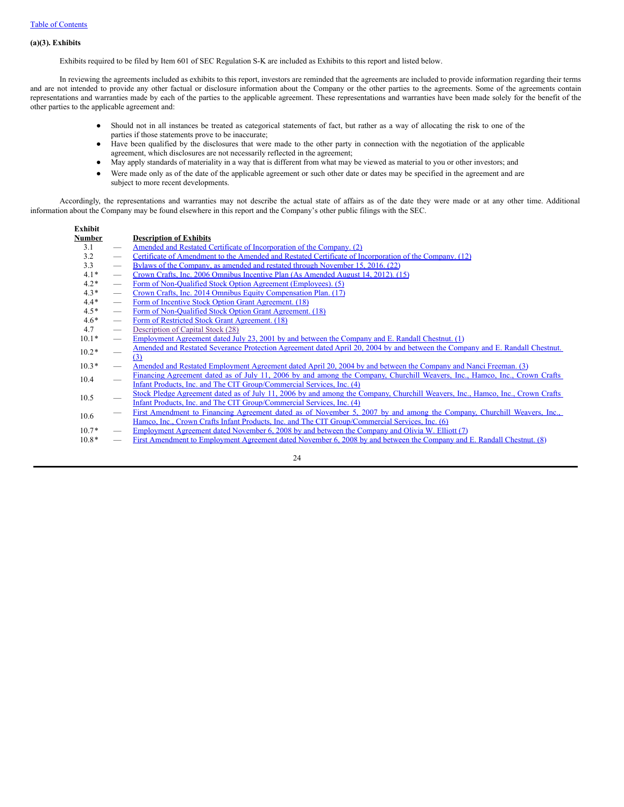## **(a)(3). Exhibits**

Exhibits required to be filed by Item 601 of SEC Regulation S-K are included as Exhibits to this report and listed below.

In reviewing the agreements included as exhibits to this report, investors are reminded that the agreements are included to provide information regarding their terms and are not intended to provide any other factual or disclosure information about the Company or the other parties to the agreements. Some of the agreements contain representations and warranties made by each of the parties to the applicable agreement. These representations and warranties have been made solely for the benefit of the other parties to the applicable agreement and:

- Should not in all instances be treated as categorical statements of fact, but rather as a way of allocating the risk to one of the parties if those statements prove to be inaccurate;
- Have been qualified by the disclosures that were made to the other party in connection with the negotiation of the applicable agreement, which disclosures are not necessarily reflected in the agreement;
- May apply standards of materiality in a way that is different from what may be viewed as material to you or other investors; and
- Were made only as of the date of the applicable agreement or such other date or dates may be specified in the agreement and are subject to more recent developments.

Accordingly, the representations and warranties may not describe the actual state of affairs as of the date they were made or at any other time. Additional information about the Company may be found elsewhere in this report and the Company's other public filings with the SEC.

| Exhibit |                                       |                                                                                                                               |
|---------|---------------------------------------|-------------------------------------------------------------------------------------------------------------------------------|
| Number  |                                       | <b>Description of Exhibits</b>                                                                                                |
| 3.1     |                                       | Amended and Restated Certificate of Incorporation of the Company. (2)                                                         |
| 3.2     |                                       | Certificate of Amendment to the Amended and Restated Certificate of Incorporation of the Company. (12)                        |
| 3.3     | $\overbrace{\qquad \qquad }^{}$       | Bylaws of the Company, as amended and restated through November 15, 2016. (22)                                                |
| $4.1*$  | $\overbrace{\qquad \qquad }^{}$       | Crown Crafts, Inc. 2006 Omnibus Incentive Plan (As Amended August 14, 2012). (15)                                             |
| $4.2*$  | $\overbrace{\qquad \qquad }^{}$       | Form of Non-Qualified Stock Option Agreement (Employees). (5)                                                                 |
| $4.3*$  | $\overbrace{\qquad \qquad }^{}$       | Crown Crafts, Inc. 2014 Omnibus Equity Compensation Plan. (17)                                                                |
| $4.4*$  |                                       | Form of Incentive Stock Option Grant Agreement. (18)                                                                          |
| $4.5*$  | $\overbrace{\qquad \qquad }^{}$       | Form of Non-Qualified Stock Option Grant Agreement. (18)                                                                      |
| $4.6*$  |                                       | Form of Restricted Stock Grant Agreement. (18)                                                                                |
| 4.7     |                                       | Description of Capital Stock (28)                                                                                             |
| $10.1*$ | $\hspace{1.0cm} \rule{1.5cm}{0.15cm}$ | Employment Agreement dated July 23, 2001 by and between the Company and E. Randall Chestnut. (1)                              |
| $10.2*$ |                                       | Amended and Restated Severance Protection Agreement dated April 20, 2004 by and between the Company and E. Randall Chestnut.  |
|         |                                       | (3)                                                                                                                           |
| $10.3*$ |                                       | Amended and Restated Employment Agreement dated April 20, 2004 by and between the Company and Nanci Freeman. (3)              |
| 10.4    |                                       | Financing Agreement dated as of July 11, 2006 by and among the Company, Churchill Weavers, Inc., Hamco, Inc., Crown Crafts    |
|         |                                       | Infant Products, Inc. and The CIT Group/Commercial Services, Inc. (4)                                                         |
| 10.5    |                                       | Stock Pledge Agreement dated as of July 11, 2006 by and among the Company, Churchill Weavers, Inc., Hamco, Inc., Crown Crafts |
|         |                                       | Infant Products, Inc. and The CIT Group/Commercial Services, Inc. (4)                                                         |
| 10.6    | —                                     | First Amendment to Financing Agreement dated as of November 5, 2007 by and among the Company, Churchill Weavers, Inc.,        |
|         |                                       | Hamco, Inc., Crown Crafts Infant Products, Inc. and The CIT Group/Commercial Services, Inc. (6)                               |
| $10.7*$ | $\overbrace{\qquad \qquad }^{}$       | Employment Agreement dated November 6, 2008 by and between the Company and Olivia W. Elliott (7)                              |
| $10.8*$ | $\overline{\phantom{0}}$              | First Amendment to Employment Agreement dated November 6, 2008 by and between the Company and E. Randall Chestnut. (8)        |
|         |                                       |                                                                                                                               |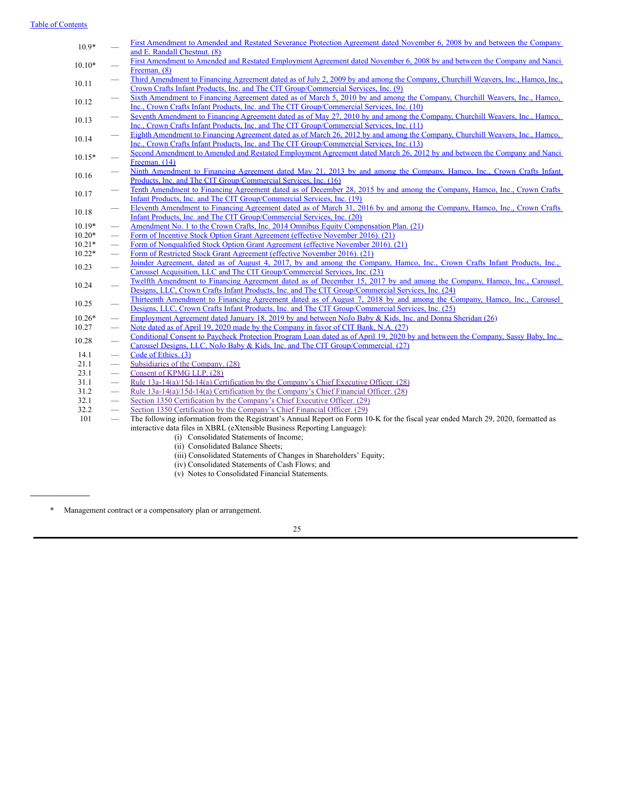# Table of [Contents](#page-2-0)

**\_\_\_\_\_\_\_\_\_\_\_\_\_\_\_**

| $10.9*$      |                                                           | First Amendment to Amended and Restated Severance Protection Agreement dated November 6, 2008 by and between the Company          |
|--------------|-----------------------------------------------------------|-----------------------------------------------------------------------------------------------------------------------------------|
|              |                                                           | and E. Randall Chestnut. (8)                                                                                                      |
| $10.10*$     |                                                           | First Amendment to Amended and Restated Employment Agreement dated November 6, 2008 by and between the Company and Nanci          |
|              |                                                           | Freeman. (8)                                                                                                                      |
| 10.11        | $\qquad \qquad$                                           | Third Amendment to Financing Agreement dated as of July 2, 2009 by and among the Company, Churchill Weavers, Inc., Hamco, Inc.,   |
|              |                                                           | Crown Crafts Infant Products, Inc. and The CIT Group/Commercial Services, Inc. (9)                                                |
|              |                                                           | Sixth Amendment to Financing Agreement dated as of March 5, 2010 by and among the Company, Churchill Weavers, Inc., Hamco,        |
| 10.12        |                                                           | Inc., Crown Crafts Infant Products, Inc. and The CIT Group/Commercial Services, Inc. (10)                                         |
|              | $\overbrace{\phantom{12333}}$                             | Seventh Amendment to Financing Agreement dated as of May 27, 2010 by and among the Company, Churchill Weavers, Inc., Hamco,       |
| 10.13        |                                                           | Inc., Crown Crafts Infant Products, Inc. and The CIT Group/Commercial Services, Inc. (11)                                         |
|              |                                                           | Eighth Amendment to Financing Agreement dated as of March 26, 2012 by and among the Company, Churchill Weavers, Inc., Hamco,      |
| 10.14        |                                                           | Inc., Crown Crafts Infant Products, Inc. and The CIT Group/Commercial Services, Inc. (13)                                         |
|              |                                                           | Second Amendment to Amended and Restated Employment Agreement dated March 26, 2012 by and between the Company and Nanci           |
| $10.15*$     | $\overbrace{\qquad \qquad }^{}$                           | Freeman. (14)                                                                                                                     |
|              | $\qquad \qquad -$                                         | Ninth Amendment to Financing Agreement dated May 21, 2013 by and among the Company, Hamco, Inc., Crown Crafts Infant              |
| 10.16        |                                                           | Products, Inc. and The CIT Group/Commercial Services, Inc. (16)                                                                   |
|              | $\qquad \qquad$                                           | Tenth Amendment to Financing Agreement dated as of December 28, 2015 by and among the Company, Hamco, Inc., Crown Crafts          |
| 10.17        |                                                           | Infant Products, Inc. and The CIT Group/Commercial Services, Inc. (19)                                                            |
| 10.18        | $\overbrace{\phantom{12333}}$                             | Eleventh Amendment to Financing Agreement dated as of March 31, 2016 by and among the Company, Hamco, Inc., Crown Crafts          |
|              |                                                           | Infant Products, Inc. and The CIT Group/Commercial Services, Inc. (20)                                                            |
| $10.19*$     |                                                           | Amendment No. 1 to the Crown Crafts, Inc. 2014 Omnibus Equity Compensation Plan. (21)                                             |
| $10.20*$     | $\overbrace{\qquad \qquad }^{}$                           | Form of Incentive Stock Option Grant Agreement (effective November 2016). (21)                                                    |
| $10.21*$     |                                                           | Form of Nonqualified Stock Option Grant Agreement (effective November 2016). (21)                                                 |
| $10.22*$     | $\overline{\phantom{0}}$                                  | Form of Restricted Stock Grant Agreement (effective November 2016). (21)                                                          |
| 10.23        | $\qquad \qquad$                                           | Joinder Agreement, dated as of August 4, 2017, by and among the Company, Hamco, Inc., Crown Crafts Infant Products, Inc.,         |
|              |                                                           | Carousel Acquisition, LLC and The CIT Group/Commercial Services, Inc. (23)                                                        |
| 10.24        |                                                           | Twelfth Amendment to Financing Agreement dated as of December 15, 2017 by and among the Company, Hamco, Inc., Carousel            |
|              |                                                           | Designs, LLC, Crown Crafts Infant Products, Inc. and The CIT Group/Commercial Services, Inc. (24)                                 |
| 10.25        | $\overbrace{\phantom{12333}}$                             | Thirteenth Amendment to Financing Agreement dated as of August 7, 2018 by and among the Company, Hamco, Inc., Carousel            |
|              |                                                           | Designs, LLC, Crown Crafts Infant Products, Inc. and The CIT Group/Commercial Services, Inc. (25)                                 |
| $10.26*$     |                                                           | Employment Agreement dated January 18, 2019 by and between NoJo Baby & Kids, Inc. and Donna Sheridan (26)                         |
| 10.27        | $\overbrace{\qquad \qquad }^{}$                           | Note dated as of April 19, 2020 made by the Company in favor of CIT Bank, N.A. (27)                                               |
| 10.28        | $\hspace{0.1mm}-\hspace{0.1mm}$                           | Conditional Consent to Paycheck Protection Program Loan dated as of April 19, 2020 by and between the Company, Sassy Baby, Inc.,  |
|              |                                                           | Carousel Designs, LLC, NoJo Baby & Kids, Inc. and The CIT Group/Commercial. (27)<br>Code of Ethics. (3)                           |
| 14.1<br>21.1 | $\overline{\phantom{m}}$<br>$\overbrace{\phantom{12333}}$ | Subsidiaries of the Company. (28)                                                                                                 |
| 23.1         | $\overbrace{\qquad \qquad }^{}$                           | Consent of KPMG LLP. (28)                                                                                                         |
| 31.1         |                                                           | Rule 13a-14(a)/15d-14(a) Certification by the Company's Chief Executive Officer. (28)                                             |
| 31.2         |                                                           | Rule 13a-14(a)/15d-14(a) Certification by the Company's Chief Financial Officer. (28)                                             |
| 32.1         | $\hspace{0.1mm}-\hspace{0.1mm}$                           | Section 1350 Certification by the Company's Chief Executive Officer. (29)                                                         |
| 32.2         | $\overbrace{\phantom{12333}}$                             | Section 1350 Certification by the Company's Chief Financial Officer. (29)                                                         |
| 101          | $\overline{\phantom{m}}$                                  | The following information from the Registrant's Annual Report on Form 10-K for the fiscal year ended March 29, 2020, formatted as |
|              |                                                           | interactive data files in XBRL (eXtensible Business Reporting Language):                                                          |
|              |                                                           | (i) Consolidated Statements of Income;                                                                                            |
|              |                                                           | (ii) Consolidated Balance Sheets;                                                                                                 |
|              |                                                           | (iii) Consolidated Statements of Changes in Shareholders' Equity;                                                                 |
|              |                                                           | (iv) Consolidated Statements of Cash Flows; and                                                                                   |

(v) Notes to Consolidated Financial Statements.

\* Management contract or a compensatory plan or arrangement.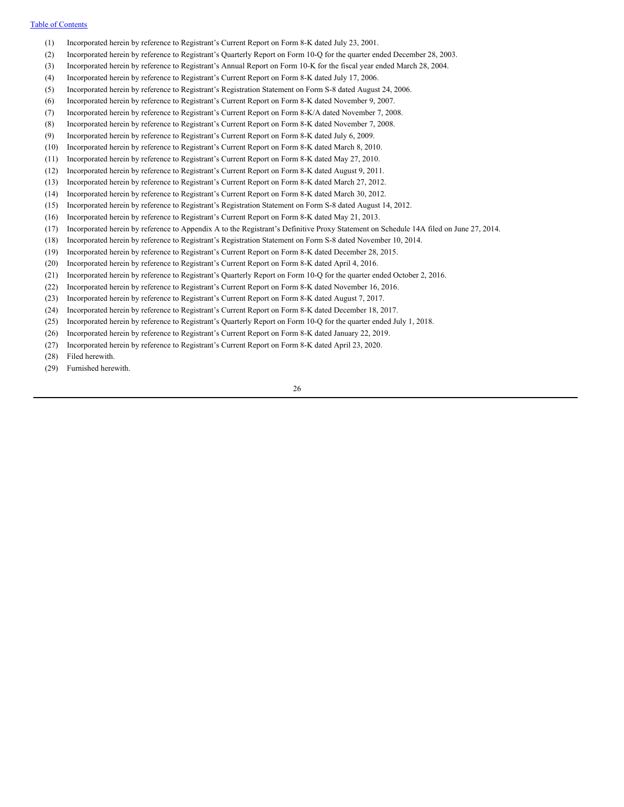- (1) Incorporated herein by reference to Registrant's Current Report on Form 8-K dated July 23, 2001.
- (2) Incorporated herein by reference to Registrant's Quarterly Report on Form 10-Q for the quarter ended December 28, 2003.
- (3) Incorporated herein by reference to Registrant's Annual Report on Form 10-K for the fiscal year ended March 28, 2004.
- (4) Incorporated herein by reference to Registrant's Current Report on Form 8-K dated July 17, 2006.
- (5) Incorporated herein by reference to Registrant's Registration Statement on Form S-8 dated August 24, 2006.
- (6) Incorporated herein by reference to Registrant's Current Report on Form 8-K dated November 9, 2007.
- (7) Incorporated herein by reference to Registrant's Current Report on Form 8-K/A dated November 7, 2008.
- (8) Incorporated herein by reference to Registrant's Current Report on Form 8-K dated November 7, 2008.
- (9) Incorporated herein by reference to Registrant's Current Report on Form 8-K dated July 6, 2009.
- (10) Incorporated herein by reference to Registrant's Current Report on Form 8-K dated March 8, 2010.
- (11) Incorporated herein by reference to Registrant's Current Report on Form 8-K dated May 27, 2010.
- (12) Incorporated herein by reference to Registrant's Current Report on Form 8-K dated August 9, 2011.
- (13) Incorporated herein by reference to Registrant's Current Report on Form 8-K dated March 27, 2012.
- (14) Incorporated herein by reference to Registrant's Current Report on Form 8-K dated March 30, 2012.
- (15) Incorporated herein by reference to Registrant's Registration Statement on Form S-8 dated August 14, 2012.
- (16) Incorporated herein by reference to Registrant's Current Report on Form 8-K dated May 21, 2013.
- (17) Incorporated herein by reference to Appendix A to the Registrant's Definitive Proxy Statement on Schedule 14A filed on June 27, 2014.
- (18) Incorporated herein by reference to Registrant's Registration Statement on Form S-8 dated November 10, 2014.
- (19) Incorporated herein by reference to Registrant's Current Report on Form 8-K dated December 28, 2015.
- (20) Incorporated herein by reference to Registrant's Current Report on Form 8-K dated April 4, 2016.
- (21) Incorporated herein by reference to Registrant's Quarterly Report on Form 10-Q for the quarter ended October 2, 2016.
- (22) Incorporated herein by reference to Registrant's Current Report on Form 8-K dated November 16, 2016.
- (23) Incorporated herein by reference to Registrant's Current Report on Form 8-K dated August 7, 2017.
- (24) Incorporated herein by reference to Registrant's Current Report on Form 8-K dated December 18, 2017.
- (25) Incorporated herein by reference to Registrant's Quarterly Report on Form 10-Q for the quarter ended July 1, 2018.
- (26) Incorporated herein by reference to Registrant's Current Report on Form 8-K dated January 22, 2019.
- (27) Incorporated herein by reference to Registrant's Current Report on Form 8-K dated April 23, 2020.
- (28) Filed herewith.
- (29) Furnished herewith.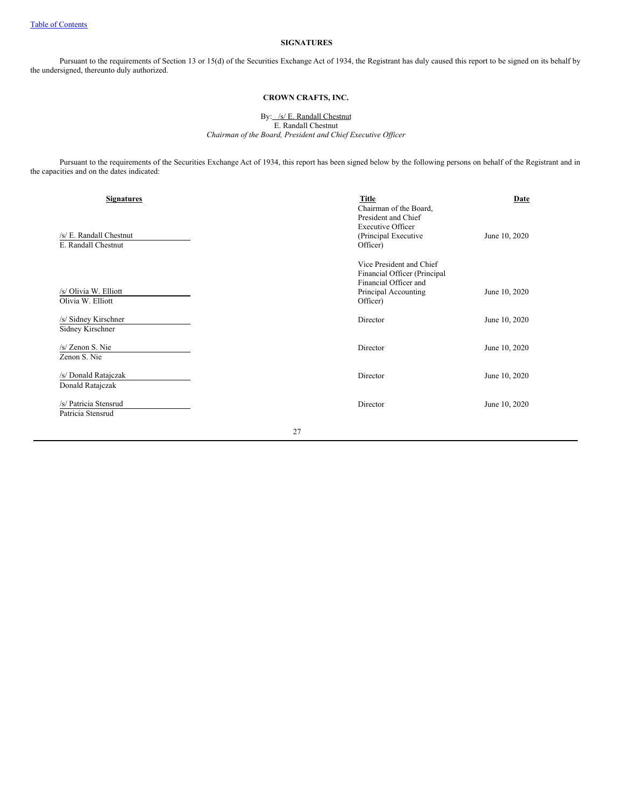#### **SIGNATURES**

Pursuant to the requirements of Section 13 or 15(d) of the Securities Exchange Act of 1934, the Registrant has duly caused this report to be signed on its behalf by the undersigned, thereunto duly authorized.

# **CROWN CRAFTS, INC.**

### By: /s/ E. Randall Chestnut E. Randall Chestnut *Chairman of the Board, President and Chief Executive Of icer*

Pursuant to the requirements of the Securities Exchange Act of 1934, this report has been signed below by the following persons on behalf of the Registrant and in the capacities and on the dates indicated:

| <b>Signatures</b>                              | Title                                                                                                                 | Date          |
|------------------------------------------------|-----------------------------------------------------------------------------------------------------------------------|---------------|
| /s/ E. Randall Chestnut<br>E. Randall Chestnut | Chairman of the Board,<br>President and Chief<br><b>Executive Officer</b><br>(Principal Executive<br>Officer)         | June 10, 2020 |
| /s/ Olivia W. Elliott<br>Olivia W. Elliott     | Vice President and Chief<br>Financial Officer (Principal<br>Financial Officer and<br>Principal Accounting<br>Officer) | June 10, 2020 |
| /s/ Sidney Kirschner<br>Sidney Kirschner       | Director                                                                                                              | June 10, 2020 |
| /s/ Zenon S. Nie<br>Zenon S. Nie               | Director                                                                                                              | June 10, 2020 |
| /s/ Donald Ratajczak<br>Donald Ratajczak       | Director                                                                                                              | June 10, 2020 |
| /s/ Patricia Stensrud<br>Patricia Stensrud     | Director                                                                                                              | June 10, 2020 |
|                                                |                                                                                                                       |               |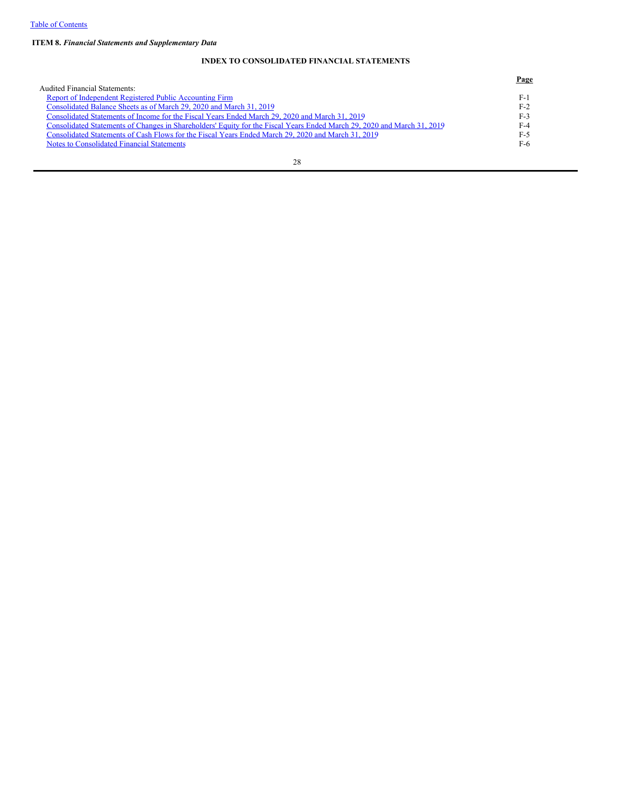# <span id="page-28-0"></span>**ITEM 8.** *Financial Statements and Supplementary Data*

# **INDEX TO CONSOLIDATED FINANCIAL STATEMENTS**

|                                                                                                                         | Page  |
|-------------------------------------------------------------------------------------------------------------------------|-------|
| <b>Audited Financial Statements:</b>                                                                                    |       |
| Report of Independent Registered Public Accounting Firm                                                                 | $F-1$ |
| Consolidated Balance Sheets as of March 29, 2020 and March 31, 2019                                                     | $F-2$ |
| Consolidated Statements of Income for the Fiscal Years Ended March 29, 2020 and March 31, 2019                          | $F-3$ |
| Consolidated Statements of Changes in Shareholders' Equity for the Fiscal Years Ended March 29, 2020 and March 31, 2019 | $F-4$ |
| Consolidated Statements of Cash Flows for the Fiscal Years Ended March 29, 2020 and March 31, 2019                      | $F-5$ |
| <b>Notes to Consolidated Financial Statements</b>                                                                       | F-6   |
|                                                                                                                         |       |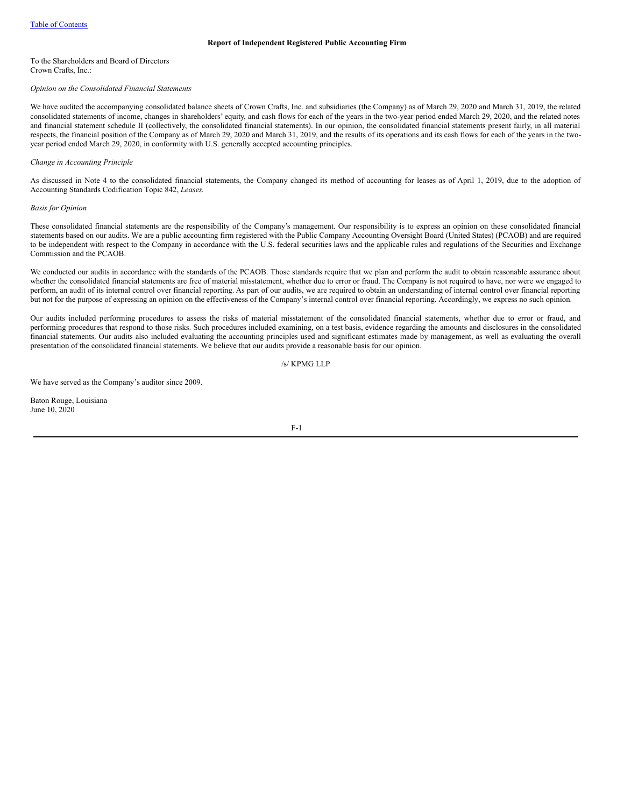## <span id="page-29-0"></span>**Report of Independent Registered Public Accounting Firm**

To the Shareholders and Board of Directors Crown Crafts, Inc.:

## *Opinion on the Consolidated Financial Statements*

We have audited the accompanying consolidated balance sheets of Crown Crafts, Inc. and subsidiaries (the Company) as of March 29, 2020 and March 31, 2019, the related consolidated statements of income, changes in shareholders' equity, and cash flows for each of the years in the two-year period ended March 29, 2020, and the related notes and financial statement schedule II (collectively, the consolidated financial statements). In our opinion, the consolidated financial statements present fairly, in all material respects, the financial position of the Company as of March 29, 2020 and March 31, 2019, and the results of its operations and its cash flows for each of the years in the twoyear period ended March 29, 2020, in conformity with U.S. generally accepted accounting principles.

#### *Change in Accounting Principle*

As discussed in Note 4 to the consolidated financial statements, the Company changed its method of accounting for leases as of April 1, 2019, due to the adoption of Accounting Standards Codification Topic 842, *Leases.*

#### *Basis for Opinion*

These consolidated financial statements are the responsibility of the Company's management. Our responsibility is to express an opinion on these consolidated financial statements based on our audits. We are a public accounting firm registered with the Public Company Accounting Oversight Board (United States) (PCAOB) and are required to be independent with respect to the Company in accordance with the U.S. federal securities laws and the applicable rules and regulations of the Securities and Exchange Commission and the PCAOB.

We conducted our audits in accordance with the standards of the PCAOB. Those standards require that we plan and perform the audit to obtain reasonable assurance about whether the consolidated financial statements are free of material misstatement, whether due to error or fraud. The Company is not required to have, nor were we engaged to perform, an audit of its internal control over financial reporting. As part of our audits, we are required to obtain an understanding of internal control over financial reporting but not for the purpose of expressing an opinion on the effectiveness of the Company's internal control over financial reporting. Accordingly, we express no such opinion.

Our audits included performing procedures to assess the risks of material misstatement of the consolidated financial statements, whether due to error or fraud, and performing procedures that respond to those risks. Such procedures included examining, on a test basis, evidence regarding the amounts and disclosures in the consolidated financial statements. Our audits also included evaluating the accounting principles used and significant estimates made by management, as well as evaluating the overall presentation of the consolidated financial statements. We believe that our audits provide a reasonable basis for our opinion.

## /s/ KPMG LLP

We have served as the Company's auditor since 2009.

Baton Rouge, Louisiana June 10, 2020

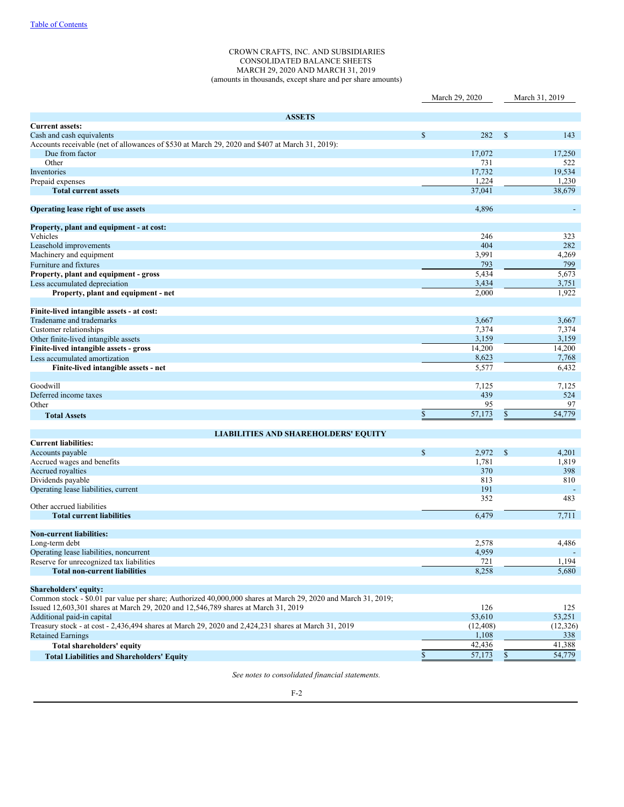## <span id="page-30-0"></span>CROWN CRAFTS, INC. AND SUBSIDIARIES CONSOLIDATED BALANCE SHEETS MARCH 29, 2020 AND MARCH 31, 2019 (amounts in thousands, except share and per share amounts)

|                                                                                                                                               | March 29, 2020          |               |              | March 31, 2019 |
|-----------------------------------------------------------------------------------------------------------------------------------------------|-------------------------|---------------|--------------|----------------|
| <b>ASSETS</b>                                                                                                                                 |                         |               |              |                |
| <b>Current assets:</b>                                                                                                                        |                         |               |              |                |
| Cash and cash equivalents                                                                                                                     | $\mathbb{S}$            | 282           | $\mathbb{S}$ | 143            |
| Accounts receivable (net of allowances of \$530 at March 29, 2020 and \$407 at March 31, 2019):                                               |                         |               |              |                |
| Due from factor<br>Other                                                                                                                      |                         | 17,072        |              | 17,250         |
| Inventories                                                                                                                                   |                         | 731<br>17,732 |              | 522<br>19,534  |
| Prepaid expenses                                                                                                                              |                         | 1,224         |              | 1,230          |
| <b>Total current assets</b>                                                                                                                   |                         | 37,041        |              | 38,679         |
| <b>Operating lease right of use assets</b>                                                                                                    |                         | 4,896         |              |                |
| Property, plant and equipment - at cost:                                                                                                      |                         |               |              |                |
| Vehicles                                                                                                                                      |                         | 246           |              | 323            |
| Leasehold improvements                                                                                                                        |                         | 404           |              | 282            |
| Machinery and equipment                                                                                                                       |                         | 3,991         |              | 4,269          |
| Furniture and fixtures                                                                                                                        |                         | 793           |              | 799            |
| Property, plant and equipment - gross                                                                                                         |                         | 5,434         |              | 5,673          |
| Less accumulated depreciation                                                                                                                 |                         | 3,434         |              | 3,751          |
| Property, plant and equipment - net                                                                                                           |                         | 2,000         |              | 1,922          |
| Finite-lived intangible assets - at cost:                                                                                                     |                         |               |              |                |
| Tradename and trademarks                                                                                                                      |                         | 3,667         |              | 3,667          |
| Customer relationships                                                                                                                        |                         | 7,374         |              | 7,374          |
| Other finite-lived intangible assets                                                                                                          |                         | 3,159         |              | 3,159          |
| Finite-lived intangible assets - gross                                                                                                        |                         | 14,200        |              | 14,200         |
| Less accumulated amortization                                                                                                                 |                         | 8,623         |              | 7,768          |
| Finite-lived intangible assets - net                                                                                                          |                         | 5,577         |              | 6,432          |
| Goodwill                                                                                                                                      |                         | 7,125         |              | 7,125          |
| Deferred income taxes                                                                                                                         |                         | 439           |              | 524            |
| Other                                                                                                                                         |                         | 95            |              | 97             |
| <b>Total Assets</b>                                                                                                                           | $\mathbb{S}$            | 57,173        | \$           | 54,779         |
| <b>LIABILITIES AND SHAREHOLDERS' EQUITY</b>                                                                                                   |                         |               |              |                |
| <b>Current liabilities:</b>                                                                                                                   |                         |               |              |                |
| Accounts payable                                                                                                                              | $\mathbf S$             | 2,972         | $\mathbb{S}$ | 4,201          |
| Accrued wages and benefits                                                                                                                    |                         | 1,781         |              | 1,819          |
| Accrued royalties                                                                                                                             |                         | 370           |              | 398            |
| Dividends payable                                                                                                                             |                         | 813           |              | 810            |
| Operating lease liabilities, current                                                                                                          |                         | 191<br>352    |              | 483            |
| Other accrued liabilities                                                                                                                     |                         |               |              |                |
| <b>Total current liabilities</b>                                                                                                              |                         | 6,479         |              | 7,711          |
| <b>Non-current liabilities:</b>                                                                                                               |                         |               |              |                |
| Long-term debt                                                                                                                                |                         | 2,578         |              | 4,486          |
| Operating lease liabilities, noncurrent                                                                                                       |                         | 4,959         |              |                |
| Reserve for unrecognized tax liabilities<br><b>Total non-current liabilities</b>                                                              |                         | 721<br>8,258  |              | 1,194<br>5,680 |
|                                                                                                                                               |                         |               |              |                |
| <b>Shareholders' equity:</b><br>Common stock - \$0.01 par value per share; Authorized 40,000,000 shares at March 29, 2020 and March 31, 2019; |                         |               |              |                |
| Issued 12,603,301 shares at March 29, 2020 and 12,546,789 shares at March 31, 2019                                                            |                         | 126           |              | 125            |
| Additional paid-in capital                                                                                                                    |                         | 53,610        |              | 53,251         |
| Treasury stock - at cost - 2,436,494 shares at March 29, 2020 and 2,424,231 shares at March 31, 2019                                          |                         | (12, 408)     |              | (12,326)       |
| <b>Retained Earnings</b>                                                                                                                      |                         | 1,108         |              | 338            |
| Total shareholders' equity                                                                                                                    |                         | 42,436        |              | 41,388         |
| <b>Total Liabilities and Shareholders' Equity</b>                                                                                             | $\overline{\mathbb{S}}$ | 57,173        |              | 54,779         |
|                                                                                                                                               |                         |               |              |                |

*See notes to consolidated financial statements.*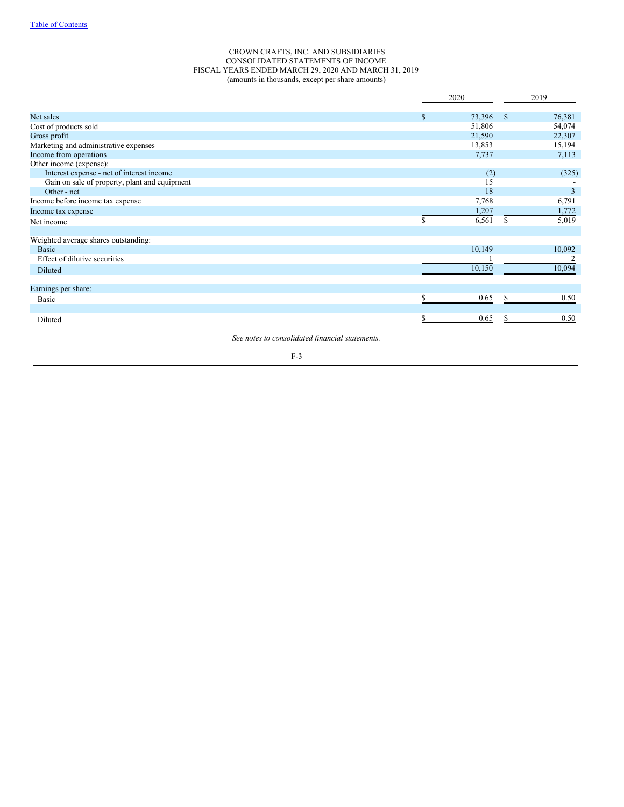### <span id="page-31-0"></span>CROWN CRAFTS, INC. AND SUBSIDIARIES CONSOLIDATED STATEMENTS OF INCOME FISCAL YEARS ENDED MARCH 29, 2020 AND MARCH 31, 2019 (amounts in thousands, except per share amounts)

|                                               | 2020 | 2019                             |
|-----------------------------------------------|------|----------------------------------|
| Net sales                                     | \$   | 73,396<br>$\mathbb{S}$<br>76,381 |
| Cost of products sold                         |      | 51,806<br>54,074                 |
| Gross profit                                  |      | 21,590<br>22,307                 |
| Marketing and administrative expenses         |      | 13,853<br>15,194                 |
| Income from operations                        |      | 7,737<br>7,113                   |
| Other income (expense):                       |      |                                  |
| Interest expense - net of interest income     |      | (2)<br>(325)                     |
| Gain on sale of property, plant and equipment |      | 15                               |
| Other - net                                   |      | 18<br>$\overline{\mathbf{3}}$    |
| Income before income tax expense              |      | 7,768<br>6,791                   |
| Income tax expense                            |      | 1,207<br>1,772                   |
| Net income                                    |      | 5,019<br>6,561                   |
|                                               |      |                                  |
| Weighted average shares outstanding:          |      |                                  |
| <b>Basic</b>                                  |      | 10,149<br>10,092                 |
| Effect of dilutive securities                 |      | 2                                |
| Diluted                                       |      | 10,094<br>10,150                 |
| Earnings per share:                           |      |                                  |
| Basic                                         | S    | 0.65<br>0.50                     |
|                                               |      |                                  |
| Diluted                                       |      | 0.50<br>0.65                     |

*See notes to consolidated financial statements.*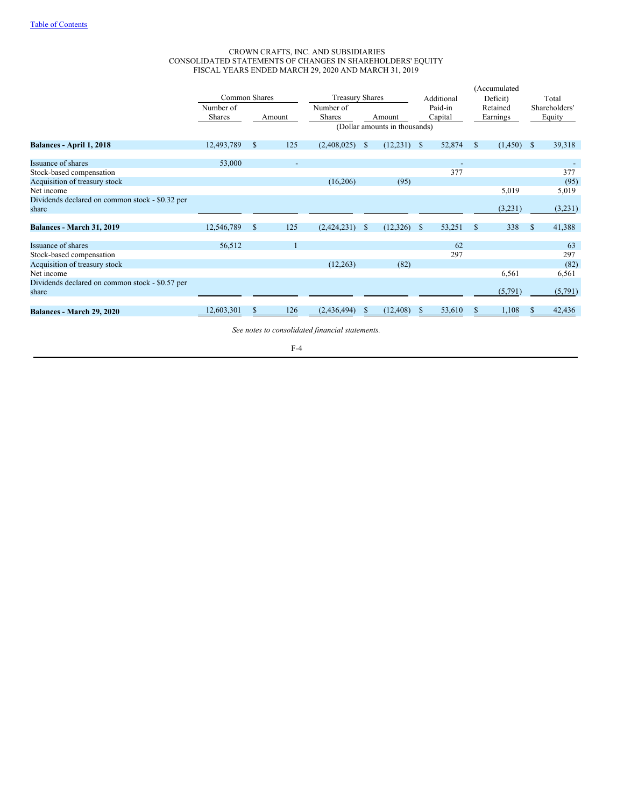### <span id="page-32-0"></span>CROWN CRAFTS, INC. AND SUBSIDIARIES CONSOLIDATED STATEMENTS OF CHANGES IN SHAREHOLDERS' EQUITY FISCAL YEARS ENDED MARCH 29, 2020 AND MARCH 31, 2019

|                                                          |                      |               |        |                        |            |                               |               |            |               | (Accumulated |               |         |
|----------------------------------------------------------|----------------------|---------------|--------|------------------------|------------|-------------------------------|---------------|------------|---------------|--------------|---------------|---------|
|                                                          | <b>Common Shares</b> |               |        | <b>Treasury Shares</b> |            |                               |               | Additional | Deficit)      |              | Total         |         |
|                                                          | Number of            |               |        | Number of              |            |                               | Paid-in       |            | Retained      |              | Shareholders' |         |
|                                                          | <b>Shares</b>        |               | Amount | <b>Shares</b>          |            | Amount                        |               | Capital    |               | Earnings     |               | Equity  |
|                                                          |                      |               |        |                        |            | (Dollar amounts in thousands) |               |            |               |              |               |         |
| Balances - April 1, 2018                                 | 12,493,789           | <sup>S</sup>  | 125    | (2,408,025)            | $^{\circ}$ | (12,231)                      | <sup>\$</sup> | 52,874     | <sup>\$</sup> | (1,450)      | <sup>S</sup>  | 39,318  |
| Issuance of shares                                       | 53,000               |               |        |                        |            |                               |               |            |               |              |               |         |
| Stock-based compensation                                 |                      |               |        |                        |            |                               |               | 377        |               |              |               | 377     |
| Acquisition of treasury stock                            |                      |               |        | (16,206)               |            | (95)                          |               |            |               |              |               | (95)    |
| Net income                                               |                      |               |        |                        |            |                               |               |            |               | 5,019        |               | 5,019   |
| Dividends declared on common stock - \$0.32 per<br>share |                      |               |        |                        |            |                               |               |            |               | (3,231)      |               | (3,231) |
|                                                          |                      |               |        |                        |            |                               |               |            |               |              |               |         |
| Balances - March 31, 2019                                | 12,546,789           | <sup>\$</sup> | 125    | (2,424,231)            | - \$       | (12,326)                      | <sup>\$</sup> | 53,251     | <sup>\$</sup> | 338          | <sup>S</sup>  | 41,388  |
| Issuance of shares                                       | 56,512               |               |        |                        |            |                               |               | 62         |               |              |               | 63      |
| Stock-based compensation                                 |                      |               |        |                        |            |                               |               | 297        |               |              |               | 297     |
| Acquisition of treasury stock                            |                      |               |        | (12, 263)              |            | (82)                          |               |            |               |              |               | (82)    |
| Net income                                               |                      |               |        |                        |            |                               |               |            |               | 6,561        |               | 6,561   |
| Dividends declared on common stock - \$0.57 per<br>share |                      |               |        |                        |            |                               |               |            |               | (5,791)      |               | (5,791) |
| Balances - March 29, 2020                                | 12,603,301           |               | 126    | (2,436,494)            |            | (12, 408)                     | - 55          | 53,610     |               | 1,108        |               | 42,436  |

*See notes to consolidated financial statements.*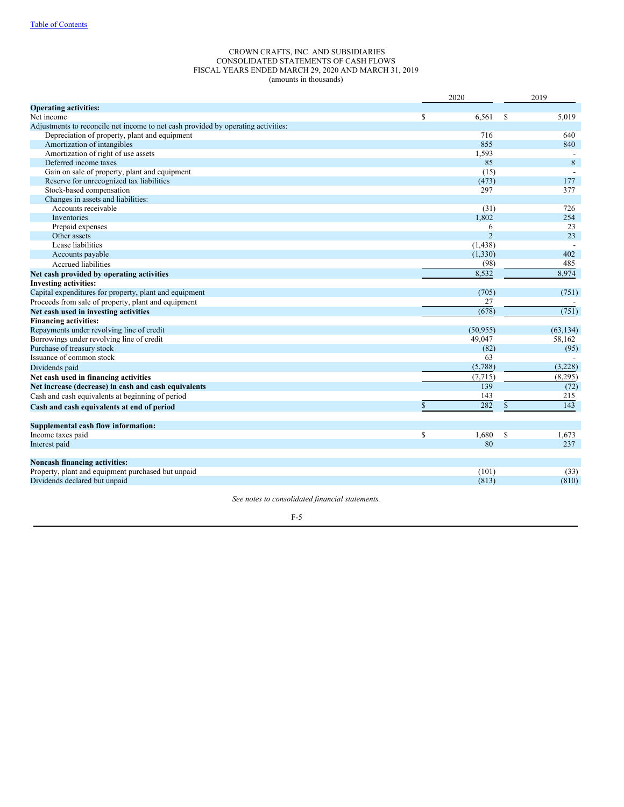## <span id="page-33-0"></span>CROWN CRAFTS, INC. AND SUBSIDIARIES CONSOLIDATED STATEMENTS OF CASH FLOWS FISCAL YEARS ENDED MARCH 29, 2020 AND MARCH 31, 2019 (amounts in thousands)

|                                                                                   | 2020           |              | 2019      |
|-----------------------------------------------------------------------------------|----------------|--------------|-----------|
| <b>Operating activities:</b>                                                      |                |              |           |
| Net income                                                                        | \$<br>6,561    | $\mathbb{S}$ | 5,019     |
| Adjustments to reconcile net income to net cash provided by operating activities: |                |              |           |
| Depreciation of property, plant and equipment                                     | 716            |              | 640       |
| Amortization of intangibles                                                       | 855            |              | 840       |
| Amortization of right of use assets                                               | 1,593          |              |           |
| Deferred income taxes                                                             | 85             |              | 8         |
| Gain on sale of property, plant and equipment                                     | (15)           |              |           |
| Reserve for unrecognized tax liabilities                                          | (473)          |              | 177       |
| Stock-based compensation                                                          | 297            |              | 377       |
| Changes in assets and liabilities:                                                |                |              |           |
| Accounts receivable                                                               | (31)           |              | 726       |
| Inventories                                                                       | 1,802          |              | 254       |
| Prepaid expenses                                                                  | 6              |              | 23        |
| Other assets                                                                      | $\overline{2}$ |              | 23        |
| Lease liabilities                                                                 | (1, 438)       |              |           |
| Accounts payable                                                                  | (1,330)        |              | 402       |
| <b>Accrued liabilities</b>                                                        | (98)           |              | 485       |
| Net cash provided by operating activities                                         | 8,532          |              | 8,974     |
| <b>Investing activities:</b>                                                      |                |              |           |
| Capital expenditures for property, plant and equipment                            | (705)          |              | (751)     |
| Proceeds from sale of property, plant and equipment                               | 27             |              |           |
| Net cash used in investing activities                                             | (678)          |              | (751)     |
| <b>Financing activities:</b>                                                      |                |              |           |
| Repayments under revolving line of credit                                         | (50, 955)      |              | (63, 134) |
| Borrowings under revolving line of credit                                         | 49,047         |              | 58,162    |
| Purchase of treasury stock                                                        | (82)           |              | (95)      |
| Issuance of common stock                                                          | 63             |              |           |
| Dividends paid                                                                    | (5,788)        |              | (3,228)   |
| Net cash used in financing activities                                             | (7, 715)       |              | (8,295)   |
| Net increase (decrease) in cash and cash equivalents                              | 139            |              | (72)      |
| Cash and cash equivalents at beginning of period                                  | 143            |              | 215       |
| Cash and cash equivalents at end of period                                        | \$<br>282      | S            | 143       |
|                                                                                   |                |              |           |
| Supplemental cash flow information:                                               |                |              |           |
| Income taxes paid                                                                 | \$<br>1,680    | S            | 1,673     |
| Interest paid                                                                     | 80             |              | 237       |
| <b>Noncash financing activities:</b>                                              |                |              |           |
| Property, plant and equipment purchased but unpaid                                | (101)          |              | (33)      |
| Dividends declared but unpaid                                                     | (813)          |              | (810)     |
|                                                                                   |                |              |           |

*See notes to consolidated financial statements.*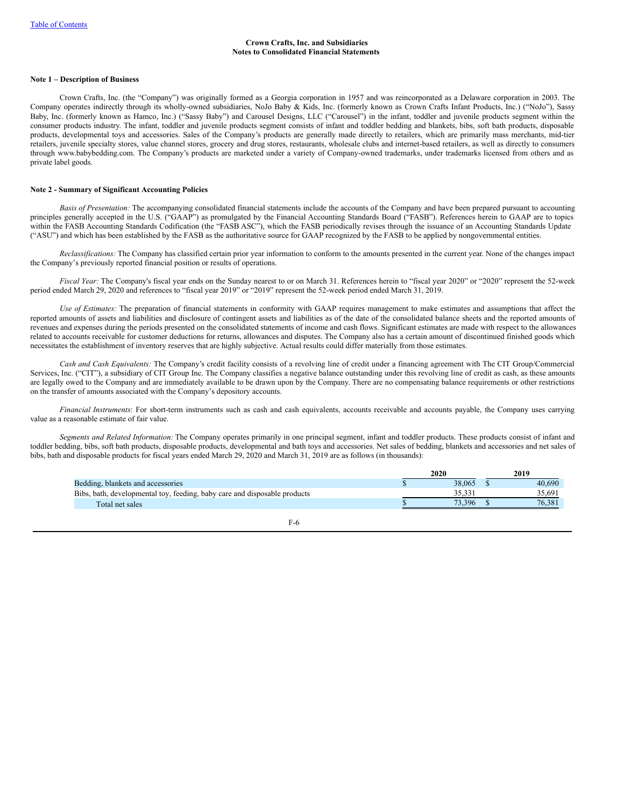## <span id="page-34-0"></span>**Crown Crafts, Inc. and Subsidiaries Notes to Consolidated Financial Statements**

### **Note 1 – Description of Business**

Crown Crafts, Inc. (the "Company") was originally formed as a Georgia corporation in 1957 and was reincorporated as a Delaware corporation in 2003. The Company operates indirectly through its wholly-owned subsidiaries, NoJo Baby & Kids, Inc. (formerly known as Crown Crafts Infant Products, Inc.) ("NoJo"), Sassy Baby, Inc. (formerly known as Hamco, Inc.) ("Sassy Baby") and Carousel Designs, LLC ("Carousel") in the infant, toddler and juvenile products segment within the consumer products industry. The infant, toddler and juvenile products segment consists of infant and toddler bedding and blankets, bibs, soft bath products, disposable products, developmental toys and accessories. Sales of the Company's products are generally made directly to retailers, which are primarily mass merchants, mid-tier retailers, juvenile specialty stores, value channel stores, grocery and drug stores, restaurants, wholesale clubs and internet-based retailers, as well as directly to consumers through www.babybedding.com. The Company's products are marketed under a variety of Company-owned trademarks, under trademarks licensed from others and as private label goods.

### **Note 2 - Summary of Significant Accounting Policies**

*Basis of Presentation:* The accompanying consolidated financial statements include the accounts of the Company and have been prepared pursuant to accounting principles generally accepted in the U.S. ("GAAP") as promulgated by the Financial Accounting Standards Board ("FASB"). References herein to GAAP are to topics within the FASB Accounting Standards Codification (the "FASB ASC"), which the FASB periodically revises through the issuance of an Accounting Standards Update ("ASU") and which has been established by the FASB as the authoritative source for GAAP recognized by the FASB to be applied by nongovernmental entities.

*Reclassifications:* The Company has classified certain prior year information to conform to the amounts presented in the current year. None of the changes impact the Company's previously reported financial position or results of operations.

*Fiscal Year:* The Company's fiscal year ends on the Sunday nearest to or on March 31. References herein to "fiscal year 2020" or "2020" represent the 52-week period ended March 29, 2020 and references to "fiscal year 2019" or "2019" represent the 52-week period ended March 31, 2019.

*Use of Estimates:* The preparation of financial statements in conformity with GAAP requires management to make estimates and assumptions that affect the reported amounts of assets and liabilities and disclosure of contingent assets and liabilities as of the date of the consolidated balance sheets and the reported amounts of revenues and expenses during the periods presented on the consolidated statements of income and cash flows. Significant estimates are made with respect to the allowances related to accounts receivable for customer deductions for returns, allowances and disputes. The Company also has a certain amount of discontinued finished goods which necessitates the establishment of inventory reserves that are highly subjective. Actual results could differ materially from those estimates.

*Cash and Cash Equivalents:* The Company's credit facility consists of a revolving line of credit under a financing agreement with The CIT Group/Commercial Services, Inc. ("CIT"), a subsidiary of CIT Group Inc. The Company classifies a negative balance outstanding under this revolving line of credit as cash, as these amounts are legally owed to the Company and are immediately available to be drawn upon by the Company. There are no compensating balance requirements or other restrictions on the transfer of amounts associated with the Company's depository accounts.

*Financial Instruments*: For short-term instruments such as cash and cash equivalents, accounts receivable and accounts payable, the Company uses carrying value as a reasonable estimate of fair value.

*Segments and Related Information:* The Company operates primarily in one principal segment, infant and toddler products. These products consist of infant and toddler bedding, bibs, soft bath products, disposable products, developmental and bath toys and accessories. Net sales of bedding, blankets and accessories and net sales of bibs, bath and disposable products for fiscal years ended March 29, 2020 and March 31, 2019 are as follows (in thousands):

|                                                                           | 2020   | 2019   |
|---------------------------------------------------------------------------|--------|--------|
| Bedding, blankets and accessories                                         | 38.065 | 40.690 |
| Bibs, bath, developmental toy, feeding, baby care and disposable products | 35.331 | 35.691 |
| Total net sales                                                           | 73.396 | 76.381 |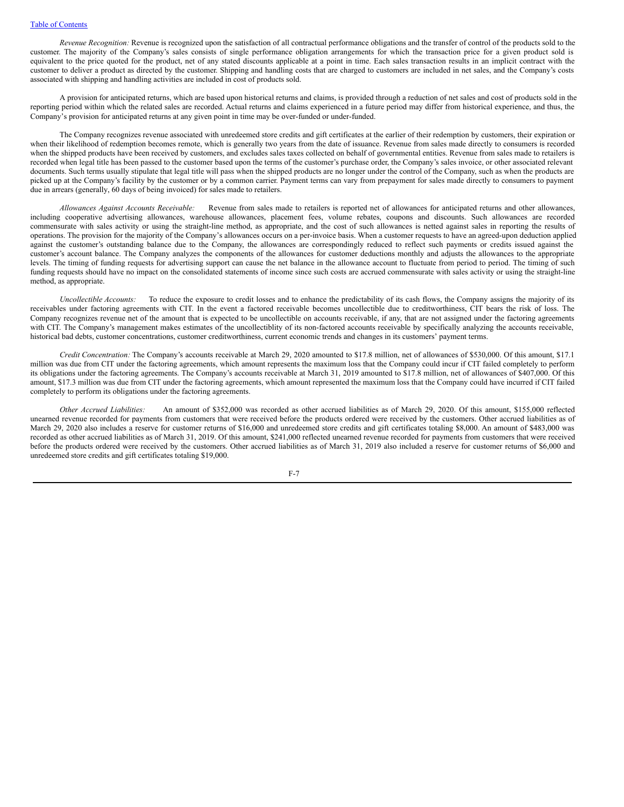*Revenue Recognition:* Revenue is recognized upon the satisfaction of all contractual performance obligations and the transfer of control of the products sold to the customer. The majority of the Company's sales consists of single performance obligation arrangements for which the transaction price for a given product sold is equivalent to the price quoted for the product, net of any stated discounts applicable at a point in time. Each sales transaction results in an implicit contract with the customer to deliver a product as directed by the customer. Shipping and handling costs that are charged to customers are included in net sales, and the Company's costs associated with shipping and handling activities are included in cost of products sold.

A provision for anticipated returns, which are based upon historical returns and claims, is provided through a reduction of net sales and cost of products sold in the reporting period within which the related sales are recorded. Actual returns and claims experienced in a future period may differ from historical experience, and thus, the Company's provision for anticipated returns at any given point in time may be over-funded or under-funded.

The Company recognizes revenue associated with unredeemed store credits and gift certificates at the earlier of their redemption by customers, their expiration or when their likelihood of redemption becomes remote, which is generally two years from the date of issuance. Revenue from sales made directly to consumers is recorded when the shipped products have been received by customers, and excludes sales taxes collected on behalf of governmental entities. Revenue from sales made to retailers is recorded when legal title has been passed to the customer based upon the terms of the customer's purchase order, the Company's sales invoice, or other associated relevant documents. Such terms usually stipulate that legal title will pass when the shipped products are no longer under the control of the Company, such as when the products are picked up at the Company's facility by the customer or by a common carrier. Payment terms can vary from prepayment for sales made directly to consumers to payment due in arrears (generally, 60 days of being invoiced) for sales made to retailers.

*Allowances Against Accounts Receivable:* Revenue from sales made to retailers is reported net of allowances for anticipated returns and other allowances, including cooperative advertising allowances, warehouse allowances, placement fees, volume rebates, coupons and discounts. Such allowances are recorded commensurate with sales activity or using the straight-line method, as appropriate, and the cost of such allowances is netted against sales in reporting the results of operations. The provision for the majority of the Company's allowances occurs on a per-invoice basis. When a customer requests to have an agreed-upon deduction applied against the customer's outstanding balance due to the Company, the allowances are correspondingly reduced to reflect such payments or credits issued against the customer's account balance. The Company analyzes the components of the allowances for customer deductions monthly and adjusts the allowances to the appropriate levels. The timing of funding requests for advertising support can cause the net balance in the allowance account to fluctuate from period to period. The timing of such funding requests should have no impact on the consolidated statements of income since such costs are accrued commensurate with sales activity or using the straight-line method, as appropriate.

*Uncollectible Accounts:* To reduce the exposure to credit losses and to enhance the predictability of its cash flows, the Company assigns the majority of its receivables under factoring agreements with CIT. In the event a factored receivable becomes uncollectible due to creditworthiness, CIT bears the risk of loss. The Company recognizes revenue net of the amount that is expected to be uncollectible on accounts receivable, if any, that are not assigned under the factoring agreements with CIT. The Company's management makes estimates of the uncollectiblity of its non-factored accounts receivable by specifically analyzing the accounts receivable, historical bad debts, customer concentrations, customer creditworthiness, current economic trends and changes in its customers' payment terms.

*Credit Concentration:* The Company's accounts receivable at March 29, 2020 amounted to \$17.8 million, net of allowances of \$530,000. Of this amount, \$17.1 million was due from CIT under the factoring agreements, which amount represents the maximum loss that the Company could incur if CIT failed completely to perform its obligations under the factoring agreements. The Company's accounts receivable at March 31, 2019 amounted to \$17.8 million, net of allowances of \$407,000. Of this amount, \$17.3 million was due from CIT under the factoring agreements, which amount represented the maximum loss that the Company could have incurred if CIT failed completely to perform its obligations under the factoring agreements.

*Other Accrued Liabilities:* An amount of \$352,000 was recorded as other accrued liabilities as of March 29, 2020. Of this amount, \$155,000 reflected unearned revenue recorded for payments from customers that were received before the products ordered were received by the customers. Other accrued liabilities as of March 29, 2020 also includes a reserve for customer returns of \$16,000 and unredeemed store credits and gift certificates totaling \$8,000. An amount of \$483,000 was recorded as other accrued liabilities as of March 31, 2019. Of this amount, \$241,000 reflected unearned revenue recorded for payments from customers that were received before the products ordered were received by the customers. Other accrued liabilities as of March 31, 2019 also included a reserve for customer returns of \$6,000 and unredeemed store credits and gift certificates totaling \$19,000.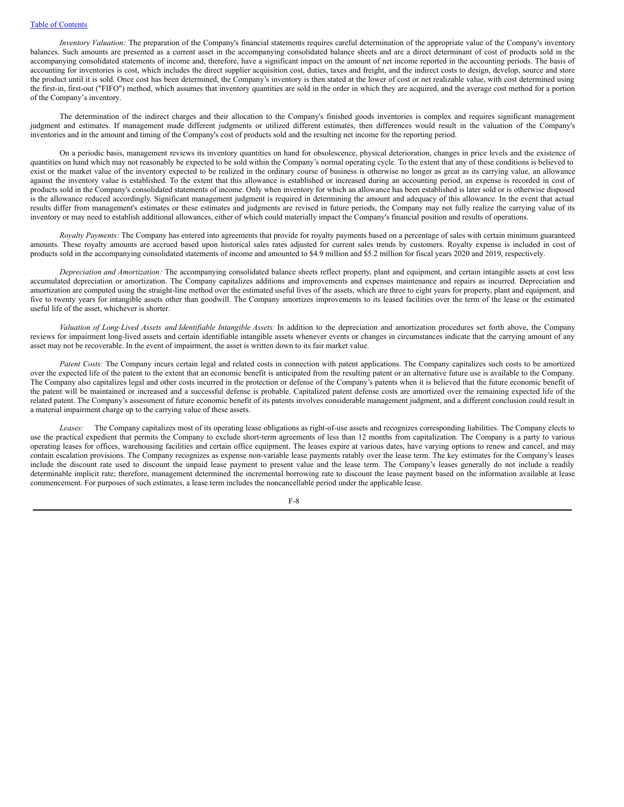*Inventory Valuation:* The preparation of the Company's financial statements requires careful determination of the appropriate value of the Company's inventory balances. Such amounts are presented as a current asset in the accompanying consolidated balance sheets and are a direct determinant of cost of products sold in the accompanying consolidated statements of income and, therefore, have a significant impact on the amount of net income reported in the accounting periods. The basis of accounting for inventories is cost, which includes the direct supplier acquisition cost, duties, taxes and freight, and the indirect costs to design, develop, source and store the product until it is sold. Once cost has been determined, the Company's inventory is then stated at the lower of cost or net realizable value, with cost determined using the first-in, first-out ("FIFO") method, which assumes that inventory quantities are sold in the order in which they are acquired, and the average cost method for a portion of the Company's inventory.

The determination of the indirect charges and their allocation to the Company's finished goods inventories is complex and requires significant management judgment and estimates. If management made different judgments or utilized different estimates, then differences would result in the valuation of the Company's inventories and in the amount and timing of the Company's cost of products sold and the resulting net income for the reporting period.

On a periodic basis, management reviews its inventory quantities on hand for obsolescence, physical deterioration, changes in price levels and the existence of quantities on hand which may not reasonably be expected to be sold within the Company's normal operating cycle. To the extent that any of these conditions is believed to exist or the market value of the inventory expected to be realized in the ordinary course of business is otherwise no longer as great as its carrying value, an allowance against the inventory value is established. To the extent that this allowance is established or increased during an accounting period, an expense is recorded in cost of products sold in the Company's consolidated statements of income. Only when inventory for which an allowance has been established is later sold or is otherwise disposed is the allowance reduced accordingly. Significant management judgment is required in determining the amount and adequacy of this allowance. In the event that actual results differ from management's estimates or these estimates and judgments are revised in future periods, the Company may not fully realize the carrying value of its inventory or may need to establish additional allowances, either of which could materially impact the Company's financial position and results of operations.

*Royalty Payments:* The Company has entered into agreements that provide for royalty payments based on a percentage of sales with certain minimum guaranteed amounts. These royalty amounts are accrued based upon historical sales rates adjusted for current sales trends by customers. Royalty expense is included in cost of products sold in the accompanying consolidated statements of income and amounted to \$4.9 million and \$5.2 million for fiscal years 2020 and 2019, respectively.

*Depreciation and Amortization:* The accompanying consolidated balance sheets reflect property, plant and equipment, and certain intangible assets at cost less accumulated depreciation or amortization. The Company capitalizes additions and improvements and expenses maintenance and repairs as incurred. Depreciation and amortization are computed using the straight-line method over the estimated useful lives of the assets, which are three to eight years for property, plant and equipment, and five to twenty years for intangible assets other than goodwill. The Company amortizes improvements to its leased facilities over the term of the lease or the estimated useful life of the asset, whichever is shorter.

*Valuation of Long-Lived Assets and Identifiable Intangible Assets:* In addition to the depreciation and amortization procedures set forth above, the Company reviews for impairment long-lived assets and certain identifiable intangible assets whenever events or changes in circumstances indicate that the carrying amount of any asset may not be recoverable. In the event of impairment, the asset is written down to its fair market value.

*Patent Costs:* The Company incurs certain legal and related costs in connection with patent applications. The Company capitalizes such costs to be amortized over the expected life of the patent to the extent that an economic benefit is anticipated from the resulting patent or an alternative future use is available to the Company. The Company also capitalizes legal and other costs incurred in the protection or defense of the Company's patents when it is believed that the future economic benefit of the patent will be maintained or increased and a successful defense is probable. Capitalized patent defense costs are amortized over the remaining expected life of the related patent. The Company's assessment of future economic benefit of its patents involves considerable management judgment, and a different conclusion could result in a material impairment charge up to the carrying value of these assets.

*Leases:* The Company capitalizes most of its operating lease obligations as right-of-use assets and recognizes corresponding liabilities. The Company elects to use the practical expedient that permits the Company to exclude short-term agreements of less than 12 months from capitalization. The Company is a party to various operating leases for offices, warehousing facilities and certain office equipment. The leases expire at various dates, have varying options to renew and cancel, and may contain escalation provisions. The Company recognizes as expense non-variable lease payments ratably over the lease term. The key estimates for the Company's leases include the discount rate used to discount the unpaid lease payment to present value and the lease term. The Company's leases generally do not include a readily determinable implicit rate; therefore, management determined the incremental borrowing rate to discount the lease payment based on the information available at lease commencement. For purposes of such estimates, a lease term includes the noncancellable period under the applicable lease.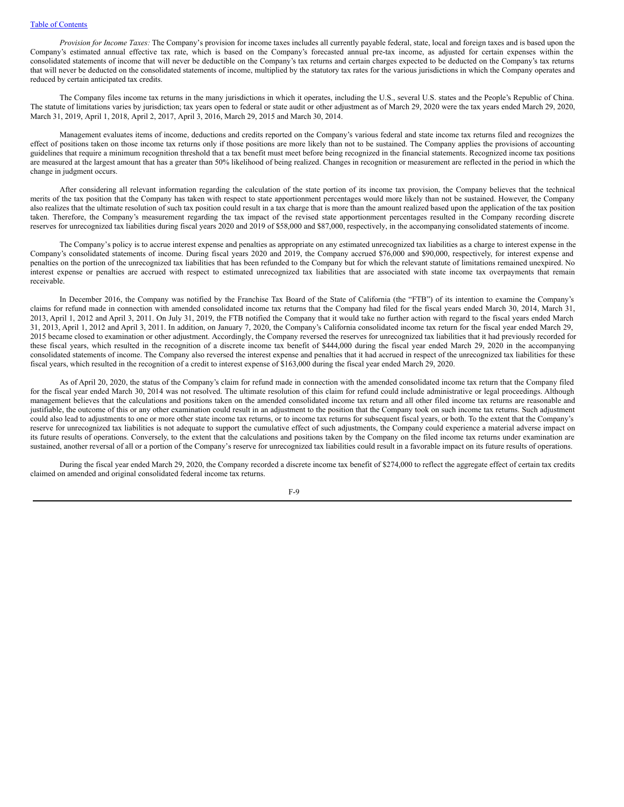*Provision for Income Taxes:* The Company's provision for income taxes includes all currently payable federal, state, local and foreign taxes and is based upon the Company's estimated annual effective tax rate, which is based on the Company's forecasted annual pre-tax income, as adjusted for certain expenses within the consolidated statements of income that will never be deductible on the Company's tax returns and certain charges expected to be deducted on the Company's tax returns that will never be deducted on the consolidated statements of income, multiplied by the statutory tax rates for the various jurisdictions in which the Company operates and reduced by certain anticipated tax credits.

The Company files income tax returns in the many jurisdictions in which it operates, including the U.S., several U.S. states and the People's Republic of China. The statute of limitations varies by jurisdiction; tax years open to federal or state audit or other adjustment as of March 29, 2020 were the tax years ended March 29, 2020, March 31, 2019, April 1, 2018, April 2, 2017, April 3, 2016, March 29, 2015 and March 30, 2014.

Management evaluates items of income, deductions and credits reported on the Company's various federal and state income tax returns filed and recognizes the effect of positions taken on those income tax returns only if those positions are more likely than not to be sustained. The Company applies the provisions of accounting guidelines that require a minimum recognition threshold that a tax benefit must meet before being recognized in the financial statements. Recognized income tax positions are measured at the largest amount that has a greater than 50% likelihood of being realized. Changes in recognition or measurement are reflected in the period in which the change in judgment occurs.

After considering all relevant information regarding the calculation of the state portion of its income tax provision, the Company believes that the technical merits of the tax position that the Company has taken with respect to state apportionment percentages would more likely than not be sustained. However, the Company also realizes that the ultimate resolution of such tax position could result in a tax charge that is more than the amount realized based upon the application of the tax position taken. Therefore, the Company's measurement regarding the tax impact of the revised state apportionment percentages resulted in the Company recording discrete reserves for unrecognized tax liabilities during fiscal years 2020 and 2019 of \$58,000 and \$87,000, respectively, in the accompanying consolidated statements of income.

The Company's policy is to accrue interest expense and penalties as appropriate on any estimated unrecognized tax liabilities as a charge to interest expense in the Company's consolidated statements of income. During fiscal years 2020 and 2019, the Company accrued \$76,000 and \$90,000, respectively, for interest expense and penalties on the portion of the unrecognized tax liabilities that has been refunded to the Company but for which the relevant statute of limitations remained unexpired. No interest expense or penalties are accrued with respect to estimated unrecognized tax liabilities that are associated with state income tax overpayments that remain receivable.

In December 2016, the Company was notified by the Franchise Tax Board of the State of California (the "FTB") of its intention to examine the Company's claims for refund made in connection with amended consolidated income tax returns that the Company had filed for the fiscal years ended March 30, 2014, March 31, 2013, April 1, 2012 and April 3, 2011. On July 31, 2019, the FTB notified the Company that it would take no further action with regard to the fiscal years ended March 31, 2013, April 1, 2012 and April 3, 2011. In addition, on January 7, 2020, the Company's California consolidated income tax return for the fiscal year ended March 29, 2015 became closed to examination or other adjustment. Accordingly, the Company reversed the reserves for unrecognized tax liabilities that it had previously recorded for these fiscal years, which resulted in the recognition of a discrete income tax benefit of \$444,000 during the fiscal year ended March 29, 2020 in the accompanying consolidated statements of income. The Company also reversed the interest expense and penalties that it had accrued in respect of the unrecognized tax liabilities for these fiscal years, which resulted in the recognition of a credit to interest expense of \$163,000 during the fiscal year ended March 29, 2020.

As of April 20, 2020, the status of the Company's claim for refund made in connection with the amended consolidated income tax return that the Company filed for the fiscal year ended March 30, 2014 was not resolved. The ultimate resolution of this claim for refund could include administrative or legal proceedings. Although management believes that the calculations and positions taken on the amended consolidated income tax return and all other filed income tax returns are reasonable and justifiable, the outcome of this or any other examination could result in an adjustment to the position that the Company took on such income tax returns. Such adjustment could also lead to adjustments to one or more other state income tax returns, or to income tax returns for subsequent fiscal years, or both. To the extent that the Company's reserve for unrecognized tax liabilities is not adequate to support the cumulative effect of such adjustments, the Company could experience a material adverse impact on its future results of operations. Conversely, to the extent that the calculations and positions taken by the Company on the filed income tax returns under examination are sustained, another reversal of all or a portion of the Company's reserve for unrecognized tax liabilities could result in a favorable impact on its future results of operations.

During the fiscal year ended March 29, 2020, the Company recorded a discrete income tax benefit of \$274,000 to reflect the aggregate effect of certain tax credits claimed on amended and original consolidated federal income tax returns.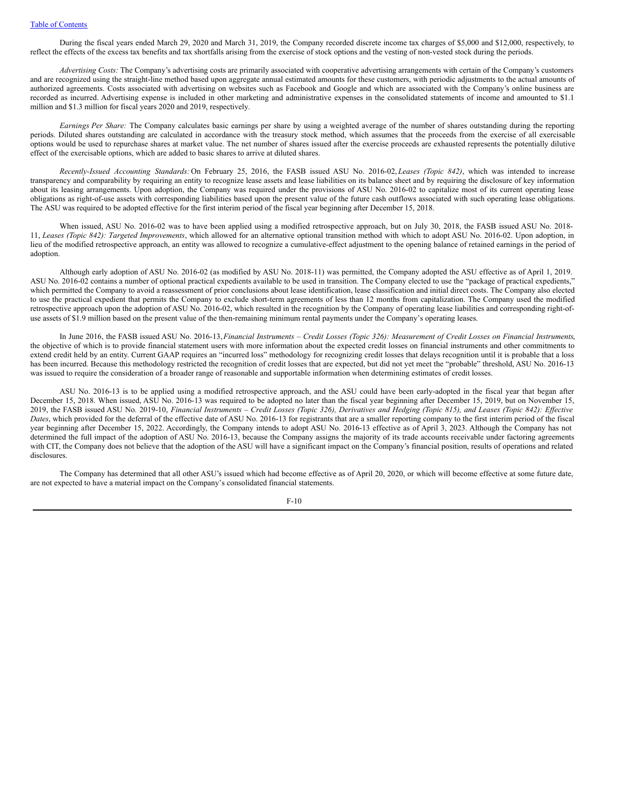During the fiscal years ended March 29, 2020 and March 31, 2019, the Company recorded discrete income tax charges of \$5,000 and \$12,000, respectively, to reflect the effects of the excess tax benefits and tax shortfalls arising from the exercise of stock options and the vesting of non-vested stock during the periods.

*Advertising Costs:* The Company's advertising costs are primarily associated with cooperative advertising arrangements with certain of the Company's customers and are recognized using the straight-line method based upon aggregate annual estimated amounts for these customers, with periodic adjustments to the actual amounts of authorized agreements. Costs associated with advertising on websites such as Facebook and Google and which are associated with the Company's online business are recorded as incurred. Advertising expense is included in other marketing and administrative expenses in the consolidated statements of income and amounted to \$1.1 million and \$1.3 million for fiscal years 2020 and 2019, respectively.

*Earnings Per Share:* The Company calculates basic earnings per share by using a weighted average of the number of shares outstanding during the reporting periods. Diluted shares outstanding are calculated in accordance with the treasury stock method, which assumes that the proceeds from the exercise of all exercisable options would be used to repurchase shares at market value. The net number of shares issued after the exercise proceeds are exhausted represents the potentially dilutive effect of the exercisable options, which are added to basic shares to arrive at diluted shares.

*Recently-Issued Accounting Standards:* On February 25, 2016, the FASB issued ASU No. 2016-02, *Leases (Topic 842)*, which was intended to increase transparency and comparability by requiring an entity to recognize lease assets and lease liabilities on its balance sheet and by requiring the disclosure of key information about its leasing arrangements. Upon adoption, the Company was required under the provisions of ASU No. 2016-02 to capitalize most of its current operating lease obligations as right-of-use assets with corresponding liabilities based upon the present value of the future cash outflows associated with such operating lease obligations. The ASU was required to be adopted effective for the first interim period of the fiscal year beginning after December 15, 2018.

When issued, ASU No. 2016-02 was to have been applied using a modified retrospective approach, but on July 30, 2018, the FASB issued ASU No. 2018- 11, *Leases (Topic 842): Targeted Improvements*, which allowed for an alternative optional transition method with which to adopt ASU No. 2016-02. Upon adoption, in lieu of the modified retrospective approach, an entity was allowed to recognize a cumulative-effect adjustment to the opening balance of retained earnings in the period of adoption.

Although early adoption of ASU No. 2016-02 (as modified by ASU No. 2018-11) was permitted, the Company adopted the ASU effective as of April 1, 2019. ASU No. 2016-02 contains a number of optional practical expedients available to be used in transition. The Company elected to use the "package of practical expedients," which permitted the Company to avoid a reassessment of prior conclusions about lease identification, lease classification and initial direct costs. The Company also elected to use the practical expedient that permits the Company to exclude short-term agreements of less than 12 months from capitalization. The Company used the modified retrospective approach upon the adoption of ASU No. 2016-02, which resulted in the recognition by the Company of operating lease liabilities and corresponding right-ofuse assets of \$1.9 million based on the present value of the then-remaining minimum rental payments under the Company's operating leases.

In June 2016, the FASB issued ASU No. 2016-13, Financial Instruments - Credit Losses (Topic 326): Measurement of Credit Losses on Financial Instruments, the objective of which is to provide financial statement users with more information about the expected credit losses on financial instruments and other commitments to extend credit held by an entity. Current GAAP requires an "incurred loss" methodology for recognizing credit losses that delays recognition until it is probable that a loss has been incurred. Because this methodology restricted the recognition of credit losses that are expected, but did not yet meet the "probable" threshold, ASU No. 2016-13 was issued to require the consideration of a broader range of reasonable and supportable information when determining estimates of credit losses.

ASU No. 2016-13 is to be applied using a modified retrospective approach, and the ASU could have been early-adopted in the fiscal year that began after December 15, 2018. When issued, ASU No. 2016-13 was required to be adopted no later than the fiscal year beginning after December 15, 2019, but on November 15, 2019, the FASB issued ASU No. 2019-10, Financial Instruments - Credit Losses (Topic 326), Derivatives and Hedging (Topic 815), and Leases (Topic 842): Effective *Dates*, which provided for the deferral of the effective date of ASU No. 2016-13 for registrants that are a smaller reporting company to the first interim period of the fiscal year beginning after December 15, 2022. Accordingly, the Company intends to adopt ASU No. 2016-13 effective as of April 3, 2023. Although the Company has not determined the full impact of the adoption of ASU No. 2016-13, because the Company assigns the majority of its trade accounts receivable under factoring agreements with CIT, the Company does not believe that the adoption of the ASU will have a significant impact on the Company's financial position, results of operations and related disclosures.

The Company has determined that all other ASU's issued which had become effective as of April 20, 2020, or which will become effective at some future date, are not expected to have a material impact on the Company's consolidated financial statements.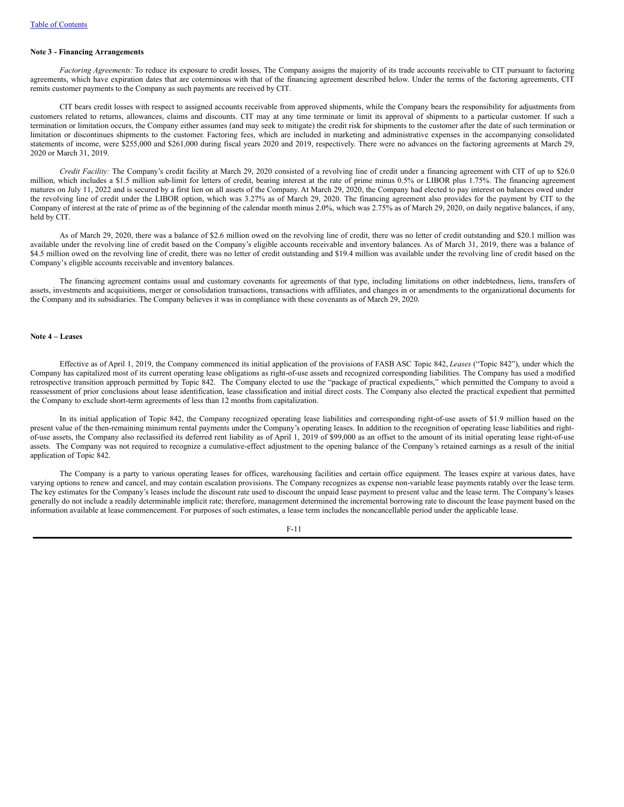#### **Note 3 - Financing Arrangements**

*Factoring Agreements:* To reduce its exposure to credit losses, The Company assigns the majority of its trade accounts receivable to CIT pursuant to factoring agreements, which have expiration dates that are coterminous with that of the financing agreement described below. Under the terms of the factoring agreements, CIT remits customer payments to the Company as such payments are received by CIT.

CIT bears credit losses with respect to assigned accounts receivable from approved shipments, while the Company bears the responsibility for adjustments from customers related to returns, allowances, claims and discounts. CIT may at any time terminate or limit its approval of shipments to a particular customer. If such a termination or limitation occurs, the Company either assumes (and may seek to mitigate) the credit risk for shipments to the customer after the date of such termination or limitation or discontinues shipments to the customer. Factoring fees, which are included in marketing and administrative expenses in the accompanying consolidated statements of income, were \$255,000 and \$261,000 during fiscal years 2020 and 2019, respectively. There were no advances on the factoring agreements at March 29, 2020 or March 31, 2019.

*Credit Facility:* The Company's credit facility at March 29, 2020 consisted of a revolving line of credit under a financing agreement with CIT of up to \$26.0 million, which includes a \$1.5 million sub-limit for letters of credit, bearing interest at the rate of prime minus 0.5% or LIBOR plus 1.75%. The financing agreement matures on July 11, 2022 and is secured by a first lien on all assets of the Company. At March 29, 2020, the Company had elected to pay interest on balances owed under the revolving line of credit under the LIBOR option, which was 3.27% as of March 29, 2020. The financing agreement also provides for the payment by CIT to the Company of interest at the rate of prime as of the beginning of the calendar month minus 2.0%, which was 2.75% as of March 29, 2020, on daily negative balances, if any, held by CIT.

As of March 29, 2020, there was a balance of \$2.6 million owed on the revolving line of credit, there was no letter of credit outstanding and \$20.1 million was available under the revolving line of credit based on the Company's eligible accounts receivable and inventory balances. As of March 31, 2019, there was a balance of \$4.5 million owed on the revolving line of credit, there was no letter of credit outstanding and \$19.4 million was available under the revolving line of credit based on the Company's eligible accounts receivable and inventory balances.

The financing agreement contains usual and customary covenants for agreements of that type, including limitations on other indebtedness, liens, transfers of assets, investments and acquisitions, merger or consolidation transactions, transactions with affiliates, and changes in or amendments to the organizational documents for the Company and its subsidiaries. The Company believes it was in compliance with these covenants as of March 29, 2020.

## **Note 4 – Leases**

Effective as of April 1, 2019, the Company commenced its initial application of the provisions of FASB ASC Topic 842, *Leases* ("Topic 842"), under which the Company has capitalized most of its current operating lease obligations as right-of-use assets and recognized corresponding liabilities. The Company has used a modified retrospective transition approach permitted by Topic 842. The Company elected to use the "package of practical expedients," which permitted the Company to avoid a reassessment of prior conclusions about lease identification, lease classification and initial direct costs. The Company also elected the practical expedient that permitted the Company to exclude short-term agreements of less than 12 months from capitalization.

In its initial application of Topic 842, the Company recognized operating lease liabilities and corresponding right-of-use assets of \$1.9 million based on the present value of the then-remaining minimum rental payments under the Company's operating leases. In addition to the recognition of operating lease liabilities and rightof-use assets, the Company also reclassified its deferred rent liability as of April 1, 2019 of \$99,000 as an offset to the amount of its initial operating lease right-of-use assets. The Company was not required to recognize a cumulative-effect adjustment to the opening balance of the Company's retained earnings as a result of the initial application of Topic 842.

The Company is a party to various operating leases for offices, warehousing facilities and certain office equipment. The leases expire at various dates, have varying options to renew and cancel, and may contain escalation provisions. The Company recognizes as expense non-variable lease payments ratably over the lease term. The key estimates for the Company's leases include the discount rate used to discount the unpaid lease payment to present value and the lease term. The Company's leases generally do not include a readily determinable implicit rate; therefore, management determined the incremental borrowing rate to discount the lease payment based on the information available at lease commencement. For purposes of such estimates, a lease term includes the noncancellable period under the applicable lease.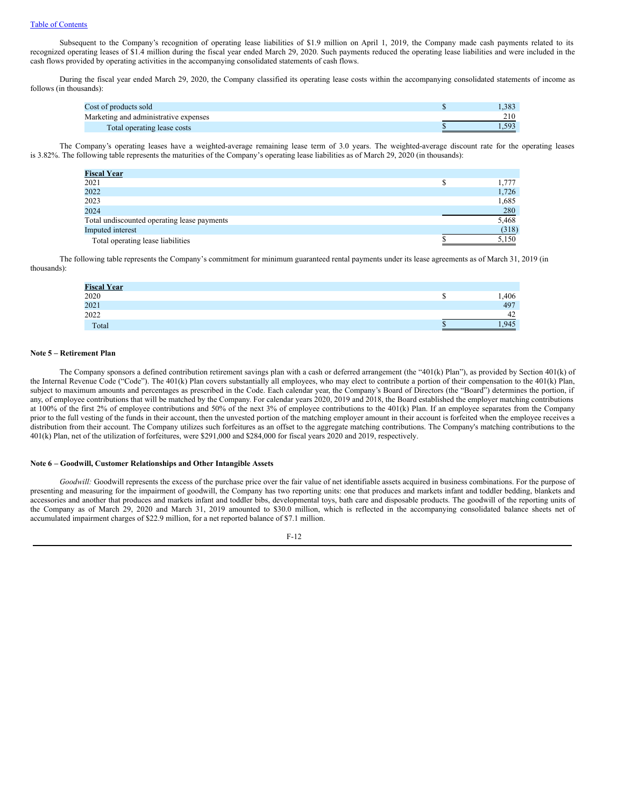Subsequent to the Company's recognition of operating lease liabilities of \$1.9 million on April 1, 2019, the Company made cash payments related to its recognized operating leases of \$1.4 million during the fiscal year ended March 29, 2020. Such payments reduced the operating lease liabilities and were included in the cash flows provided by operating activities in the accompanying consolidated statements of cash flows.

During the fiscal year ended March 29, 2020, the Company classified its operating lease costs within the accompanying consolidated statements of income as follows (in thousands):

| Cost of products sold                 |  |
|---------------------------------------|--|
| Marketing and administrative expenses |  |
| Total operating lease costs           |  |

The Company's operating leases have a weighted-average remaining lease term of 3.0 years. The weighted-average discount rate for the operating leases is 3.82%. The following table represents the maturities of the Company's operating lease liabilities as of March 29, 2020 (in thousands):

| <b>Fiscal Year</b>                          |       |
|---------------------------------------------|-------|
| 2021                                        | 1.777 |
| 2022                                        | 1,726 |
| 2023                                        | 1,685 |
| 2024                                        | 280   |
| Total undiscounted operating lease payments | 5,468 |
| Imputed interest                            | (318) |
| Total operating lease liabilities           | 5,150 |

The following table represents the Company's commitment for minimum guaranteed rental payments under its lease agreements as of March 31, 2019 (in thousands):

| <b>Fiscal Year</b> |      |
|--------------------|------|
| 2020               | .406 |
| 2021               | 497  |
| 2022               | 42   |
| Total              | .945 |

### **Note 5 – Retirement Plan**

The Company sponsors a defined contribution retirement savings plan with a cash or deferred arrangement (the "401(k) Plan"), as provided by Section 401(k) of the Internal Revenue Code ("Code"). The 401(k) Plan covers substantially all employees, who may elect to contribute a portion of their compensation to the 401(k) Plan, subject to maximum amounts and percentages as prescribed in the Code. Each calendar year, the Company's Board of Directors (the "Board") determines the portion, if any, of employee contributions that will be matched by the Company. For calendar years 2020, 2019 and 2018, the Board established the employer matching contributions at 100% of the first 2% of employee contributions and 50% of the next 3% of employee contributions to the 401(k) Plan. If an employee separates from the Company prior to the full vesting of the funds in their account, then the unvested portion of the matching employer amount in their account is forfeited when the employee receives a distribution from their account. The Company utilizes such forfeitures as an offset to the aggregate matching contributions. The Company's matching contributions to the 401(k) Plan, net of the utilization of forfeitures, were \$291,000 and \$284,000 for fiscal years 2020 and 2019, respectively.

## **Note 6 – Goodwill, Customer Relationships and Other Intangible Assets**

*Goodwill:* Goodwill represents the excess of the purchase price over the fair value of net identifiable assets acquired in business combinations. For the purpose of presenting and measuring for the impairment of goodwill, the Company has two reporting units: one that produces and markets infant and toddler bedding, blankets and accessories and another that produces and markets infant and toddler bibs, developmental toys, bath care and disposable products. The goodwill of the reporting units of the Company as of March 29, 2020 and March 31, 2019 amounted to \$30.0 million, which is reflected in the accompanying consolidated balance sheets net of accumulated impairment charges of \$22.9 million, for a net reported balance of \$7.1 million.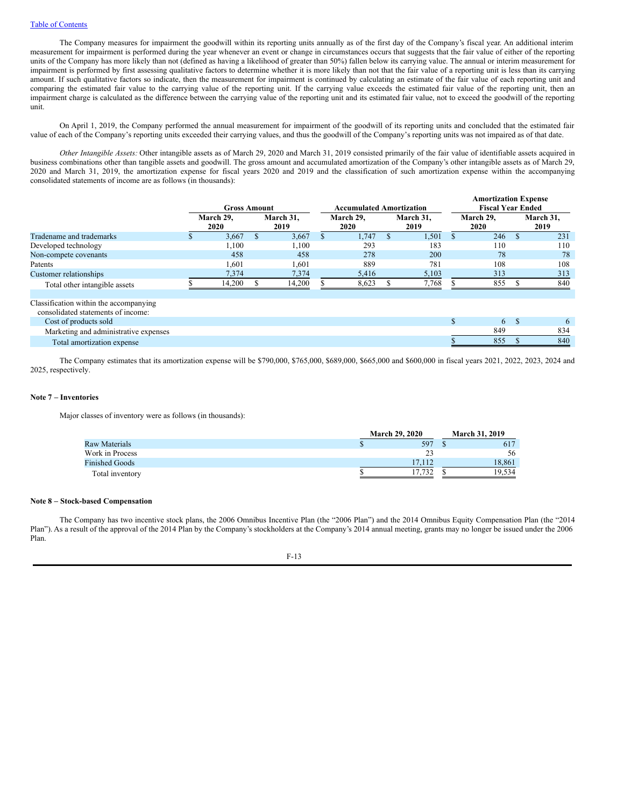The Company measures for impairment the goodwill within its reporting units annually as of the first day of the Company's fiscal year. An additional interim measurement for impairment is performed during the year whenever an event or change in circumstances occurs that suggests that the fair value of either of the reporting units of the Company has more likely than not (defined as having a likelihood of greater than 50%) fallen below its carrying value. The annual or interim measurement for impairment is performed by first assessing qualitative factors to determine whether it is more likely than not that the fair value of a reporting unit is less than its carrying amount. If such qualitative factors so indicate, then the measurement for impairment is continued by calculating an estimate of the fair value of each reporting unit and comparing the estimated fair value to the carrying value of the reporting unit. If the carrying value exceeds the estimated fair value of the reporting unit, then an impairment charge is calculated as the difference between the carrying value of the reporting unit and its estimated fair value, not to exceed the goodwill of the reporting unit.

On April 1, 2019, the Company performed the annual measurement for impairment of the goodwill of its reporting units and concluded that the estimated fair value of each of the Company's reporting units exceeded their carrying values, and thus the goodwill of the Company's reporting units was not impaired as of that date.

*Other Intangible Assets:* Other intangible assets as of March 29, 2020 and March 31, 2019 consisted primarily of the fair value of identifiable assets acquired in business combinations other than tangible assets and goodwill. The gross amount and accumulated amortization of the Company's other intangible assets as of March 29, 2020 and March 31, 2019, the amortization expense for fiscal years 2020 and 2019 and the classification of such amortization expense within the accompanying consolidated statements of income are as follows (in thousands):

|                                                                              | <b>Gross Amount</b> |                          |    | <b>Accumulated Amortization</b> |    |                   |     | <b>Amortization Expense</b><br><b>Fiscal Year Ended</b> |               |                   |          |                   |
|------------------------------------------------------------------------------|---------------------|--------------------------|----|---------------------------------|----|-------------------|-----|---------------------------------------------------------|---------------|-------------------|----------|-------------------|
|                                                                              |                     | March 29.<br><b>2020</b> |    | March 31,<br>2019               |    | March 29,<br>2020 |     | March 31,<br>2019                                       |               | March 29,<br>2020 |          | March 31,<br>2019 |
| Tradename and trademarks                                                     |                     | 3,667                    | \$ | 3,667                           | S. | 1,747             | \$. | 1,501                                                   | <sup>\$</sup> | 246               |          | 231               |
| Developed technology                                                         |                     | 1,100                    |    | 1,100                           |    | 293               |     | 183                                                     |               | 110               |          | 110               |
| Non-compete covenants                                                        |                     | 458                      |    | 458                             |    | 278               |     | 200                                                     |               | 78                |          | 78                |
| Patents                                                                      |                     | 1.601                    |    | 1,601                           |    | 889               |     | 781                                                     |               | 108               |          | 108               |
| Customer relationships                                                       |                     | 7,374                    |    | 7,374                           |    | 5,416             |     | 5,103                                                   |               | 313               |          | 313               |
| Total other intangible assets                                                |                     | 14,200                   |    | 14,200                          |    | 8,623             |     | 7,768                                                   |               | 855               |          | 840               |
| Classification within the accompanying<br>consolidated statements of income: |                     |                          |    |                                 |    |                   |     |                                                         |               |                   |          |                   |
| Cost of products sold                                                        |                     |                          |    |                                 |    |                   |     |                                                         | $\mathcal{S}$ | 6                 | <b>S</b> | 6                 |
| Marketing and administrative expenses                                        |                     |                          |    |                                 |    |                   |     |                                                         |               | 849               |          | 834               |
| Total amortization expense                                                   |                     |                          |    |                                 |    |                   |     |                                                         |               | 855               |          | 840               |

The Company estimates that its amortization expense will be \$790,000, \$765,000, \$689,000, \$665,000 and \$600,000 in fiscal years 2021, 2022, 2023, 2024 and 2025, respectively.

### **Note 7 – Inventories**

Major classes of inventory were as follows (in thousands):

|                       | <b>March 29, 2020</b> | <b>March 31, 2019</b> |  |  |  |
|-----------------------|-----------------------|-----------------------|--|--|--|
| <b>Raw Materials</b>  | 597                   |                       |  |  |  |
| Work in Process       |                       | 56                    |  |  |  |
| <b>Finished Goods</b> | 17.112                | 18.861                |  |  |  |
| Total inventory       | 17.732                | 19.534                |  |  |  |

#### **Note 8 – Stock-based Compensation**

The Company has two incentive stock plans, the 2006 Omnibus Incentive Plan (the "2006 Plan") and the 2014 Omnibus Equity Compensation Plan (the "2014 Plan"). As a result of the approval of the 2014 Plan by the Company's stockholders at the Company's 2014 annual meeting, grants may no longer be issued under the 2006 Plan.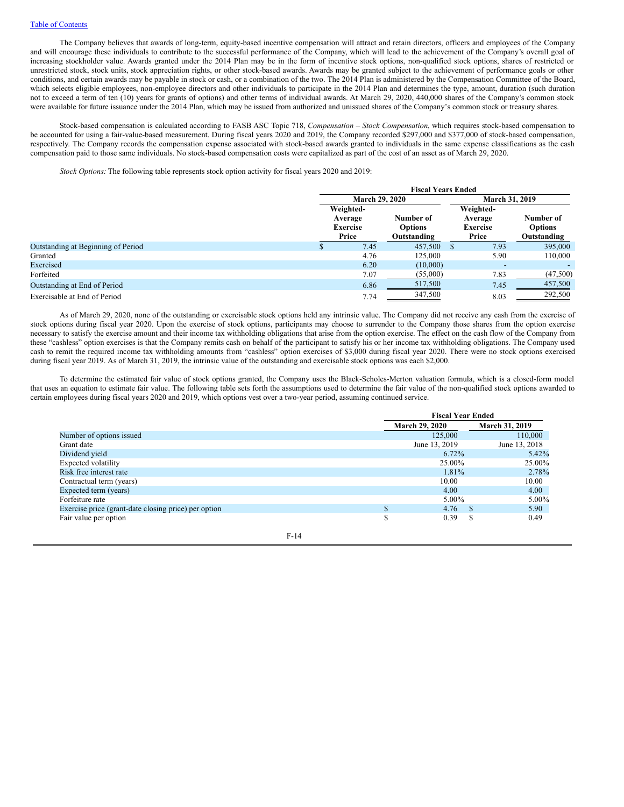The Company believes that awards of long-term, equity-based incentive compensation will attract and retain directors, officers and employees of the Company and will encourage these individuals to contribute to the successful performance of the Company, which will lead to the achievement of the Company's overall goal of increasing stockholder value. Awards granted under the 2014 Plan may be in the form of incentive stock options, non-qualified stock options, shares of restricted or unrestricted stock, stock units, stock appreciation rights, or other stock-based awards. Awards may be granted subject to the achievement of performance goals or other conditions, and certain awards may be payable in stock or cash, or a combination of the two. The 2014 Plan is administered by the Compensation Committee of the Board, which selects eligible employees, non-employee directors and other individuals to participate in the 2014 Plan and determines the type, amount, duration (such duration not to exceed a term of ten (10) years for grants of options) and other terms of individual awards. At March 29, 2020, 440,000 shares of the Company's common stock were available for future issuance under the 2014 Plan, which may be issued from authorized and unissued shares of the Company's common stock or treasury shares.

Stock-based compensation is calculated according to FASB ASC Topic 718, *Compensation – Stock Compensation*, which requires stock-based compensation to be accounted for using a fair-value-based measurement. During fiscal years 2020 and 2019, the Company recorded \$297,000 and \$377,000 of stock-based compensation, respectively. The Company records the compensation expense associated with stock-based awards granted to individuals in the same expense classifications as the cash compensation paid to those same individuals. No stock-based compensation costs were capitalized as part of the cost of an asset as of March 29, 2020.

*Stock Options:* The following table represents stock option activity for fiscal years 2020 and 2019:

|                                    | <b>Fiscal Years Ended</b> |                                                  |                                            |   |                                           |                                            |  |
|------------------------------------|---------------------------|--------------------------------------------------|--------------------------------------------|---|-------------------------------------------|--------------------------------------------|--|
|                                    |                           | <b>March 29, 2020</b>                            |                                            |   | March 31, 2019                            |                                            |  |
|                                    |                           | Weighted-<br>Average<br><b>Exercise</b><br>Price | Number of<br><b>Options</b><br>Outstanding |   | Weighted-<br>Average<br>Exercise<br>Price | Number of<br><b>Options</b><br>Outstanding |  |
| Outstanding at Beginning of Period |                           | 7.45                                             | 457,500                                    | Ъ | 7.93                                      | 395,000                                    |  |
| Granted                            |                           | 4.76                                             | 125,000                                    |   | 5.90                                      | 110,000                                    |  |
| Exercised                          |                           | 6.20                                             | (10,000)                                   |   | $\overline{\phantom{a}}$                  |                                            |  |
| Forfeited                          |                           | 7.07                                             | (55,000)                                   |   | 7.83                                      | (47,500)                                   |  |
| Outstanding at End of Period       |                           | 6.86                                             | 517,500                                    |   | 7.45                                      | 457,500                                    |  |
| Exercisable at End of Period       |                           | 7.74                                             | 347,500                                    |   | 8.03                                      | 292,500                                    |  |

As of March 29, 2020, none of the outstanding or exercisable stock options held any intrinsic value. The Company did not receive any cash from the exercise of stock options during fiscal year 2020. Upon the exercise of stock options, participants may choose to surrender to the Company those shares from the option exercise necessary to satisfy the exercise amount and their income tax withholding obligations that arise from the option exercise. The effect on the cash flow of the Company from these "cashless" option exercises is that the Company remits cash on behalf of the participant to satisfy his or her income tax withholding obligations. The Company used cash to remit the required income tax withholding amounts from "cashless" option exercises of \$3,000 during fiscal year 2020. There were no stock options exercised during fiscal year 2019. As of March 31, 2019, the intrinsic value of the outstanding and exercisable stock options was each \$2,000.

To determine the estimated fair value of stock options granted, the Company uses the Black-Scholes-Merton valuation formula, which is a closed-form model that uses an equation to estimate fair value. The following table sets forth the assumptions used to determine the fair value of the non-qualified stock options awarded to certain employees during fiscal years 2020 and 2019, which options vest over a two-year period, assuming continued service.

|                                                      |   | <b>Fiscal Year Ended</b> |                |  |  |
|------------------------------------------------------|---|--------------------------|----------------|--|--|
|                                                      |   | <b>March 29, 2020</b>    | March 31, 2019 |  |  |
| Number of options issued                             |   | 125,000                  | 110,000        |  |  |
| Grant date                                           |   | June 13, 2019            | June 13, 2018  |  |  |
| Dividend yield                                       |   | $6.72\%$                 | 5.42%          |  |  |
| Expected volatility                                  |   | 25.00%                   | 25.00%         |  |  |
| Risk free interest rate                              |   | 1.81%                    | 2.78%          |  |  |
| Contractual term (years)                             |   | 10.00                    | 10.00          |  |  |
| Expected term (years)                                |   | 4.00                     | 4.00           |  |  |
| Forfeiture rate                                      |   | $5.00\%$                 | 5.00%          |  |  |
| Exercise price (grant-date closing price) per option |   | 4.76                     | 5.90<br>-8     |  |  |
| Fair value per option                                | S | 0.39                     | 0.49<br>\$.    |  |  |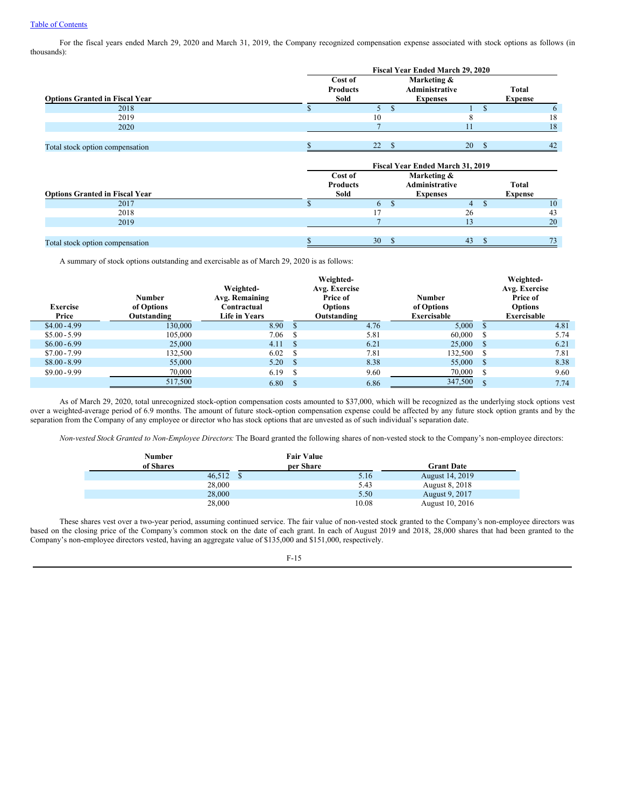### Table of [Contents](#page-2-0)

For the fiscal years ended March 29, 2020 and March 31, 2019, the Company recognized compensation expense associated with stock options as follows (in thousands):

|                                       |     |                                    |             |                    | Fiscal Year Ended March 29, 2020                 |                         |    |
|---------------------------------------|-----|------------------------------------|-------------|--------------------|--------------------------------------------------|-------------------------|----|
| <b>Options Granted in Fiscal Year</b> |     | Cost of<br><b>Products</b><br>Sold |             |                    | Marketing &<br>Administrative<br><b>Expenses</b> | Total<br><b>Expense</b> |    |
| 2018                                  | \$. |                                    | $5^{\circ}$ | <sup>S</sup>       | \$                                               |                         | 6  |
| 2019                                  |     |                                    | 10          |                    | Δ                                                |                         | 18 |
| 2020                                  |     |                                    |             |                    | 11                                               |                         | 18 |
|                                       |     |                                    |             |                    |                                                  |                         |    |
| Total stock option compensation       |     |                                    | 22          | $\mathcal{S}$      | 20                                               |                         | 42 |
|                                       |     |                                    |             |                    | Fiscal Year Ended March 31, 2019                 |                         |    |
| <b>Options Granted in Fiscal Year</b> |     | Cost of<br><b>Products</b><br>Sold |             |                    | Marketing &<br>Administrative<br><b>Expenses</b> | Total<br><b>Expense</b> |    |
| 2017                                  | \$  |                                    | 6           | $\mathbf{\hat{s}}$ | <sup>\$</sup><br>$\overline{4}$                  |                         | 10 |
| 2018                                  |     |                                    | 17          |                    | 26                                               |                         | 43 |
| 2019                                  |     |                                    | −           |                    | 13                                               |                         | 20 |
| Total stock option compensation       |     |                                    | 30          | S                  | 43                                               |                         | 73 |

A summary of stock options outstanding and exercisable as of March 29, 2020 is as follows:

|                 |               |                      |              | Weighted-      |               |          | Weighted-          |
|-----------------|---------------|----------------------|--------------|----------------|---------------|----------|--------------------|
|                 |               | Weighted-            |              | Avg. Exercise  |               |          | Avg. Exercise      |
|                 | <b>Number</b> | Avg. Remaining       |              | Price of       | <b>Number</b> |          | Price of           |
| <b>Exercise</b> | of Options    | Contractual          |              | <b>Options</b> | of Options    |          | <b>Options</b>     |
| Price           | Outstanding   | <b>Life in Years</b> |              | Outstanding    | Exercisable   |          | <b>Exercisable</b> |
| $$4.00 - 4.99$  | 130,000       | 8.90                 |              | 4.76           | 5,000         | ъ        | 4.81               |
| $$5.00 - 5.99$  | 105,000       | 7.06                 |              | 5.81           | 60,000        |          | 5.74               |
| $$6.00 - 6.99$  | 25,000        | 4.11                 | S            | 6.21           | 25,000        | <b>S</b> | 6.21               |
| $$7.00 - 7.99$  | 132,500       | 6.02                 |              | 7.81           | 132,500       |          | 7.81               |
| $$8.00 - 8.99$  | 55,000        | 5.20                 | <sup>S</sup> | 8.38           | 55,000        | S        | 8.38               |
| $$9.00 - 9.99$  | 70,000        | 6.19                 |              | 9.60           | 70,000        |          | 9.60               |
|                 | 517,500       | 6.80                 |              | 6.86           | 347,500       |          | 7.74               |

As of March 29, 2020, total unrecognized stock-option compensation costs amounted to \$37,000, which will be recognized as the underlying stock options vest over a weighted-average period of 6.9 months. The amount of future stock-option compensation expense could be affected by any future stock option grants and by the separation from the Company of any employee or director who has stock options that are unvested as of such individual's separation date.

*Non-vested Stock Granted to Non-Employee Directors:* The Board granted the following shares of non-vested stock to the Company's non-employee directors:

| <b>Number</b> | <b>Fair Value</b> |                        |
|---------------|-------------------|------------------------|
| of Shares     | per Share         | <b>Grant Date</b>      |
| 46,512        | 5.16              | <b>August 14, 2019</b> |
| 28,000        | 5.43              | August 8, 2018         |
| 28,000        | 5.50              | August 9, 2017         |
| 28,000        | 10.08             | August 10, 2016        |

These shares vest over a two-year period, assuming continued service. The fair value of non-vested stock granted to the Company's non-employee directors was based on the closing price of the Company's common stock on the date of each grant. In each of August 2019 and 2018, 28,000 shares that had been granted to the Company's non-employee directors vested, having an aggregate value of \$135,000 and \$151,000, respectively.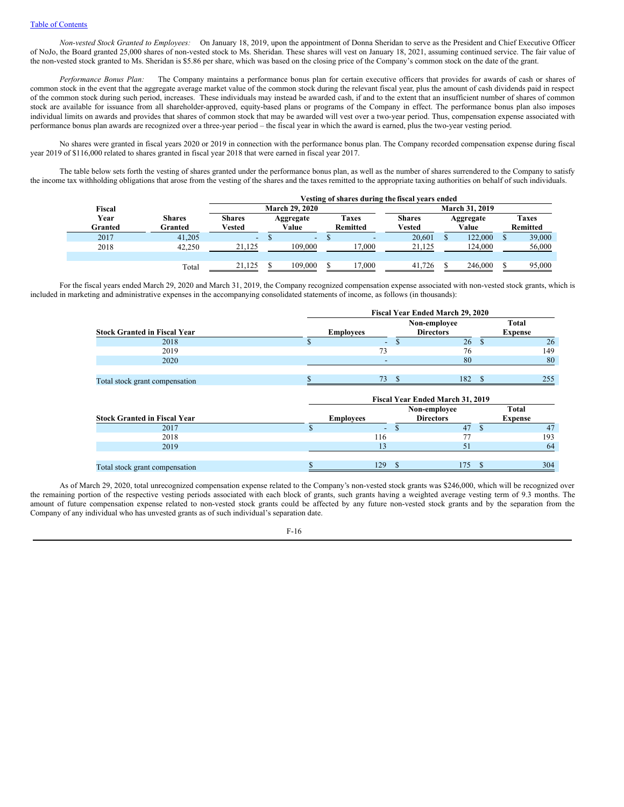*Non-vested Stock Granted to Employees:* On January 18, 2019, upon the appointment of Donna Sheridan to serve as the President and Chief Executive Officer of NoJo, the Board granted 25,000 shares of non-vested stock to Ms. Sheridan. These shares will vest on January 18, 2021, assuming continued service. The fair value of the non-vested stock granted to Ms. Sheridan is \$5.86 per share, which was based on the closing price of the Company's common stock on the date of the grant.

*Performance Bonus Plan:* The Company maintains a performance bonus plan for certain executive officers that provides for awards of cash or shares of common stock in the event that the aggregate average market value of the common stock during the relevant fiscal year, plus the amount of cash dividends paid in respect of the common stock during such period, increases. These individuals may instead be awarded cash, if and to the extent that an insufficient number of shares of common stock are available for issuance from all shareholder-approved, equity-based plans or programs of the Company in effect. The performance bonus plan also imposes individual limits on awards and provides that shares of common stock that may be awarded will vest over a two-year period. Thus, compensation expense associated with performance bonus plan awards are recognized over a three-year period – the fiscal year in which the award is earned, plus the two-year vesting period.

No shares were granted in fiscal years 2020 or 2019 in connection with the performance bonus plan. The Company recorded compensation expense during fiscal year 2019 of \$116,000 related to shares granted in fiscal year 2018 that were earned in fiscal year 2017.

The table below sets forth the vesting of shares granted under the performance bonus plan, as well as the number of shares surrendered to the Company to satisfy the income tax withholding obligations that arose from the vesting of the shares and the taxes remitted to the appropriate taxing authorities on behalf of such individuals.

|                 |                          | Vesting of shares during the fiscal years ended |                          |                                 |                         |                       |                          |  |  |
|-----------------|--------------------------|-------------------------------------------------|--------------------------|---------------------------------|-------------------------|-----------------------|--------------------------|--|--|
| Fiscal          |                          |                                                 | <b>March 29, 2020</b>    |                                 |                         | <b>March 31, 2019</b> |                          |  |  |
| Year<br>Granted | <b>Shares</b><br>Granted | <b>Shares</b><br>Vested                         | Aggregate<br>Value       | <b>Taxes</b><br><b>Remitted</b> | <b>Shares</b><br>Vested | Aggregate<br>Value    | <b>Taxes</b><br>Remitted |  |  |
| 2017            | 41,205                   | $\overline{\phantom{a}}$                        | $\overline{\phantom{0}}$ |                                 | 20.601                  | 122,000               | 39,000                   |  |  |
| 2018            | 42,250                   | 21.125                                          | 109,000                  | 17.000                          | 21.125                  | 124,000               | 56,000                   |  |  |
|                 | Total                    | 21.125                                          | 109,000                  | 17.000                          | 41.726                  | 246,000               | 95,000                   |  |  |

For the fiscal years ended March 29, 2020 and March 31, 2019, the Company recognized compensation expense associated with non-vested stock grants, which is included in marketing and administrative expenses in the accompanying consolidated statements of income, as follows (in thousands):

| <b>Stock Granted in Fiscal Year</b> | <b>Fiscal Year Ended March 29, 2020</b> |                  |                                  |  |                         |  |  |  |  |
|-------------------------------------|-----------------------------------------|------------------|----------------------------------|--|-------------------------|--|--|--|--|
|                                     |                                         | <b>Employees</b> | Non-employee<br><b>Directors</b> |  | Total<br><b>Expense</b> |  |  |  |  |
| 2018                                |                                         | ۰.               | 26                               |  | 26                      |  |  |  |  |
| 2019                                |                                         | 73               | 76                               |  | 149                     |  |  |  |  |
| 2020                                |                                         |                  | 80                               |  | 80                      |  |  |  |  |
|                                     |                                         |                  |                                  |  |                         |  |  |  |  |
| Total stock grant compensation      |                                         | 73               | 182                              |  | 255                     |  |  |  |  |

|                                     | Fiscal Year Ended March 31, 2019 |     |                                  |    |  |                                |  |  |  |
|-------------------------------------|----------------------------------|-----|----------------------------------|----|--|--------------------------------|--|--|--|
| <b>Stock Granted in Fiscal Year</b> | <b>Employees</b>                 |     | Non-employee<br><b>Directors</b> |    |  | <b>Total</b><br><b>Expense</b> |  |  |  |
| 2017                                |                                  | ۰.  | 47                               |    |  | 47                             |  |  |  |
| 2018                                |                                  | 116 |                                  | 77 |  | 193                            |  |  |  |
| 2019                                |                                  | 13  |                                  |    |  | 64                             |  |  |  |
|                                     |                                  |     |                                  |    |  |                                |  |  |  |
| Total stock grant compensation      |                                  | 129 | 175                              |    |  | 304                            |  |  |  |

As of March 29, 2020, total unrecognized compensation expense related to the Company's non-vested stock grants was \$246,000, which will be recognized over the remaining portion of the respective vesting periods associated with each block of grants, such grants having a weighted average vesting term of 9.3 months. The amount of future compensation expense related to non-vested stock grants could be affected by any future non-vested stock grants and by the separation from the Company of any individual who has unvested grants as of such individual's separation date.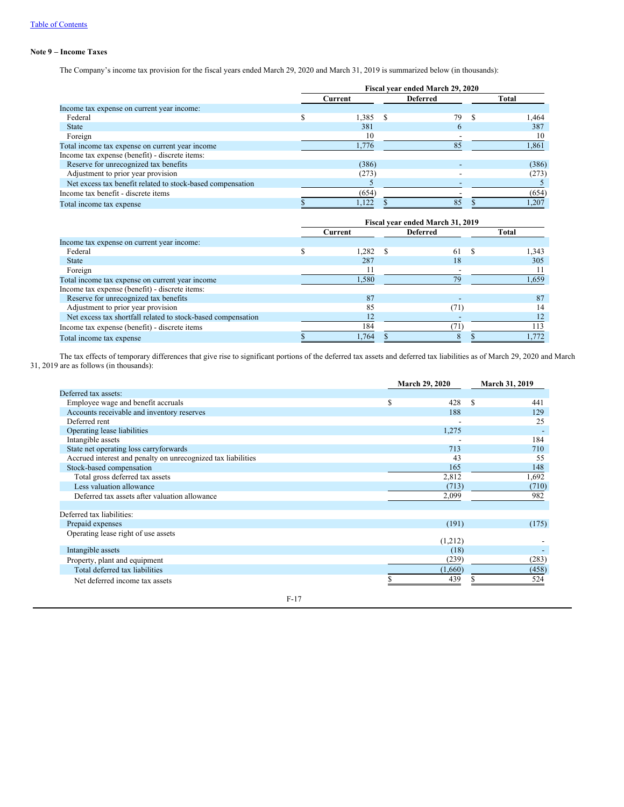# **Note 9 – Income Taxes**

The Company's income tax provision for the fiscal years ended March 29, 2020 and March 31, 2019 is summarized below (in thousands):

|                                                            | Fiscal year ended March 29, 2020 |         |  |                 |    |       |
|------------------------------------------------------------|----------------------------------|---------|--|-----------------|----|-------|
|                                                            |                                  | Current |  | <b>Deferred</b> |    | Total |
| Income tax expense on current year income:                 |                                  |         |  |                 |    |       |
| Federal                                                    |                                  | 1,385   |  | 79              | £. | 1,464 |
| <b>State</b>                                               |                                  | 381     |  | <sub>0</sub>    |    | 387   |
| Foreign                                                    |                                  | 10      |  |                 |    | 10    |
| Total income tax expense on current year income            |                                  | 1,776   |  | 85              |    | 1,861 |
| Income tax expense (benefit) - discrete items:             |                                  |         |  |                 |    |       |
| Reserve for unrecognized tax benefits                      |                                  | (386)   |  |                 |    | (386) |
| Adjustment to prior year provision                         |                                  | (273)   |  |                 |    | (273) |
| Net excess tax benefit related to stock-based compensation |                                  |         |  |                 |    |       |
| Income tax benefit - discrete items                        |                                  | (654)   |  |                 |    | (654) |
| Total income tax expense                                   |                                  | 1,122   |  | 85              |    | 1,207 |

|                                                              | Fiscal year ended March 31, 2019 |         |  |                 |  |       |
|--------------------------------------------------------------|----------------------------------|---------|--|-----------------|--|-------|
|                                                              |                                  | Current |  | <b>Deferred</b> |  | Total |
| Income tax expense on current year income:                   |                                  |         |  |                 |  |       |
| Federal                                                      |                                  | 1,282   |  | 61              |  | 1,343 |
| <b>State</b>                                                 |                                  | 287     |  | 18              |  | 305   |
| Foreign                                                      |                                  |         |  |                 |  |       |
| Total income tax expense on current year income              |                                  | 1,580   |  | 79              |  | 1,659 |
| Income tax expense (benefit) - discrete items:               |                                  |         |  |                 |  |       |
| Reserve for unrecognized tax benefits                        |                                  | 87      |  |                 |  | 87    |
| Adjustment to prior year provision                           |                                  | 85      |  | (71)            |  | 14    |
| Net excess tax shortfall related to stock-based compensation |                                  | 12      |  |                 |  | 12    |
| Income tax expense (benefit) - discrete items                |                                  | 184     |  |                 |  | 113   |
| Total income tax expense                                     |                                  | 1,764   |  |                 |  | .772  |

The tax effects of temporary differences that give rise to significant portions of the deferred tax assets and deferred tax liabilities as of March 29, 2020 and March 31, 2019 are as follows (in thousands):

|                                                              | March 29, 2020 | March 31, 2019 |  |  |
|--------------------------------------------------------------|----------------|----------------|--|--|
| Deferred tax assets:                                         |                |                |  |  |
| Employee wage and benefit accruals                           | \$<br>428      | \$.<br>441     |  |  |
| Accounts receivable and inventory reserves                   | 188            | 129            |  |  |
| Deferred rent                                                |                | 25             |  |  |
| Operating lease liabilities                                  | 1,275          |                |  |  |
| Intangible assets                                            |                | 184            |  |  |
| State net operating loss carryforwards                       | 713            | 710            |  |  |
| Accrued interest and penalty on unrecognized tax liabilities | 43             | 55             |  |  |
| Stock-based compensation                                     | 165            | 148            |  |  |
| Total gross deferred tax assets                              | 2,812          | 1,692          |  |  |
| Less valuation allowance                                     | (713)          | (710)          |  |  |
| Deferred tax assets after valuation allowance                | 2,099          | 982            |  |  |
|                                                              |                |                |  |  |
| Deferred tax liabilities:                                    |                |                |  |  |
| Prepaid expenses                                             | (191)          | (175)          |  |  |
| Operating lease right of use assets                          |                |                |  |  |
|                                                              | (1,212)        |                |  |  |
| Intangible assets                                            | (18)           |                |  |  |
| Property, plant and equipment                                | (239)          | (283)          |  |  |
| Total deferred tax liabilities                               | (1,660)        | (458)          |  |  |
| Net deferred income tax assets                               | 439            | 524            |  |  |

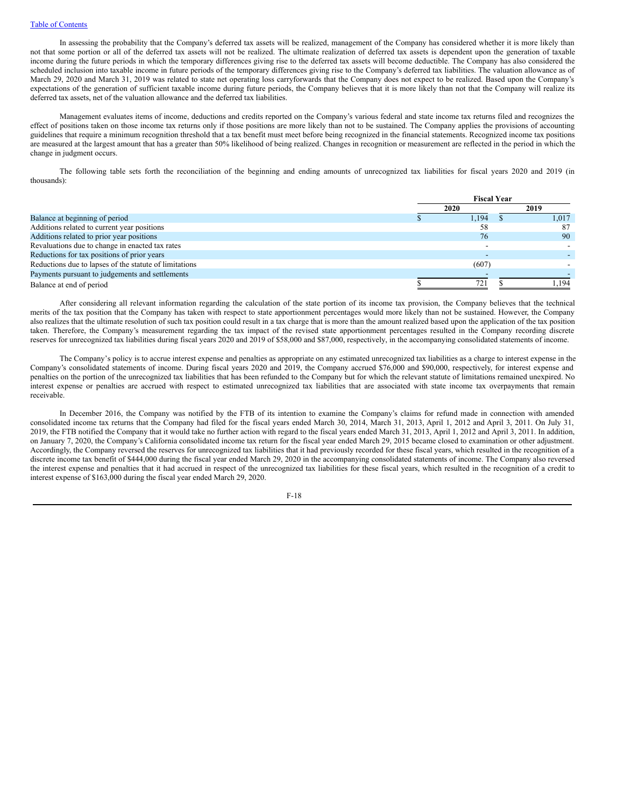In assessing the probability that the Company's deferred tax assets will be realized, management of the Company has considered whether it is more likely than not that some portion or all of the deferred tax assets will not be realized. The ultimate realization of deferred tax assets is dependent upon the generation of taxable income during the future periods in which the temporary differences giving rise to the deferred tax assets will become deductible. The Company has also considered the scheduled inclusion into taxable income in future periods of the temporary differences giving rise to the Company's deferred tax liabilities. The valuation allowance as of March 29, 2020 and March 31, 2019 was related to state net operating loss carryforwards that the Company does not expect to be realized. Based upon the Company's expectations of the generation of sufficient taxable income during future periods, the Company believes that it is more likely than not that the Company will realize its deferred tax assets, net of the valuation allowance and the deferred tax liabilities.

Management evaluates items of income, deductions and credits reported on the Company's various federal and state income tax returns filed and recognizes the effect of positions taken on those income tax returns only if those positions are more likely than not to be sustained. The Company applies the provisions of accounting guidelines that require a minimum recognition threshold that a tax benefit must meet before being recognized in the financial statements. Recognized income tax positions are measured at the largest amount that has a greater than 50% likelihood of being realized. Changes in recognition or measurement are reflected in the period in which the change in judgment occurs.

The following table sets forth the reconciliation of the beginning and ending amounts of unrecognized tax liabilities for fiscal years 2020 and 2019 (in thousands):

|                                                        |      | <b>Fiscal Year</b> |  |       |  |
|--------------------------------------------------------|------|--------------------|--|-------|--|
|                                                        | 2020 |                    |  | 2019  |  |
| Balance at beginning of period                         |      | 1.194              |  | 1,017 |  |
| Additions related to current year positions            |      | 58                 |  | -87   |  |
| Additions related to prior year positions              |      | 76                 |  | 90    |  |
| Revaluations due to change in enacted tax rates        |      |                    |  |       |  |
| Reductions for tax positions of prior years            |      |                    |  |       |  |
| Reductions due to lapses of the statute of limitations |      | (607)              |  |       |  |
| Payments pursuant to judgements and settlements        |      |                    |  |       |  |
| Balance at end of period                               |      | 721                |  | 1.194 |  |

After considering all relevant information regarding the calculation of the state portion of its income tax provision, the Company believes that the technical merits of the tax position that the Company has taken with respect to state apportionment percentages would more likely than not be sustained. However, the Company also realizes that the ultimate resolution of such tax position could result in a tax charge that is more than the amount realized based upon the application of the tax position taken. Therefore, the Company's measurement regarding the tax impact of the revised state apportionment percentages resulted in the Company recording discrete reserves for unrecognized tax liabilities during fiscal years 2020 and 2019 of \$58,000 and \$87,000, respectively, in the accompanying consolidated statements of income.

The Company's policy is to accrue interest expense and penalties as appropriate on any estimated unrecognized tax liabilities as a charge to interest expense in the Company's consolidated statements of income. During fiscal years 2020 and 2019, the Company accrued \$76,000 and \$90,000, respectively, for interest expense and penalties on the portion of the unrecognized tax liabilities that has been refunded to the Company but for which the relevant statute of limitations remained unexpired. No interest expense or penalties are accrued with respect to estimated unrecognized tax liabilities that are associated with state income tax overpayments that remain receivable.

In December 2016, the Company was notified by the FTB of its intention to examine the Company's claims for refund made in connection with amended consolidated income tax returns that the Company had filed for the fiscal years ended March 30, 2014, March 31, 2013, April 1, 2012 and April 3, 2011. On July 31, 2019, the FTB notified the Company that it would take no further action with regard to the fiscal years ended March 31, 2013, April 1, 2012 and April 3, 2011. In addition, on January 7, 2020, the Company's California consolidated income tax return for the fiscal year ended March 29, 2015 became closed to examination or other adjustment. Accordingly, the Company reversed the reserves for unrecognized tax liabilities that it had previously recorded for these fiscal years, which resulted in the recognition of a discrete income tax benefit of \$444,000 during the fiscal year ended March 29, 2020 in the accompanying consolidated statements of income. The Company also reversed the interest expense and penalties that it had accrued in respect of the unrecognized tax liabilities for these fiscal years, which resulted in the recognition of a credit to interest expense of \$163,000 during the fiscal year ended March 29, 2020.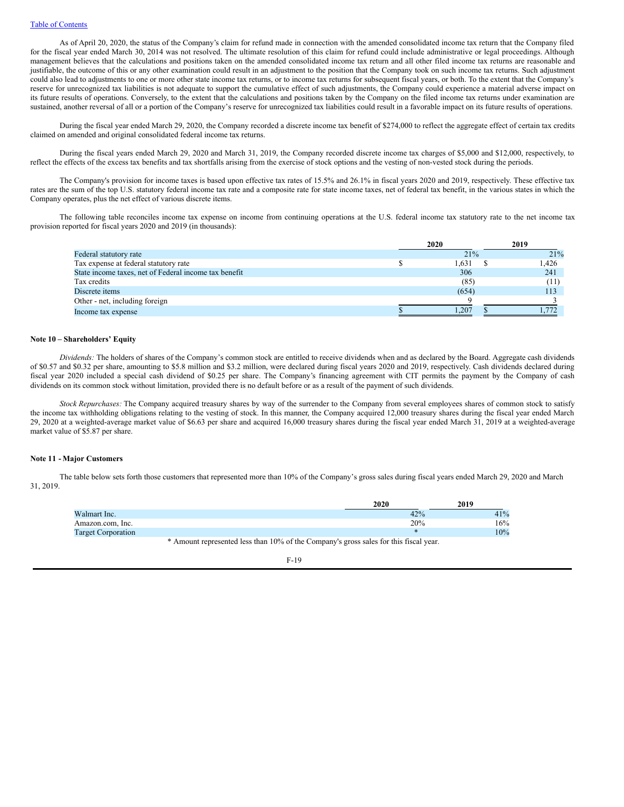As of April 20, 2020, the status of the Company's claim for refund made in connection with the amended consolidated income tax return that the Company filed for the fiscal year ended March 30, 2014 was not resolved. The ultimate resolution of this claim for refund could include administrative or legal proceedings. Although management believes that the calculations and positions taken on the amended consolidated income tax return and all other filed income tax returns are reasonable and justifiable, the outcome of this or any other examination could result in an adjustment to the position that the Company took on such income tax returns. Such adjustment could also lead to adjustments to one or more other state income tax returns, or to income tax returns for subsequent fiscal years, or both. To the extent that the Company's reserve for unrecognized tax liabilities is not adequate to support the cumulative effect of such adjustments, the Company could experience a material adverse impact on its future results of operations. Conversely, to the extent that the calculations and positions taken by the Company on the filed income tax returns under examination are sustained, another reversal of all or a portion of the Company's reserve for unrecognized tax liabilities could result in a favorable impact on its future results of operations.

During the fiscal year ended March 29, 2020, the Company recorded a discrete income tax benefit of \$274,000 to reflect the aggregate effect of certain tax credits claimed on amended and original consolidated federal income tax returns.

During the fiscal years ended March 29, 2020 and March 31, 2019, the Company recorded discrete income tax charges of \$5,000 and \$12,000, respectively, to reflect the effects of the excess tax benefits and tax shortfalls arising from the exercise of stock options and the vesting of non-vested stock during the periods.

The Company's provision for income taxes is based upon effective tax rates of 15.5% and 26.1% in fiscal years 2020 and 2019, respectively. These effective tax rates are the sum of the top U.S. statutory federal income tax rate and a composite rate for state income taxes, net of federal tax benefit, in the various states in which the Company operates, plus the net effect of various discrete items.

The following table reconciles income tax expense on income from continuing operations at the U.S. federal income tax statutory rate to the net income tax provision reported for fiscal years 2020 and 2019 (in thousands):

|                                                       | 2020  | 2019  |
|-------------------------------------------------------|-------|-------|
| Federal statutory rate                                | 21%   | 21%   |
| Tax expense at federal statutory rate                 | 1,631 | 1,426 |
| State income taxes, net of Federal income tax benefit | 306   | 241   |
| Tax credits                                           | (85)  | (11   |
| Discrete items                                        | (654) | 113   |
| Other - net, including foreign                        |       |       |
| Income tax expense                                    | 1.207 | 1.772 |

### **Note 10 – Shareholders' Equity**

*Dividends:* The holders of shares of the Company's common stock are entitled to receive dividends when and as declared by the Board. Aggregate cash dividends of \$0.57 and \$0.32 per share, amounting to \$5.8 million and \$3.2 million, were declared during fiscal years 2020 and 2019, respectively. Cash dividends declared during fiscal year 2020 included a special cash dividend of \$0.25 per share. The Company's financing agreement with CIT permits the payment by the Company of cash dividends on its common stock without limitation, provided there is no default before or as a result of the payment of such dividends.

*Stock Repurchases:* The Company acquired treasury shares by way of the surrender to the Company from several employees shares of common stock to satisfy the income tax withholding obligations relating to the vesting of stock. In this manner, the Company acquired 12,000 treasury shares during the fiscal year ended March 29, 2020 at a weighted-average market value of \$6.63 per share and acquired 16,000 treasury shares during the fiscal year ended March 31, 2019 at a weighted-average market value of \$5.87 per share.

### **Note 11 - Major Customers**

The table below sets forth those customers that represented more than 10% of the Company's gross sales during fiscal years ended March 29, 2020 and March 31, 2019.

|                           |                                                                                       | 2020 | 2019   |
|---------------------------|---------------------------------------------------------------------------------------|------|--------|
| Walmart Inc.              |                                                                                       | 42%  | 41%    |
| Amazon.com, Inc.          |                                                                                       | 20%  | $16\%$ |
| <b>Target Corporation</b> |                                                                                       |      | 10%    |
|                           | * Amount represented less than 10% of the Company's gross sales for this fiscal year. |      |        |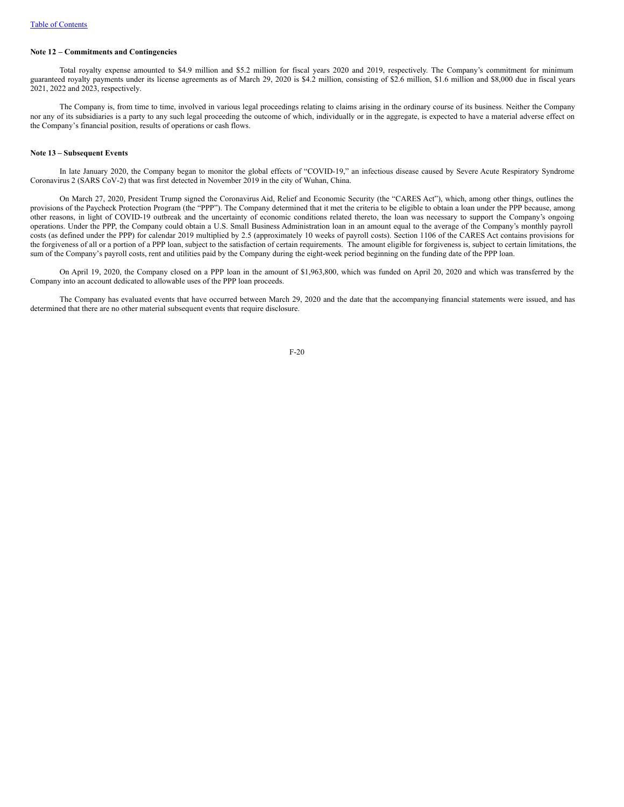#### **Note 12 – Commitments and Contingencies**

Total royalty expense amounted to \$4.9 million and \$5.2 million for fiscal years 2020 and 2019, respectively. The Company's commitment for minimum guaranteed royalty payments under its license agreements as of March 29, 2020 is \$4.2 million, consisting of \$2.6 million, \$1.6 million and \$8,000 due in fiscal years 2021, 2022 and 2023, respectively.

The Company is, from time to time, involved in various legal proceedings relating to claims arising in the ordinary course of its business. Neither the Company nor any of its subsidiaries is a party to any such legal proceeding the outcome of which, individually or in the aggregate, is expected to have a material adverse effect on the Company's financial position, results of operations or cash flows.

### **Note 13 – Subsequent Events**

In late January 2020, the Company began to monitor the global effects of "COVID-19," an infectious disease caused by Severe Acute Respiratory Syndrome Coronavirus 2 (SARS CoV-2) that was first detected in November 2019 in the city of Wuhan, China.

On March 27, 2020, President Trump signed the Coronavirus Aid, Relief and Economic Security (the "CARES Act"), which, among other things, outlines the provisions of the Paycheck Protection Program (the "PPP"). The Company determined that it met the criteria to be eligible to obtain a loan under the PPP because, among other reasons, in light of COVID-19 outbreak and the uncertainty of economic conditions related thereto, the loan was necessary to support the Company's ongoing operations. Under the PPP, the Company could obtain a U.S. Small Business Administration loan in an amount equal to the average of the Company's monthly payroll costs (as defined under the PPP) for calendar 2019 multiplied by 2.5 (approximately 10 weeks of payroll costs). Section 1106 of the CARES Act contains provisions for the forgiveness of all or a portion of a PPP loan, subject to the satisfaction of certain requirements. The amount eligible for forgiveness is, subject to certain limitations, the sum of the Company's payroll costs, rent and utilities paid by the Company during the eight-week period beginning on the funding date of the PPP loan.

On April 19, 2020, the Company closed on a PPP loan in the amount of \$1,963,800, which was funded on April 20, 2020 and which was transferred by the Company into an account dedicated to allowable uses of the PPP loan proceeds.

The Company has evaluated events that have occurred between March 29, 2020 and the date that the accompanying financial statements were issued, and has determined that there are no other material subsequent events that require disclosure.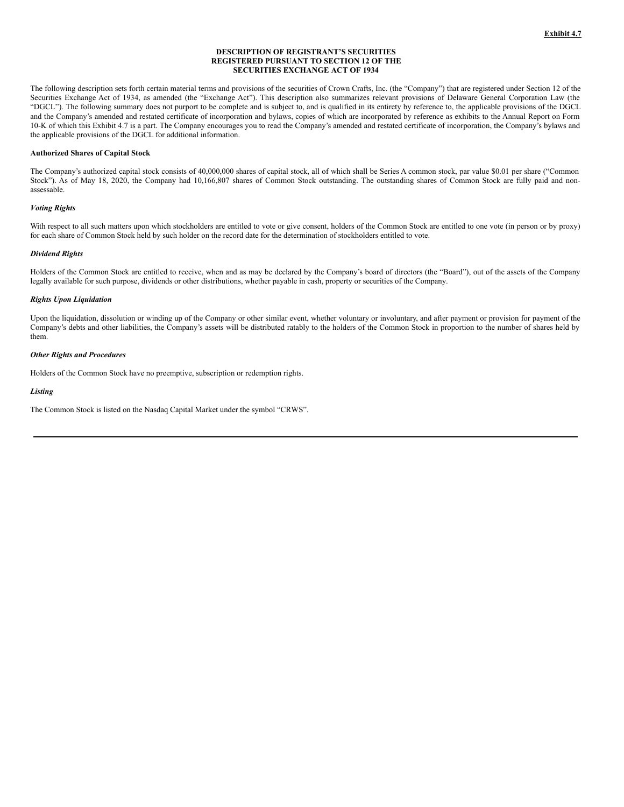### **DESCRIPTION OF REGISTRANT'S SECURITIES REGISTERED PURSUANT TO SECTION 12 OF THE SECURITIES EXCHANGE ACT OF 1934**

The following description sets forth certain material terms and provisions of the securities of Crown Crafts, Inc. (the "Company") that are registered under Section 12 of the Securities Exchange Act of 1934, as amended (the "Exchange Act"). This description also summarizes relevant provisions of Delaware General Corporation Law (the "DGCL"). The following summary does not purport to be complete and is subject to, and is qualified in its entirety by reference to, the applicable provisions of the DGCL and the Company's amended and restated certificate of incorporation and bylaws, copies of which are incorporated by reference as exhibits to the Annual Report on Form 10-K of which this Exhibit 4.7 is a part. The Company encourages you to read the Company's amended and restated certificate of incorporation, the Company's bylaws and the applicable provisions of the DGCL for additional information.

## **Authorized Shares of Capital Stock**

The Company's authorized capital stock consists of 40,000,000 shares of capital stock, all of which shall be Series A common stock, par value \$0.01 per share ("Common Stock"). As of May 18, 2020, the Company had 10,166,807 shares of Common Stock outstanding. The outstanding shares of Common Stock are fully paid and nonassessable.

### *Voting Rights*

With respect to all such matters upon which stockholders are entitled to vote or give consent, holders of the Common Stock are entitled to one vote (in person or by proxy) for each share of Common Stock held by such holder on the record date for the determination of stockholders entitled to vote.

### *Dividend Rights*

Holders of the Common Stock are entitled to receive, when and as may be declared by the Company's board of directors (the "Board"), out of the assets of the Company legally available for such purpose, dividends or other distributions, whether payable in cash, property or securities of the Company.

### *Rights Upon Liquidation*

Upon the liquidation, dissolution or winding up of the Company or other similar event, whether voluntary or involuntary, and after payment or provision for payment of the Company's debts and other liabilities, the Company's assets will be distributed ratably to the holders of the Common Stock in proportion to the number of shares held by them.

### *Other Rights and Procedures*

Holders of the Common Stock have no preemptive, subscription or redemption rights.

### *Listing*

The Common Stock is listed on the Nasdaq Capital Market under the symbol "CRWS".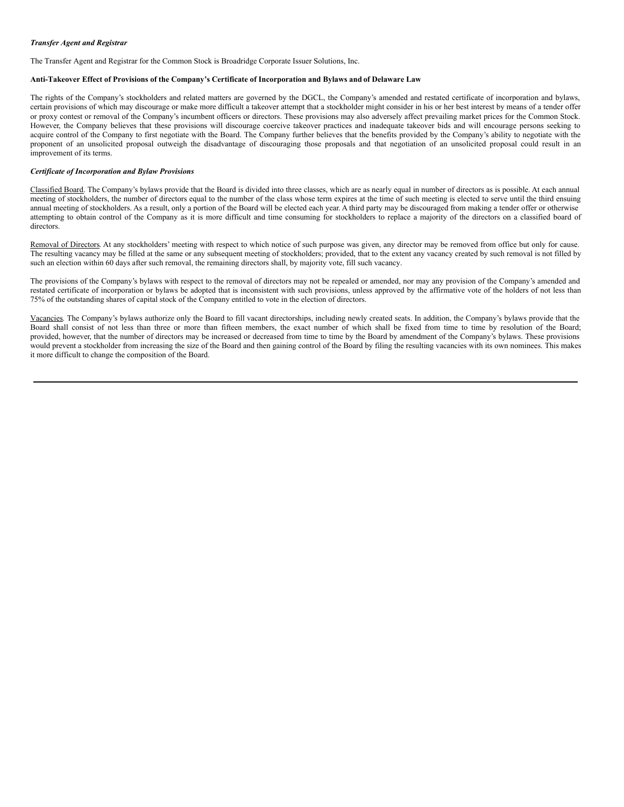## *Transfer Agent and Registrar*

The Transfer Agent and Registrar for the Common Stock is Broadridge Corporate Issuer Solutions, Inc.

### **Anti-Takeover Effect of Provisions of the Company's Certificate of Incorporation and Bylaws and of Delaware Law**

The rights of the Company's stockholders and related matters are governed by the DGCL, the Company's amended and restated certificate of incorporation and bylaws, certain provisions of which may discourage or make more difficult a takeover attempt that a stockholder might consider in his or her best interest by means of a tender offer or proxy contest or removal of the Company's incumbent officers or directors. These provisions may also adversely affect prevailing market prices for the Common Stock. However, the Company believes that these provisions will discourage coercive takeover practices and inadequate takeover bids and will encourage persons seeking to acquire control of the Company to first negotiate with the Board. The Company further believes that the benefits provided by the Company's ability to negotiate with the proponent of an unsolicited proposal outweigh the disadvantage of discouraging those proposals and that negotiation of an unsolicited proposal could result in an improvement of its terms.

### *Certificate of Incorporation and Bylaw Provisions*

Classified Board. The Company's bylaws provide that the Board is divided into three classes, which are as nearly equal in number of directors as is possible. At each annual meeting of stockholders, the number of directors equal to the number of the class whose term expires at the time of such meeting is elected to serve until the third ensuing annual meeting of stockholders. As a result, only a portion of the Board will be elected each year. A third party may be discouraged from making a tender offer or otherwise attempting to obtain control of the Company as it is more difficult and time consuming for stockholders to replace a majority of the directors on a classified board of directors.

Removal of Directors. At any stockholders' meeting with respect to which notice of such purpose was given, any director may be removed from office but only for cause. The resulting vacancy may be filled at the same or any subsequent meeting of stockholders; provided, that to the extent any vacancy created by such removal is not filled by such an election within 60 days after such removal, the remaining directors shall, by majority vote, fill such vacancy.

The provisions of the Company's bylaws with respect to the removal of directors may not be repealed or amended, nor may any provision of the Company's amended and restated certificate of incorporation or bylaws be adopted that is inconsistent with such provisions, unless approved by the affirmative vote of the holders of not less than 75% of the outstanding shares of capital stock of the Company entitled to vote in the election of directors.

Vacancies. The Company's bylaws authorize only the Board to fill vacant directorships, including newly created seats. In addition, the Company's bylaws provide that the Board shall consist of not less than three or more than fifteen members, the exact number of which shall be fixed from time to time by resolution of the Board; provided, however, that the number of directors may be increased or decreased from time to time by the Board by amendment of the Company's bylaws. These provisions would prevent a stockholder from increasing the size of the Board and then gaining control of the Board by filing the resulting vacancies with its own nominees. This makes it more difficult to change the composition of the Board.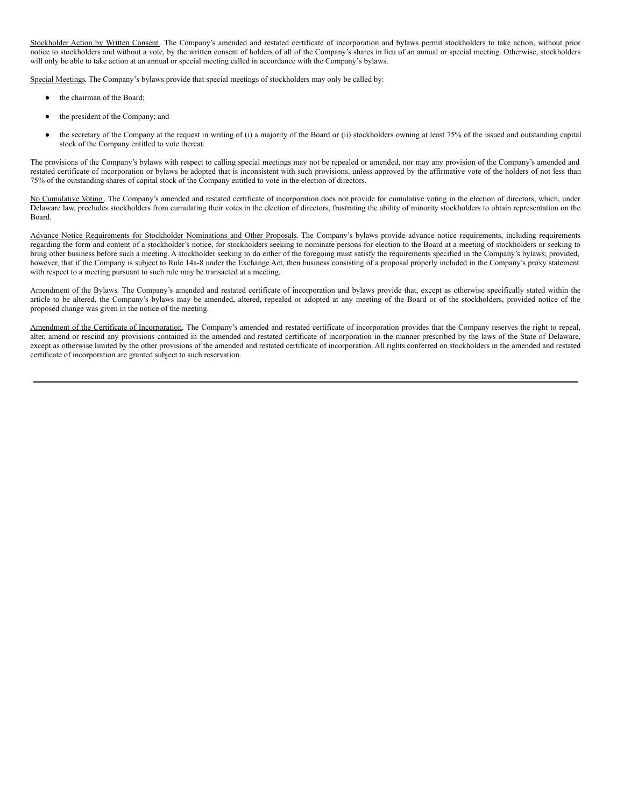<span id="page-51-0"></span>Stockholder Action by Written Consent. The Company's amended and restated certificate of incorporation and bylaws permit stockholders to take action, without prior notice to stockholders and without a vote, by the written consent of holders of all of the Company's shares in lieu of an annual or special meeting. Otherwise, stockholders will only be able to take action at an annual or special meeting called in accordance with the Company's bylaws.

Special Meetings. The Company's bylaws provide that special meetings of stockholders may only be called by:

- the chairman of the Board;
- the president of the Company; and
- the secretary of the Company at the request in writing of (i) a majority of the Board or (ii) stockholders owning at least 75% of the issued and outstanding capital stock of the Company entitled to vote thereat.

The provisions of the Company's bylaws with respect to calling special meetings may not be repealed or amended, nor may any provision of the Company's amended and restated certificate of incorporation or bylaws be adopted that is inconsistent with such provisions, unless approved by the affirmative vote of the holders of not less than 75% of the outstanding shares of capital stock of the Company entitled to vote in the election of directors.

No Cumulative Voting . The Company's amended and restated certificate of incorporation does not provide for cumulative voting in the election of directors, which, under Delaware law, precludes stockholders from cumulating their votes in the election of directors, frustrating the ability of minority stockholders to obtain representation on the Board.

Advance Notice Requirements for Stockholder Nominations and Other Proposals. The Company's bylaws provide advance notice requirements, including requirements regarding the form and content of a stockholder's notice, for stockholders seeking to nominate persons for election to the Board at a meeting of stockholders or seeking to bring other business before such a meeting. A stockholder seeking to do either of the foregoing must satisfy the requirements specified in the Company's bylaws; provided, however, that if the Company is subject to Rule 14a-8 under the Exchange Act, then business consisting of a proposal properly included in the Company's proxy statement with respect to a meeting pursuant to such rule may be transacted at a meeting.

Amendment of the Bylaws. The Company's amended and restated certificate of incorporation and bylaws provide that, except as otherwise specifically stated within the article to be altered, the Company's bylaws may be amended, altered, repealed or adopted at any meeting of the Board or of the stockholders, provided notice of the proposed change was given in the notice of the meeting.

Amendment of the Certificate of Incorporation. The Company's amended and restated certificate of incorporation provides that the Company reserves the right to repeal, alter, amend or rescind any provisions contained in the amended and restated certificate of incorporation in the manner prescribed by the laws of the State of Delaware, except as otherwise limited by the other provisions of the amended and restated certificate of incorporation. All rights conferred on stockholders in the amended and restated certificate of incorporation are granted subject to such reservation.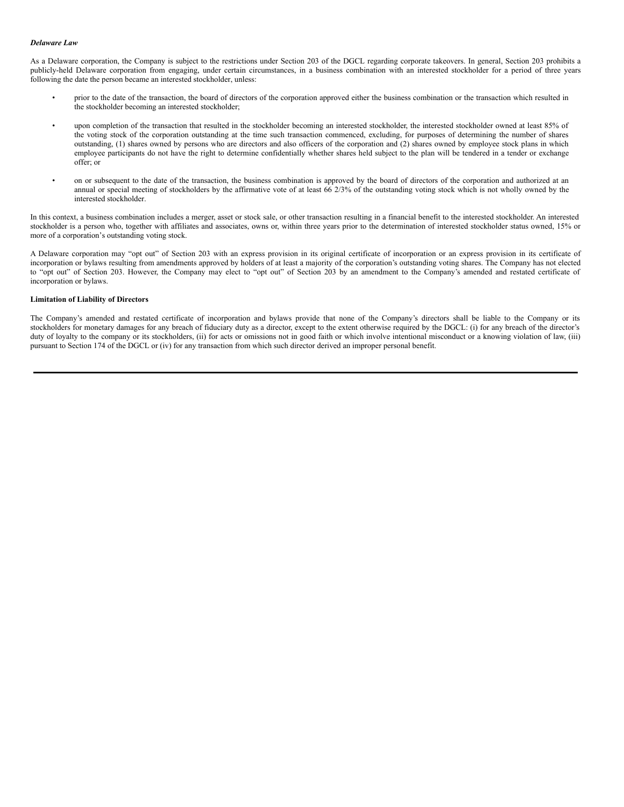### *Delaware Law*

As a Delaware corporation, the Company is subject to the restrictions under Section 203 of the DGCL regarding corporate takeovers. In general, Section 203 prohibits a publicly-held Delaware corporation from engaging, under certain circumstances, in a business combination with an interested stockholder for a period of three years following the date the person became an interested stockholder, unless:

- prior to the date of the transaction, the board of directors of the corporation approved either the business combination or the transaction which resulted in the stockholder becoming an interested stockholder;
- upon completion of the transaction that resulted in the stockholder becoming an interested stockholder, the interested stockholder owned at least 85% of the voting stock of the corporation outstanding at the time such transaction commenced, excluding, for purposes of determining the number of shares outstanding, (1) shares owned by persons who are directors and also officers of the corporation and (2) shares owned by employee stock plans in which employee participants do not have the right to determine confidentially whether shares held subject to the plan will be tendered in a tender or exchange offer; or
- on or subsequent to the date of the transaction, the business combination is approved by the board of directors of the corporation and authorized at an annual or special meeting of stockholders by the affirmative vote of at least 66 2/3% of the outstanding voting stock which is not wholly owned by the interested stockholder.

In this context, a business combination includes a merger, asset or stock sale, or other transaction resulting in a financial benefit to the interested stockholder. An interested stockholder is a person who, together with affiliates and associates, owns or, within three years prior to the determination of interested stockholder status owned, 15% or more of a corporation's outstanding voting stock.

A Delaware corporation may "opt out" of Section 203 with an express provision in its original certificate of incorporation or an express provision in its certificate of incorporation or bylaws resulting from amendments approved by holders of at least a majority of the corporation's outstanding voting shares. The Company has not elected to "opt out" of Section 203. However, the Company may elect to "opt out" of Section 203 by an amendment to the Company's amended and restated certificate of incorporation or bylaws.

### **Limitation of Liability of Directors**

The Company's amended and restated certificate of incorporation and bylaws provide that none of the Company's directors shall be liable to the Company or its stockholders for monetary damages for any breach of fiduciary duty as a director, except to the extent otherwise required by the DGCL: (i) for any breach of the director's duty of loyalty to the company or its stockholders, (ii) for acts or omissions not in good faith or which involve intentional misconduct or a knowing violation of law, (iii) pursuant to Section 174 of the DGCL or (iv) for any transaction from which such director derived an improper personal benefit.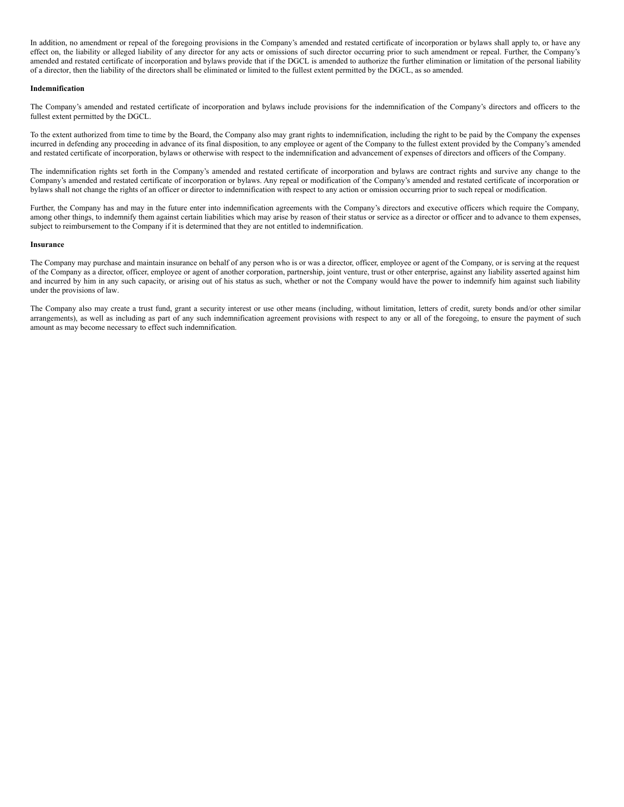In addition, no amendment or repeal of the foregoing provisions in the Company's amended and restated certificate of incorporation or bylaws shall apply to, or have any effect on, the liability or alleged liability of any director for any acts or omissions of such director occurring prior to such amendment or repeal. Further, the Company's amended and restated certificate of incorporation and bylaws provide that if the DGCL is amended to authorize the further elimination or limitation of the personal liability of a director, then the liability of the directors shall be eliminated or limited to the fullest extent permitted by the DGCL, as so amended.

### **Indemnification**

The Company's amended and restated certificate of incorporation and bylaws include provisions for the indemnification of the Company's directors and officers to the fullest extent permitted by the DGCL.

To the extent authorized from time to time by the Board, the Company also may grant rights to indemnification, including the right to be paid by the Company the expenses incurred in defending any proceeding in advance of its final disposition, to any employee or agent of the Company to the fullest extent provided by the Company's amended and restated certificate of incorporation, bylaws or otherwise with respect to the indemnification and advancement of expenses of directors and officers of the Company.

The indemnification rights set forth in the Company's amended and restated certificate of incorporation and bylaws are contract rights and survive any change to the Company's amended and restated certificate of incorporation or bylaws. Any repeal or modification of the Company's amended and restated certificate of incorporation or bylaws shall not change the rights of an officer or director to indemnification with respect to any action or omission occurring prior to such repeal or modification.

Further, the Company has and may in the future enter into indemnification agreements with the Company's directors and executive officers which require the Company, among other things, to indemnify them against certain liabilities which may arise by reason of their status or service as a director or officer and to advance to them expenses, subject to reimbursement to the Company if it is determined that they are not entitled to indemnification.

#### **Insurance**

The Company may purchase and maintain insurance on behalf of any person who is or was a director, officer, employee or agent of the Company, or is serving at the request of the Company as a director, officer, employee or agent of another corporation, partnership, joint venture, trust or other enterprise, against any liability asserted against him and incurred by him in any such capacity, or arising out of his status as such, whether or not the Company would have the power to indemnify him against such liability under the provisions of law.

The Company also may create a trust fund, grant a security interest or use other means (including, without limitation, letters of credit, surety bonds and/or other similar arrangements), as well as including as part of any such indemnification agreement provisions with respect to any or all of the foregoing, to ensure the payment of such amount as may become necessary to effect such indemnification.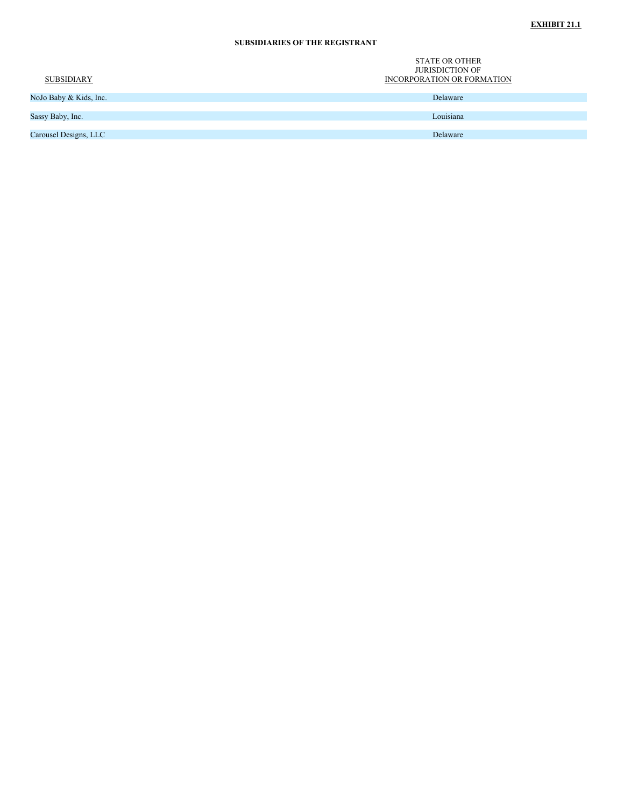# **SUBSIDIARIES OF THE REGISTRANT**

<span id="page-54-0"></span>

| SUBSIDIARY             | <b>STATE OR OTHER</b><br>JURISDICTION OF<br>INCORPORATION OR FORMATION |
|------------------------|------------------------------------------------------------------------|
| NoJo Baby & Kids, Inc. | Delaware                                                               |
|                        |                                                                        |
| Sassy Baby, Inc.       | Louisiana                                                              |
|                        |                                                                        |
| Carousel Designs, LLC  | Delaware                                                               |
|                        |                                                                        |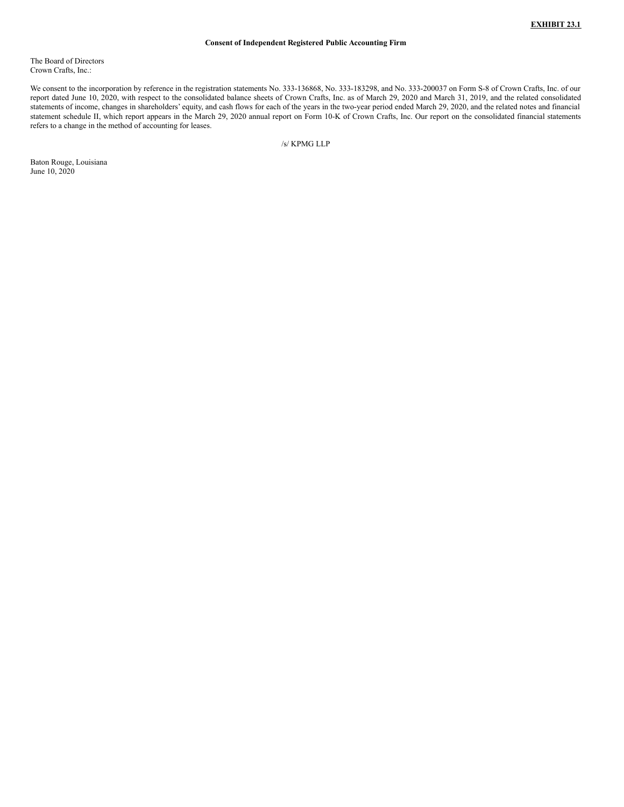### **Consent of Independent Registered Public Accounting Firm**

<span id="page-55-0"></span>The Board of Directors Crown Crafts, Inc.:

We consent to the incorporation by reference in the registration statements No. 333-136868, No. 333-183298, and No. 333-200037 on Form S-8 of Crown Crafts, Inc. of our report dated June 10, 2020, with respect to the consolidated balance sheets of Crown Crafts, Inc. as of March 29, 2020 and March 31, 2019, and the related consolidated statements of income, changes in shareholders' equity, and cash flows for each of the years in the two-year period ended March 29, 2020, and the related notes and financial statement schedule II, which report appears in the March 29, 2020 annual report on Form 10-K of Crown Crafts, Inc. Our report on the consolidated financial statements refers to a change in the method of accounting for leases.

/s/ KPMG LLP

Baton Rouge, Louisiana June 10, 2020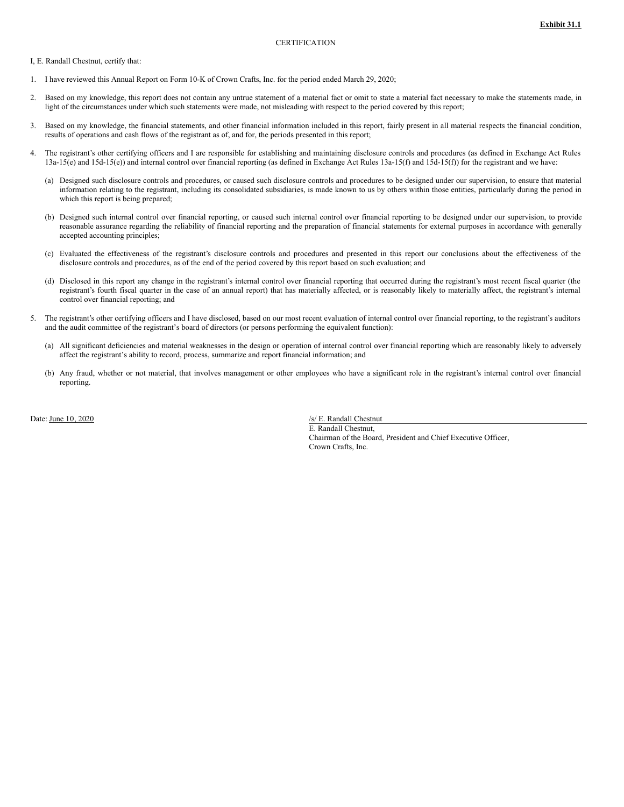<span id="page-56-0"></span>I, E. Randall Chestnut, certify that:

- 1. I have reviewed this Annual Report on Form 10-K of Crown Crafts, Inc. for the period ended March 29, 2020;
- 2. Based on my knowledge, this report does not contain any untrue statement of a material fact or omit to state a material fact necessary to make the statements made, in light of the circumstances under which such statements were made, not misleading with respect to the period covered by this report;
- 3. Based on my knowledge, the financial statements, and other financial information included in this report, fairly present in all material respects the financial condition, results of operations and cash flows of the registrant as of, and for, the periods presented in this report;
- 4. The registrant's other certifying officers and I are responsible for establishing and maintaining disclosure controls and procedures (as defined in Exchange Act Rules 13a-15(e) and 15d-15(e)) and internal control over financial reporting (as defined in Exchange Act Rules 13a-15(f) and 15d-15(f)) for the registrant and we have:
	- (a) Designed such disclosure controls and procedures, or caused such disclosure controls and procedures to be designed under our supervision, to ensure that material information relating to the registrant, including its consolidated subsidiaries, is made known to us by others within those entities, particularly during the period in which this report is being prepared;
	- (b) Designed such internal control over financial reporting, or caused such internal control over financial reporting to be designed under our supervision, to provide reasonable assurance regarding the reliability of financial reporting and the preparation of financial statements for external purposes in accordance with generally accepted accounting principles;
	- (c) Evaluated the effectiveness of the registrant's disclosure controls and procedures and presented in this report our conclusions about the effectiveness of the disclosure controls and procedures, as of the end of the period covered by this report based on such evaluation; and
	- (d) Disclosed in this report any change in the registrant's internal control over financial reporting that occurred during the registrant's most recent fiscal quarter (the registrant's fourth fiscal quarter in the case of an annual report) that has materially affected, or is reasonably likely to materially affect, the registrant's internal control over financial reporting; and
- 5. The registrant's other certifying officers and I have disclosed, based on our most recent evaluation of internal control over financial reporting, to the registrant's auditors and the audit committee of the registrant's board of directors (or persons performing the equivalent function):
	- (a) All significant deficiencies and material weaknesses in the design or operation of internal control over financial reporting which are reasonably likely to adversely affect the registrant's ability to record, process, summarize and report financial information; and
	- (b) Any fraud, whether or not material, that involves management or other employees who have a significant role in the registrant's internal control over financial reporting.

Date: <u>June 10, 2020</u> /s/ E. Randall Chestnut E. Randall Chestnut, Chairman of the Board, President and Chief Executive Officer, Crown Crafts, Inc.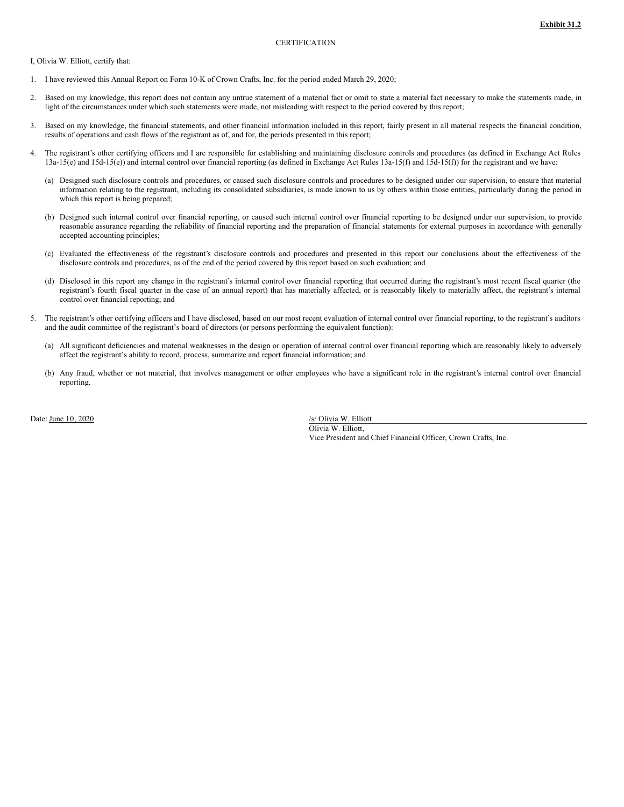<span id="page-57-0"></span>I, Olivia W. Elliott, certify that:

- 1. I have reviewed this Annual Report on Form 10-K of Crown Crafts, Inc. for the period ended March 29, 2020;
- 2. Based on my knowledge, this report does not contain any untrue statement of a material fact or omit to state a material fact necessary to make the statements made, in light of the circumstances under which such statements were made, not misleading with respect to the period covered by this report;
- 3. Based on my knowledge, the financial statements, and other financial information included in this report, fairly present in all material respects the financial condition, results of operations and cash flows of the registrant as of, and for, the periods presented in this report;
- 4. The registrant's other certifying officers and I are responsible for establishing and maintaining disclosure controls and procedures (as defined in Exchange Act Rules 13a-15(e) and 15d-15(e)) and internal control over financial reporting (as defined in Exchange Act Rules 13a-15(f) and 15d-15(f)) for the registrant and we have:
	- (a) Designed such disclosure controls and procedures, or caused such disclosure controls and procedures to be designed under our supervision, to ensure that material information relating to the registrant, including its consolidated subsidiaries, is made known to us by others within those entities, particularly during the period in which this report is being prepared;
	- (b) Designed such internal control over financial reporting, or caused such internal control over financial reporting to be designed under our supervision, to provide reasonable assurance regarding the reliability of financial reporting and the preparation of financial statements for external purposes in accordance with generally accepted accounting principles;
	- (c) Evaluated the effectiveness of the registrant's disclosure controls and procedures and presented in this report our conclusions about the effectiveness of the disclosure controls and procedures, as of the end of the period covered by this report based on such evaluation; and
	- (d) Disclosed in this report any change in the registrant's internal control over financial reporting that occurred during the registrant's most recent fiscal quarter (the registrant's fourth fiscal quarter in the case of an annual report) that has materially affected, or is reasonably likely to materially affect, the registrant's internal control over financial reporting; and
- 5. The registrant's other certifying officers and I have disclosed, based on our most recent evaluation of internal control over financial reporting, to the registrant's auditors and the audit committee of the registrant's board of directors (or persons performing the equivalent function):
	- (a) All significant deficiencies and material weaknesses in the design or operation of internal control over financial reporting which are reasonably likely to adversely affect the registrant's ability to record, process, summarize and report financial information; and
	- (b) Any fraud, whether or not material, that involves management or other employees who have a significant role in the registrant's internal control over financial reporting.

Date: <u>June 10, 2020</u> /s/ Olivia W. Elliott

Olivia W. Elliott, Vice President and Chief Financial Officer, Crown Crafts, Inc.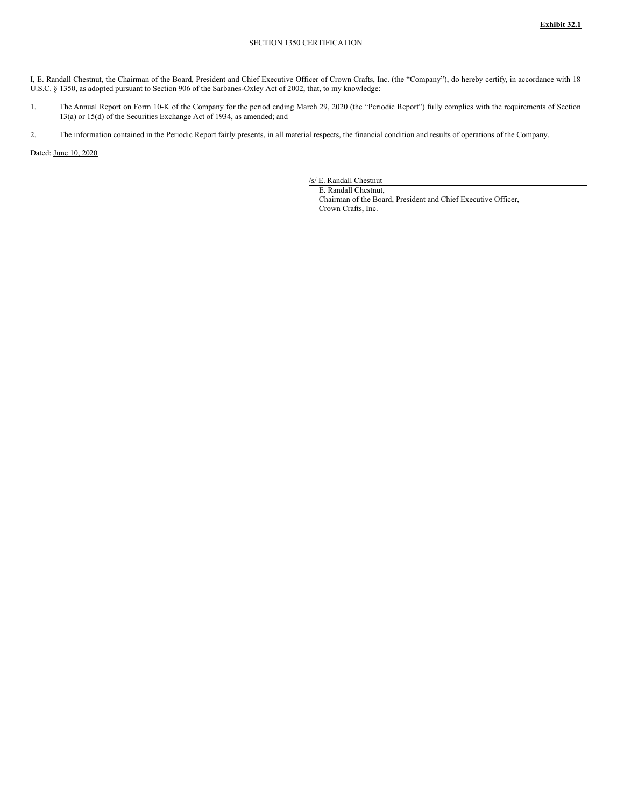## SECTION 1350 CERTIFICATION

<span id="page-58-0"></span>I, E. Randall Chestnut, the Chairman of the Board, President and Chief Executive Officer of Crown Crafts, Inc. (the "Company"), do hereby certify, in accordance with 18 U.S.C. § 1350, as adopted pursuant to Section 906 of the Sarbanes-Oxley Act of 2002, that, to my knowledge:

- 1. The Annual Report on Form 10-K of the Company for the period ending March 29, 2020 (the "Periodic Report") fully complies with the requirements of Section 13(a) or 15(d) of the Securities Exchange Act of 1934, as amended; and
- 2. The information contained in the Periodic Report fairly presents, in all material respects, the financial condition and results of operations of the Company.

Dated: June 10, 2020

/s/ E. Randall Chestnut

E. Randall Chestnut, Chairman of the Board, President and Chief Executive Officer, Crown Crafts, Inc.